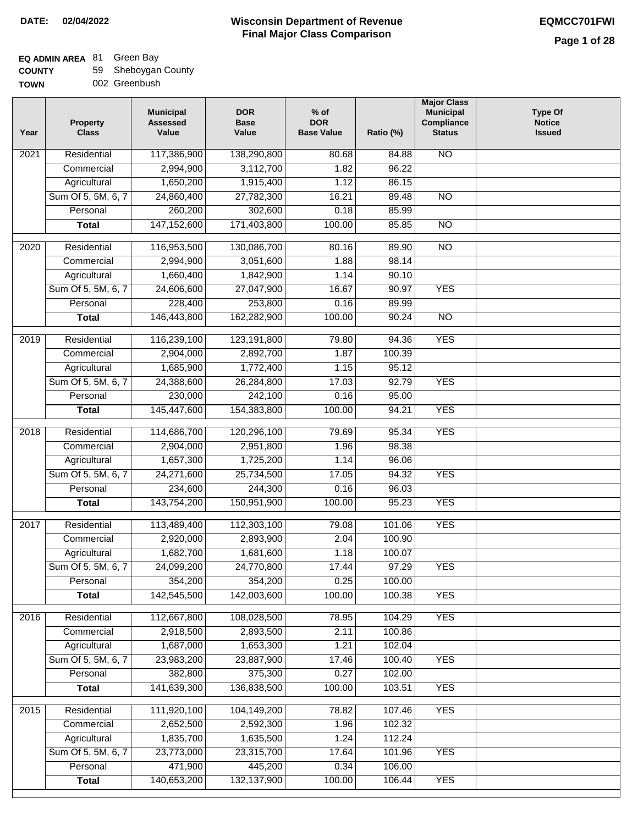| <b>COUNTY</b> |  | 59 Sheboygan County |  |
|---------------|--|---------------------|--|
|---------------|--|---------------------|--|

| Year              | <b>Property</b><br><b>Class</b> | <b>Municipal</b><br><b>Assessed</b><br>Value | <b>DOR</b><br><b>Base</b><br>Value | $%$ of<br><b>DOR</b><br><b>Base Value</b> | Ratio (%) | <b>Major Class</b><br><b>Municipal</b><br>Compliance<br><b>Status</b> | <b>Type Of</b><br><b>Notice</b><br><b>Issued</b> |
|-------------------|---------------------------------|----------------------------------------------|------------------------------------|-------------------------------------------|-----------|-----------------------------------------------------------------------|--------------------------------------------------|
| 2021              | Residential                     | 117,386,900                                  | 138,290,800                        | 80.68                                     | 84.88     | N <sub>O</sub>                                                        |                                                  |
|                   | Commercial                      | 2,994,900                                    | 3,112,700                          | 1.82                                      | 96.22     |                                                                       |                                                  |
|                   | Agricultural                    | 1,650,200                                    | 1,915,400                          | 1.12                                      | 86.15     |                                                                       |                                                  |
|                   | Sum Of 5, 5M, 6, 7              | 24,860,400                                   | 27,782,300                         | 16.21                                     | 89.48     | $\overline{NO}$                                                       |                                                  |
|                   | Personal                        | 260,200                                      | 302,600                            | 0.18                                      | 85.99     |                                                                       |                                                  |
|                   | <b>Total</b>                    | 147, 152, 600                                | 171,403,800                        | 100.00                                    | 85.85     | $\overline{NO}$                                                       |                                                  |
| 2020              | Residential                     | 116,953,500                                  | 130,086,700                        | 80.16                                     | 89.90     | $\overline{NO}$                                                       |                                                  |
|                   | Commercial                      | 2,994,900                                    | 3,051,600                          | 1.88                                      | 98.14     |                                                                       |                                                  |
|                   | Agricultural                    | 1,660,400                                    | 1,842,900                          | 1.14                                      | 90.10     |                                                                       |                                                  |
|                   | Sum Of 5, 5M, 6, 7              | 24,606,600                                   | 27,047,900                         | 16.67                                     | 90.97     | <b>YES</b>                                                            |                                                  |
|                   | Personal                        | 228,400                                      | 253,800                            | 0.16                                      | 89.99     |                                                                       |                                                  |
|                   | <b>Total</b>                    | 146,443,800                                  | 162,282,900                        | 100.00                                    | 90.24     | $\overline{NO}$                                                       |                                                  |
|                   |                                 |                                              |                                    |                                           |           |                                                                       |                                                  |
| 2019              | Residential                     | 116,239,100                                  | 123,191,800                        | 79.80                                     | 94.36     | <b>YES</b>                                                            |                                                  |
|                   | Commercial                      | 2,904,000                                    | 2,892,700                          | 1.87                                      | 100.39    |                                                                       |                                                  |
|                   | Agricultural                    | 1,685,900                                    | 1,772,400                          | 1.15                                      | 95.12     |                                                                       |                                                  |
|                   | Sum Of 5, 5M, 6, 7              | 24,388,600                                   | 26,284,800                         | 17.03                                     | 92.79     | <b>YES</b>                                                            |                                                  |
|                   | Personal                        | 230,000                                      | 242,100                            | 0.16                                      | 95.00     |                                                                       |                                                  |
|                   | <b>Total</b>                    | 145,447,600                                  | 154,383,800                        | 100.00                                    | 94.21     | <b>YES</b>                                                            |                                                  |
| $\overline{2018}$ | Residential                     | 114,686,700                                  | 120,296,100                        | 79.69                                     | 95.34     | <b>YES</b>                                                            |                                                  |
|                   | Commercial                      | 2,904,000                                    | 2,951,800                          | 1.96                                      | 98.38     |                                                                       |                                                  |
|                   | Agricultural                    | 1,657,300                                    | 1,725,200                          | 1.14                                      | 96.06     |                                                                       |                                                  |
|                   | Sum Of 5, 5M, 6, 7              | 24,271,600                                   | 25,734,500                         | 17.05                                     | 94.32     | <b>YES</b>                                                            |                                                  |
|                   | Personal                        | 234,600                                      | 244,300                            | 0.16                                      | 96.03     |                                                                       |                                                  |
|                   | <b>Total</b>                    | 143,754,200                                  | 150,951,900                        | 100.00                                    | 95.23     | <b>YES</b>                                                            |                                                  |
| 2017              | Residential                     | 113,489,400                                  | 112,303,100                        | 79.08                                     | 101.06    | <b>YES</b>                                                            |                                                  |
|                   | Commercial                      | 2,920,000                                    | 2,893,900                          | 2.04                                      | 100.90    |                                                                       |                                                  |
|                   | Agricultural                    | 1,682,700                                    | 1,681,600                          | 1.18                                      | 100.07    |                                                                       |                                                  |
|                   | Sum Of 5, 5M, 6, 7              | 24,099,200                                   | 24,770,800                         | 17.44                                     | 97.29     | <b>YES</b>                                                            |                                                  |
|                   | Personal                        | 354,200                                      | 354,200                            | 0.25                                      | 100.00    |                                                                       |                                                  |
|                   | <b>Total</b>                    | 142,545,500                                  | 142,003,600                        | 100.00                                    | 100.38    | <b>YES</b>                                                            |                                                  |
| 2016              | Residential                     | 112,667,800                                  | 108,028,500                        | 78.95                                     | 104.29    | <b>YES</b>                                                            |                                                  |
|                   | Commercial                      | 2,918,500                                    | 2,893,500                          | 2.11                                      | 100.86    |                                                                       |                                                  |
|                   | Agricultural                    | 1,687,000                                    | 1,653,300                          | 1.21                                      | 102.04    |                                                                       |                                                  |
|                   | Sum Of 5, 5M, 6, 7              | 23,983,200                                   | 23,887,900                         | 17.46                                     | 100.40    | <b>YES</b>                                                            |                                                  |
|                   | Personal                        | 382,800                                      | 375,300                            | 0.27                                      | 102.00    |                                                                       |                                                  |
|                   | <b>Total</b>                    | 141,639,300                                  | 136,838,500                        | 100.00                                    | 103.51    | <b>YES</b>                                                            |                                                  |
| 2015              | Residential                     | 111,920,100                                  | 104,149,200                        | 78.82                                     | 107.46    | <b>YES</b>                                                            |                                                  |
|                   | Commercial                      | 2,652,500                                    | 2,592,300                          | 1.96                                      | 102.32    |                                                                       |                                                  |
|                   | Agricultural                    | 1,835,700                                    | 1,635,500                          | 1.24                                      | 112.24    |                                                                       |                                                  |
|                   | Sum Of 5, 5M, 6, 7              | 23,773,000                                   | 23,315,700                         | 17.64                                     | 101.96    | <b>YES</b>                                                            |                                                  |
|                   | Personal                        | 471,900                                      | 445,200                            | 0.34                                      | 106.00    |                                                                       |                                                  |
|                   | <b>Total</b>                    | 140,653,200                                  | 132, 137, 900                      | 100.00                                    | 106.44    | <b>YES</b>                                                            |                                                  |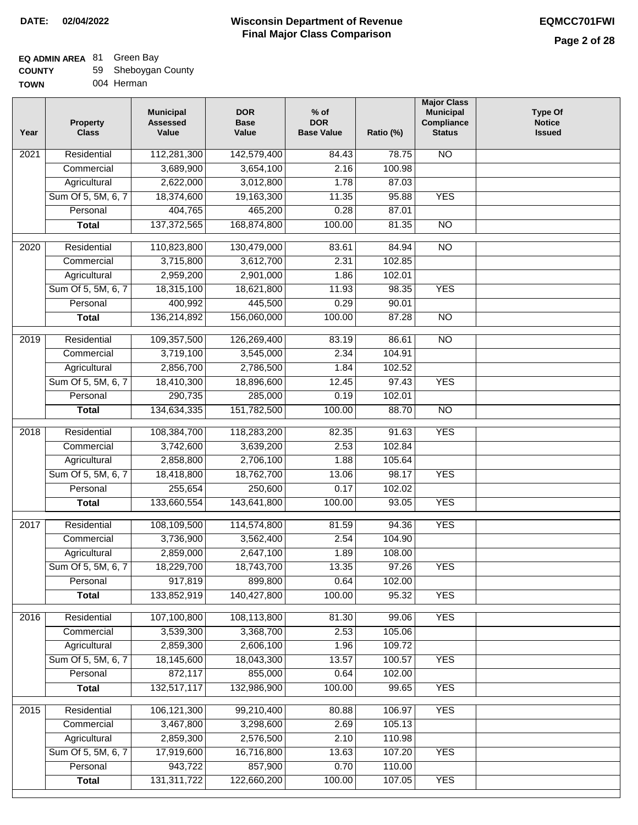## **Wisconsin Department of Revenue DATE: 02/04/2022 EQMCC701FWI Final Major Class Comparison**

## **EQ ADMIN AREA** 81 Green Bay

**Commercial Agricultural** Sum Of 5, 5M, 6, 7 **Personal Total**

 3,467,800 2,859,300 17,919,600 943,722 131,311,722

 3,298,600 2,576,500 16,716,800 857,900 122,660,200

 2.69 2.10 13.63 0.70 100.00  105.13 110.98 107.20 110.00 107.05

YES

YES

| <b>COUNTY</b> | 59 Sheboygan County |
|---------------|---------------------|
| TOWN          | 004 Herman          |

| <b>TOWN</b>       | 004 Herman                      |                                              |                                    |                                           |           |                                                                       |                                                  |
|-------------------|---------------------------------|----------------------------------------------|------------------------------------|-------------------------------------------|-----------|-----------------------------------------------------------------------|--------------------------------------------------|
| Year              | <b>Property</b><br><b>Class</b> | <b>Municipal</b><br><b>Assessed</b><br>Value | <b>DOR</b><br><b>Base</b><br>Value | $%$ of<br><b>DOR</b><br><b>Base Value</b> | Ratio (%) | <b>Major Class</b><br><b>Municipal</b><br>Compliance<br><b>Status</b> | <b>Type Of</b><br><b>Notice</b><br><b>Issued</b> |
| 2021              | Residential                     | 112,281,300                                  | 142,579,400                        | 84.43                                     | 78.75     | $\overline{NO}$                                                       |                                                  |
|                   | Commercial                      | 3,689,900                                    | 3,654,100                          | 2.16                                      | 100.98    |                                                                       |                                                  |
|                   | Agricultural                    | 2,622,000                                    | 3,012,800                          | 1.78                                      | 87.03     |                                                                       |                                                  |
|                   | Sum Of 5, 5M, 6, 7              | 18,374,600                                   | 19,163,300                         | 11.35                                     | 95.88     | <b>YES</b>                                                            |                                                  |
|                   | Personal                        | 404,765                                      | 465,200                            | 0.28                                      | 87.01     |                                                                       |                                                  |
|                   | <b>Total</b>                    | 137, 372, 565                                | 168,874,800                        | 100.00                                    | 81.35     | <b>NO</b>                                                             |                                                  |
| $\overline{20}20$ | Residential                     | 110,823,800                                  | 130,479,000                        | 83.61                                     | 84.94     | $\overline{NO}$                                                       |                                                  |
|                   | Commercial                      | 3,715,800                                    | 3,612,700                          | 2.31                                      | 102.85    |                                                                       |                                                  |
|                   | Agricultural                    | 2,959,200                                    | 2,901,000                          | 1.86                                      | 102.01    |                                                                       |                                                  |
|                   | Sum Of 5, 5M, 6, 7              | 18,315,100                                   | 18,621,800                         | 11.93                                     | 98.35     | <b>YES</b>                                                            |                                                  |
|                   | Personal                        | 400,992                                      | 445,500                            | 0.29                                      | 90.01     |                                                                       |                                                  |
|                   | <b>Total</b>                    | 136,214,892                                  | 156,060,000                        | 100.00                                    | 87.28     | $\overline{NO}$                                                       |                                                  |
| 2019              | Residential                     | 109,357,500                                  | 126,269,400                        | 83.19                                     | 86.61     | $\overline{NO}$                                                       |                                                  |
|                   | Commercial                      | 3,719,100                                    | 3,545,000                          | 2.34                                      | 104.91    |                                                                       |                                                  |
|                   | Agricultural                    | 2,856,700                                    | 2,786,500                          | 1.84                                      | 102.52    |                                                                       |                                                  |
|                   | Sum Of 5, 5M, 6, 7              | 18,410,300                                   | 18,896,600                         | 12.45                                     | 97.43     | <b>YES</b>                                                            |                                                  |
|                   | Personal                        | 290,735                                      | 285,000                            | 0.19                                      | 102.01    |                                                                       |                                                  |
|                   | <b>Total</b>                    | 134,634,335                                  | 151,782,500                        | 100.00                                    | 88.70     | $\overline{NO}$                                                       |                                                  |
| 2018              | Residential                     | 108,384,700                                  | 118,283,200                        | 82.35                                     | 91.63     | <b>YES</b>                                                            |                                                  |
|                   | Commercial                      | 3,742,600                                    | 3,639,200                          | 2.53                                      | 102.84    |                                                                       |                                                  |
|                   | Agricultural                    | 2,858,800                                    | 2,706,100                          | 1.88                                      | 105.64    |                                                                       |                                                  |
|                   | Sum Of 5, 5M, 6, 7              | 18,418,800                                   | 18,762,700                         | 13.06                                     | 98.17     | <b>YES</b>                                                            |                                                  |
|                   | Personal                        | 255,654                                      | 250,600                            | 0.17                                      | 102.02    |                                                                       |                                                  |
|                   | <b>Total</b>                    | 133,660,554                                  | 143,641,800                        | 100.00                                    | 93.05     | <b>YES</b>                                                            |                                                  |
| 2017              | Residential                     | 108,109,500                                  | 114,574,800                        | 81.59                                     | 94.36     | <b>YES</b>                                                            |                                                  |
|                   | Commercial                      | 3,736,900                                    | 3,562,400                          | 2.54                                      | 104.90    |                                                                       |                                                  |
|                   | Agricultural                    | 2,859,000                                    | 2,647,100                          | 1.89                                      | 108.00    |                                                                       |                                                  |
|                   | Sum Of 5, 5M, 6, 7              | 18,229,700                                   | 18,743,700                         | 13.35                                     | 97.26     | <b>YES</b>                                                            |                                                  |
|                   | Personal                        | 917,819                                      | 899,800                            | 0.64                                      | 102.00    |                                                                       |                                                  |
|                   | <b>Total</b>                    | 133,852,919                                  | 140,427,800                        | 100.00                                    | 95.32     | <b>YES</b>                                                            |                                                  |
| 2016              | Residential                     | 107,100,800                                  | 108,113,800                        | 81.30                                     | 99.06     | <b>YES</b>                                                            |                                                  |
|                   | Commercial                      | 3,539,300                                    | 3,368,700                          | 2.53                                      | 105.06    |                                                                       |                                                  |
|                   | Agricultural                    | 2,859,300                                    | 2,606,100                          | 1.96                                      | 109.72    |                                                                       |                                                  |
|                   | Sum Of 5, 5M, 6, 7              | 18,145,600                                   | 18,043,300                         | 13.57                                     | 100.57    | <b>YES</b>                                                            |                                                  |
|                   | Personal                        | 872,117                                      | 855,000                            | 0.64                                      | 102.00    |                                                                       |                                                  |
|                   | <b>Total</b>                    | 132,517,117                                  | 132,986,900                        | 100.00                                    | 99.65     | <b>YES</b>                                                            |                                                  |
| 2015              | Residential                     | 106,121,300                                  | 99,210,400                         | 80.88                                     | 106.97    | <b>YES</b>                                                            |                                                  |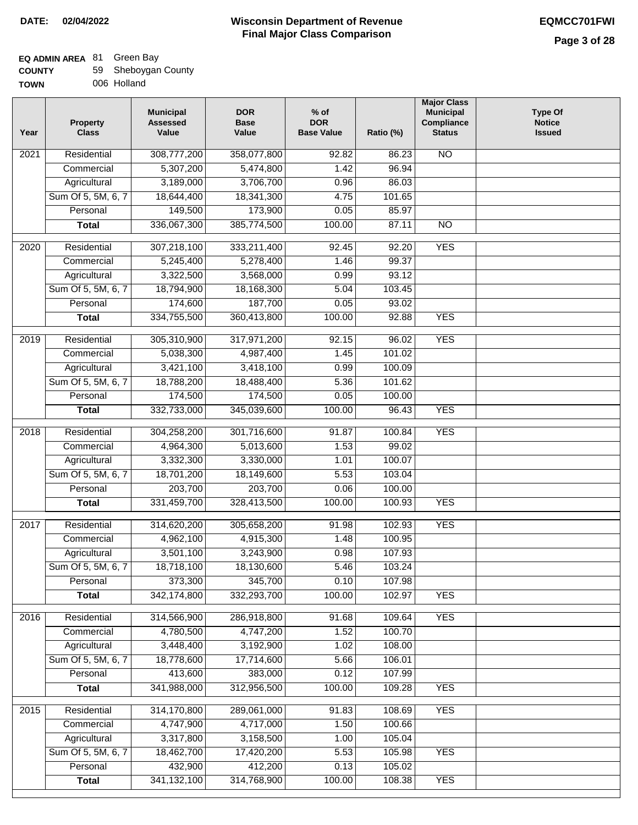#### **Wisconsin Department of Revenue Final Major Class Comparison DATE: 02/04/2022 EQMCC701FWI**

#### **EQ ADMIN AREA** 81 Green Bay **COUNTY**  $\overline{5}$

| __________________ |                     |
|--------------------|---------------------|
| <b>COUNTY</b>      | 59 Sheboygan County |
| TOWN               | 006 Holland         |

| Residential<br>308,777,200<br>$\overline{NO}$<br>2021<br>358,077,800<br>92.82<br>86.23<br>5,307,200<br>5,474,800<br>1.42<br>96.94<br>Commercial<br>Agricultural<br>3,189,000<br>3,706,700<br>0.96<br>86.03<br>Sum Of 5, 5M, 6, 7<br>18,644,400<br>18,341,300<br>4.75<br>101.65<br>149,500<br>Personal<br>173,900<br>0.05<br>85.97<br>336,067,300<br>385,774,500<br>100.00<br><b>Total</b><br>87.11<br><b>NO</b><br>Residential<br>307,218,100<br>333,211,400<br>92.20<br><b>YES</b><br>2020<br>92.45<br>Commercial<br>5,245,400<br>5,278,400<br>1.46<br>99.37<br>3,322,500<br>93.12<br>Agricultural<br>3,568,000<br>0.99<br>Sum Of 5, 5M, 6, 7<br>18,794,900<br>18,168,300<br>5.04<br>103.45<br>174,600<br>187,700<br>Personal<br>0.05<br>93.02<br>334,755,500<br><b>YES</b><br><b>Total</b><br>360,413,800<br>100.00<br>92.88<br><b>YES</b><br>$\frac{1}{2019}$<br>Residential<br>305,310,900<br>317,971,200<br>92.15<br>96.02<br>101.02<br>Commercial<br>5,038,300<br>4,987,400<br>1.45<br>3,421,100<br>3,418,100<br>Agricultural<br>0.99<br>100.09<br>Sum Of 5, 5M, 6, 7<br>18,788,200<br>5.36<br>101.62<br>18,488,400<br>174,500<br>174,500<br>Personal<br>0.05<br>100.00<br><b>YES</b><br>332,733,000<br>345,039,600<br>100.00<br>96.43<br><b>Total</b><br>301,716,600<br><b>YES</b><br>2018<br>Residential<br>304,258,200<br>91.87<br>100.84<br>4,964,300<br>5,013,600<br>99.02<br>1.53<br>Commercial<br>3,332,300<br>3,330,000<br>1.01<br>100.07<br>Agricultural<br>Sum Of 5, 5M, 6, 7<br>18,701,200<br>18,149,600<br>5.53<br>103.04<br>203,700<br>203,700<br>0.06<br>Personal<br>100.00<br>331,459,700<br><b>YES</b><br>328,413,500<br>100.00<br><b>Total</b><br>100.93<br>Residential<br>305,658,200<br>91.98<br>102.93<br><b>YES</b><br>2017<br>314,620,200<br>4,962,100<br>4,915,300<br>100.95<br>Commercial<br>1.48<br>3,501,100<br>3,243,900<br>0.98<br>107.93<br>Agricultural<br>Sum Of 5, 5M, 6, 7<br>18,718,100<br>18,130,600<br>5.46<br>103.24<br>345,700<br>373,300<br>0.10<br>107.98<br>Personal<br>342,174,800<br>332,293,700<br>100.00<br><b>YES</b><br>102.97<br><b>Total</b><br><b>YES</b><br>Residential<br>314,566,900<br>286,918,800<br>109.64<br>2016<br>91.68<br>100.70<br>Commercial<br>4,780,500<br>4,747,200<br>1.52<br>3,448,400<br>Agricultural<br>3,192,900<br>1.02<br>108.00<br>Sum Of 5, 5M, 6, 7<br>18,778,600<br>17,714,600<br>106.01<br>5.66<br>413,600<br>Personal<br>383,000<br>0.12<br>107.99<br>341,988,000<br>312,956,500<br>100.00<br>109.28<br><b>YES</b><br><b>Total</b><br>314,170,800<br>289,061,000<br><b>YES</b><br>2015<br>Residential<br>91.83<br>108.69<br>4,747,900<br>4,717,000<br>1.50<br>100.66<br>Commercial<br>105.04<br>Agricultural<br>3,317,800<br>3,158,500<br>1.00<br>Sum Of 5, 5M, 6, 7<br>18,462,700<br>17,420,200<br><b>YES</b><br>5.53<br>105.98<br>432,900<br>412,200<br>0.13<br>105.02<br>Personal<br>341, 132, 100<br>314,768,900<br>100.00<br><b>YES</b><br><b>Total</b><br>108.38 | Year | <b>Property</b><br><b>Class</b> | <b>Municipal</b><br><b>Assessed</b><br>Value | <b>DOR</b><br><b>Base</b><br>Value | $%$ of<br><b>DOR</b><br><b>Base Value</b> | Ratio (%) | <b>Major Class</b><br><b>Municipal</b><br>Compliance<br><b>Status</b> | <b>Type Of</b><br><b>Notice</b><br><b>Issued</b> |
|-------------------------------------------------------------------------------------------------------------------------------------------------------------------------------------------------------------------------------------------------------------------------------------------------------------------------------------------------------------------------------------------------------------------------------------------------------------------------------------------------------------------------------------------------------------------------------------------------------------------------------------------------------------------------------------------------------------------------------------------------------------------------------------------------------------------------------------------------------------------------------------------------------------------------------------------------------------------------------------------------------------------------------------------------------------------------------------------------------------------------------------------------------------------------------------------------------------------------------------------------------------------------------------------------------------------------------------------------------------------------------------------------------------------------------------------------------------------------------------------------------------------------------------------------------------------------------------------------------------------------------------------------------------------------------------------------------------------------------------------------------------------------------------------------------------------------------------------------------------------------------------------------------------------------------------------------------------------------------------------------------------------------------------------------------------------------------------------------------------------------------------------------------------------------------------------------------------------------------------------------------------------------------------------------------------------------------------------------------------------------------------------------------------------------------------------------------------------------------------------------------------------------------------------------------------------------------------------------------------------------------------------------------------------------------------------------------------------------------------------------------------------------------------------------------------------------------------------------------------------------------------------------------------------------------------------------------------|------|---------------------------------|----------------------------------------------|------------------------------------|-------------------------------------------|-----------|-----------------------------------------------------------------------|--------------------------------------------------|
|                                                                                                                                                                                                                                                                                                                                                                                                                                                                                                                                                                                                                                                                                                                                                                                                                                                                                                                                                                                                                                                                                                                                                                                                                                                                                                                                                                                                                                                                                                                                                                                                                                                                                                                                                                                                                                                                                                                                                                                                                                                                                                                                                                                                                                                                                                                                                                                                                                                                                                                                                                                                                                                                                                                                                                                                                                                                                                                                                             |      |                                 |                                              |                                    |                                           |           |                                                                       |                                                  |
|                                                                                                                                                                                                                                                                                                                                                                                                                                                                                                                                                                                                                                                                                                                                                                                                                                                                                                                                                                                                                                                                                                                                                                                                                                                                                                                                                                                                                                                                                                                                                                                                                                                                                                                                                                                                                                                                                                                                                                                                                                                                                                                                                                                                                                                                                                                                                                                                                                                                                                                                                                                                                                                                                                                                                                                                                                                                                                                                                             |      |                                 |                                              |                                    |                                           |           |                                                                       |                                                  |
|                                                                                                                                                                                                                                                                                                                                                                                                                                                                                                                                                                                                                                                                                                                                                                                                                                                                                                                                                                                                                                                                                                                                                                                                                                                                                                                                                                                                                                                                                                                                                                                                                                                                                                                                                                                                                                                                                                                                                                                                                                                                                                                                                                                                                                                                                                                                                                                                                                                                                                                                                                                                                                                                                                                                                                                                                                                                                                                                                             |      |                                 |                                              |                                    |                                           |           |                                                                       |                                                  |
|                                                                                                                                                                                                                                                                                                                                                                                                                                                                                                                                                                                                                                                                                                                                                                                                                                                                                                                                                                                                                                                                                                                                                                                                                                                                                                                                                                                                                                                                                                                                                                                                                                                                                                                                                                                                                                                                                                                                                                                                                                                                                                                                                                                                                                                                                                                                                                                                                                                                                                                                                                                                                                                                                                                                                                                                                                                                                                                                                             |      |                                 |                                              |                                    |                                           |           |                                                                       |                                                  |
|                                                                                                                                                                                                                                                                                                                                                                                                                                                                                                                                                                                                                                                                                                                                                                                                                                                                                                                                                                                                                                                                                                                                                                                                                                                                                                                                                                                                                                                                                                                                                                                                                                                                                                                                                                                                                                                                                                                                                                                                                                                                                                                                                                                                                                                                                                                                                                                                                                                                                                                                                                                                                                                                                                                                                                                                                                                                                                                                                             |      |                                 |                                              |                                    |                                           |           |                                                                       |                                                  |
|                                                                                                                                                                                                                                                                                                                                                                                                                                                                                                                                                                                                                                                                                                                                                                                                                                                                                                                                                                                                                                                                                                                                                                                                                                                                                                                                                                                                                                                                                                                                                                                                                                                                                                                                                                                                                                                                                                                                                                                                                                                                                                                                                                                                                                                                                                                                                                                                                                                                                                                                                                                                                                                                                                                                                                                                                                                                                                                                                             |      |                                 |                                              |                                    |                                           |           |                                                                       |                                                  |
|                                                                                                                                                                                                                                                                                                                                                                                                                                                                                                                                                                                                                                                                                                                                                                                                                                                                                                                                                                                                                                                                                                                                                                                                                                                                                                                                                                                                                                                                                                                                                                                                                                                                                                                                                                                                                                                                                                                                                                                                                                                                                                                                                                                                                                                                                                                                                                                                                                                                                                                                                                                                                                                                                                                                                                                                                                                                                                                                                             |      |                                 |                                              |                                    |                                           |           |                                                                       |                                                  |
|                                                                                                                                                                                                                                                                                                                                                                                                                                                                                                                                                                                                                                                                                                                                                                                                                                                                                                                                                                                                                                                                                                                                                                                                                                                                                                                                                                                                                                                                                                                                                                                                                                                                                                                                                                                                                                                                                                                                                                                                                                                                                                                                                                                                                                                                                                                                                                                                                                                                                                                                                                                                                                                                                                                                                                                                                                                                                                                                                             |      |                                 |                                              |                                    |                                           |           |                                                                       |                                                  |
|                                                                                                                                                                                                                                                                                                                                                                                                                                                                                                                                                                                                                                                                                                                                                                                                                                                                                                                                                                                                                                                                                                                                                                                                                                                                                                                                                                                                                                                                                                                                                                                                                                                                                                                                                                                                                                                                                                                                                                                                                                                                                                                                                                                                                                                                                                                                                                                                                                                                                                                                                                                                                                                                                                                                                                                                                                                                                                                                                             |      |                                 |                                              |                                    |                                           |           |                                                                       |                                                  |
|                                                                                                                                                                                                                                                                                                                                                                                                                                                                                                                                                                                                                                                                                                                                                                                                                                                                                                                                                                                                                                                                                                                                                                                                                                                                                                                                                                                                                                                                                                                                                                                                                                                                                                                                                                                                                                                                                                                                                                                                                                                                                                                                                                                                                                                                                                                                                                                                                                                                                                                                                                                                                                                                                                                                                                                                                                                                                                                                                             |      |                                 |                                              |                                    |                                           |           |                                                                       |                                                  |
|                                                                                                                                                                                                                                                                                                                                                                                                                                                                                                                                                                                                                                                                                                                                                                                                                                                                                                                                                                                                                                                                                                                                                                                                                                                                                                                                                                                                                                                                                                                                                                                                                                                                                                                                                                                                                                                                                                                                                                                                                                                                                                                                                                                                                                                                                                                                                                                                                                                                                                                                                                                                                                                                                                                                                                                                                                                                                                                                                             |      |                                 |                                              |                                    |                                           |           |                                                                       |                                                  |
|                                                                                                                                                                                                                                                                                                                                                                                                                                                                                                                                                                                                                                                                                                                                                                                                                                                                                                                                                                                                                                                                                                                                                                                                                                                                                                                                                                                                                                                                                                                                                                                                                                                                                                                                                                                                                                                                                                                                                                                                                                                                                                                                                                                                                                                                                                                                                                                                                                                                                                                                                                                                                                                                                                                                                                                                                                                                                                                                                             |      |                                 |                                              |                                    |                                           |           |                                                                       |                                                  |
|                                                                                                                                                                                                                                                                                                                                                                                                                                                                                                                                                                                                                                                                                                                                                                                                                                                                                                                                                                                                                                                                                                                                                                                                                                                                                                                                                                                                                                                                                                                                                                                                                                                                                                                                                                                                                                                                                                                                                                                                                                                                                                                                                                                                                                                                                                                                                                                                                                                                                                                                                                                                                                                                                                                                                                                                                                                                                                                                                             |      |                                 |                                              |                                    |                                           |           |                                                                       |                                                  |
|                                                                                                                                                                                                                                                                                                                                                                                                                                                                                                                                                                                                                                                                                                                                                                                                                                                                                                                                                                                                                                                                                                                                                                                                                                                                                                                                                                                                                                                                                                                                                                                                                                                                                                                                                                                                                                                                                                                                                                                                                                                                                                                                                                                                                                                                                                                                                                                                                                                                                                                                                                                                                                                                                                                                                                                                                                                                                                                                                             |      |                                 |                                              |                                    |                                           |           |                                                                       |                                                  |
|                                                                                                                                                                                                                                                                                                                                                                                                                                                                                                                                                                                                                                                                                                                                                                                                                                                                                                                                                                                                                                                                                                                                                                                                                                                                                                                                                                                                                                                                                                                                                                                                                                                                                                                                                                                                                                                                                                                                                                                                                                                                                                                                                                                                                                                                                                                                                                                                                                                                                                                                                                                                                                                                                                                                                                                                                                                                                                                                                             |      |                                 |                                              |                                    |                                           |           |                                                                       |                                                  |
|                                                                                                                                                                                                                                                                                                                                                                                                                                                                                                                                                                                                                                                                                                                                                                                                                                                                                                                                                                                                                                                                                                                                                                                                                                                                                                                                                                                                                                                                                                                                                                                                                                                                                                                                                                                                                                                                                                                                                                                                                                                                                                                                                                                                                                                                                                                                                                                                                                                                                                                                                                                                                                                                                                                                                                                                                                                                                                                                                             |      |                                 |                                              |                                    |                                           |           |                                                                       |                                                  |
|                                                                                                                                                                                                                                                                                                                                                                                                                                                                                                                                                                                                                                                                                                                                                                                                                                                                                                                                                                                                                                                                                                                                                                                                                                                                                                                                                                                                                                                                                                                                                                                                                                                                                                                                                                                                                                                                                                                                                                                                                                                                                                                                                                                                                                                                                                                                                                                                                                                                                                                                                                                                                                                                                                                                                                                                                                                                                                                                                             |      |                                 |                                              |                                    |                                           |           |                                                                       |                                                  |
|                                                                                                                                                                                                                                                                                                                                                                                                                                                                                                                                                                                                                                                                                                                                                                                                                                                                                                                                                                                                                                                                                                                                                                                                                                                                                                                                                                                                                                                                                                                                                                                                                                                                                                                                                                                                                                                                                                                                                                                                                                                                                                                                                                                                                                                                                                                                                                                                                                                                                                                                                                                                                                                                                                                                                                                                                                                                                                                                                             |      |                                 |                                              |                                    |                                           |           |                                                                       |                                                  |
|                                                                                                                                                                                                                                                                                                                                                                                                                                                                                                                                                                                                                                                                                                                                                                                                                                                                                                                                                                                                                                                                                                                                                                                                                                                                                                                                                                                                                                                                                                                                                                                                                                                                                                                                                                                                                                                                                                                                                                                                                                                                                                                                                                                                                                                                                                                                                                                                                                                                                                                                                                                                                                                                                                                                                                                                                                                                                                                                                             |      |                                 |                                              |                                    |                                           |           |                                                                       |                                                  |
|                                                                                                                                                                                                                                                                                                                                                                                                                                                                                                                                                                                                                                                                                                                                                                                                                                                                                                                                                                                                                                                                                                                                                                                                                                                                                                                                                                                                                                                                                                                                                                                                                                                                                                                                                                                                                                                                                                                                                                                                                                                                                                                                                                                                                                                                                                                                                                                                                                                                                                                                                                                                                                                                                                                                                                                                                                                                                                                                                             |      |                                 |                                              |                                    |                                           |           |                                                                       |                                                  |
|                                                                                                                                                                                                                                                                                                                                                                                                                                                                                                                                                                                                                                                                                                                                                                                                                                                                                                                                                                                                                                                                                                                                                                                                                                                                                                                                                                                                                                                                                                                                                                                                                                                                                                                                                                                                                                                                                                                                                                                                                                                                                                                                                                                                                                                                                                                                                                                                                                                                                                                                                                                                                                                                                                                                                                                                                                                                                                                                                             |      |                                 |                                              |                                    |                                           |           |                                                                       |                                                  |
|                                                                                                                                                                                                                                                                                                                                                                                                                                                                                                                                                                                                                                                                                                                                                                                                                                                                                                                                                                                                                                                                                                                                                                                                                                                                                                                                                                                                                                                                                                                                                                                                                                                                                                                                                                                                                                                                                                                                                                                                                                                                                                                                                                                                                                                                                                                                                                                                                                                                                                                                                                                                                                                                                                                                                                                                                                                                                                                                                             |      |                                 |                                              |                                    |                                           |           |                                                                       |                                                  |
|                                                                                                                                                                                                                                                                                                                                                                                                                                                                                                                                                                                                                                                                                                                                                                                                                                                                                                                                                                                                                                                                                                                                                                                                                                                                                                                                                                                                                                                                                                                                                                                                                                                                                                                                                                                                                                                                                                                                                                                                                                                                                                                                                                                                                                                                                                                                                                                                                                                                                                                                                                                                                                                                                                                                                                                                                                                                                                                                                             |      |                                 |                                              |                                    |                                           |           |                                                                       |                                                  |
|                                                                                                                                                                                                                                                                                                                                                                                                                                                                                                                                                                                                                                                                                                                                                                                                                                                                                                                                                                                                                                                                                                                                                                                                                                                                                                                                                                                                                                                                                                                                                                                                                                                                                                                                                                                                                                                                                                                                                                                                                                                                                                                                                                                                                                                                                                                                                                                                                                                                                                                                                                                                                                                                                                                                                                                                                                                                                                                                                             |      |                                 |                                              |                                    |                                           |           |                                                                       |                                                  |
|                                                                                                                                                                                                                                                                                                                                                                                                                                                                                                                                                                                                                                                                                                                                                                                                                                                                                                                                                                                                                                                                                                                                                                                                                                                                                                                                                                                                                                                                                                                                                                                                                                                                                                                                                                                                                                                                                                                                                                                                                                                                                                                                                                                                                                                                                                                                                                                                                                                                                                                                                                                                                                                                                                                                                                                                                                                                                                                                                             |      |                                 |                                              |                                    |                                           |           |                                                                       |                                                  |
|                                                                                                                                                                                                                                                                                                                                                                                                                                                                                                                                                                                                                                                                                                                                                                                                                                                                                                                                                                                                                                                                                                                                                                                                                                                                                                                                                                                                                                                                                                                                                                                                                                                                                                                                                                                                                                                                                                                                                                                                                                                                                                                                                                                                                                                                                                                                                                                                                                                                                                                                                                                                                                                                                                                                                                                                                                                                                                                                                             |      |                                 |                                              |                                    |                                           |           |                                                                       |                                                  |
|                                                                                                                                                                                                                                                                                                                                                                                                                                                                                                                                                                                                                                                                                                                                                                                                                                                                                                                                                                                                                                                                                                                                                                                                                                                                                                                                                                                                                                                                                                                                                                                                                                                                                                                                                                                                                                                                                                                                                                                                                                                                                                                                                                                                                                                                                                                                                                                                                                                                                                                                                                                                                                                                                                                                                                                                                                                                                                                                                             |      |                                 |                                              |                                    |                                           |           |                                                                       |                                                  |
|                                                                                                                                                                                                                                                                                                                                                                                                                                                                                                                                                                                                                                                                                                                                                                                                                                                                                                                                                                                                                                                                                                                                                                                                                                                                                                                                                                                                                                                                                                                                                                                                                                                                                                                                                                                                                                                                                                                                                                                                                                                                                                                                                                                                                                                                                                                                                                                                                                                                                                                                                                                                                                                                                                                                                                                                                                                                                                                                                             |      |                                 |                                              |                                    |                                           |           |                                                                       |                                                  |
|                                                                                                                                                                                                                                                                                                                                                                                                                                                                                                                                                                                                                                                                                                                                                                                                                                                                                                                                                                                                                                                                                                                                                                                                                                                                                                                                                                                                                                                                                                                                                                                                                                                                                                                                                                                                                                                                                                                                                                                                                                                                                                                                                                                                                                                                                                                                                                                                                                                                                                                                                                                                                                                                                                                                                                                                                                                                                                                                                             |      |                                 |                                              |                                    |                                           |           |                                                                       |                                                  |
|                                                                                                                                                                                                                                                                                                                                                                                                                                                                                                                                                                                                                                                                                                                                                                                                                                                                                                                                                                                                                                                                                                                                                                                                                                                                                                                                                                                                                                                                                                                                                                                                                                                                                                                                                                                                                                                                                                                                                                                                                                                                                                                                                                                                                                                                                                                                                                                                                                                                                                                                                                                                                                                                                                                                                                                                                                                                                                                                                             |      |                                 |                                              |                                    |                                           |           |                                                                       |                                                  |
|                                                                                                                                                                                                                                                                                                                                                                                                                                                                                                                                                                                                                                                                                                                                                                                                                                                                                                                                                                                                                                                                                                                                                                                                                                                                                                                                                                                                                                                                                                                                                                                                                                                                                                                                                                                                                                                                                                                                                                                                                                                                                                                                                                                                                                                                                                                                                                                                                                                                                                                                                                                                                                                                                                                                                                                                                                                                                                                                                             |      |                                 |                                              |                                    |                                           |           |                                                                       |                                                  |
|                                                                                                                                                                                                                                                                                                                                                                                                                                                                                                                                                                                                                                                                                                                                                                                                                                                                                                                                                                                                                                                                                                                                                                                                                                                                                                                                                                                                                                                                                                                                                                                                                                                                                                                                                                                                                                                                                                                                                                                                                                                                                                                                                                                                                                                                                                                                                                                                                                                                                                                                                                                                                                                                                                                                                                                                                                                                                                                                                             |      |                                 |                                              |                                    |                                           |           |                                                                       |                                                  |
|                                                                                                                                                                                                                                                                                                                                                                                                                                                                                                                                                                                                                                                                                                                                                                                                                                                                                                                                                                                                                                                                                                                                                                                                                                                                                                                                                                                                                                                                                                                                                                                                                                                                                                                                                                                                                                                                                                                                                                                                                                                                                                                                                                                                                                                                                                                                                                                                                                                                                                                                                                                                                                                                                                                                                                                                                                                                                                                                                             |      |                                 |                                              |                                    |                                           |           |                                                                       |                                                  |
|                                                                                                                                                                                                                                                                                                                                                                                                                                                                                                                                                                                                                                                                                                                                                                                                                                                                                                                                                                                                                                                                                                                                                                                                                                                                                                                                                                                                                                                                                                                                                                                                                                                                                                                                                                                                                                                                                                                                                                                                                                                                                                                                                                                                                                                                                                                                                                                                                                                                                                                                                                                                                                                                                                                                                                                                                                                                                                                                                             |      |                                 |                                              |                                    |                                           |           |                                                                       |                                                  |
|                                                                                                                                                                                                                                                                                                                                                                                                                                                                                                                                                                                                                                                                                                                                                                                                                                                                                                                                                                                                                                                                                                                                                                                                                                                                                                                                                                                                                                                                                                                                                                                                                                                                                                                                                                                                                                                                                                                                                                                                                                                                                                                                                                                                                                                                                                                                                                                                                                                                                                                                                                                                                                                                                                                                                                                                                                                                                                                                                             |      |                                 |                                              |                                    |                                           |           |                                                                       |                                                  |
|                                                                                                                                                                                                                                                                                                                                                                                                                                                                                                                                                                                                                                                                                                                                                                                                                                                                                                                                                                                                                                                                                                                                                                                                                                                                                                                                                                                                                                                                                                                                                                                                                                                                                                                                                                                                                                                                                                                                                                                                                                                                                                                                                                                                                                                                                                                                                                                                                                                                                                                                                                                                                                                                                                                                                                                                                                                                                                                                                             |      |                                 |                                              |                                    |                                           |           |                                                                       |                                                  |
|                                                                                                                                                                                                                                                                                                                                                                                                                                                                                                                                                                                                                                                                                                                                                                                                                                                                                                                                                                                                                                                                                                                                                                                                                                                                                                                                                                                                                                                                                                                                                                                                                                                                                                                                                                                                                                                                                                                                                                                                                                                                                                                                                                                                                                                                                                                                                                                                                                                                                                                                                                                                                                                                                                                                                                                                                                                                                                                                                             |      |                                 |                                              |                                    |                                           |           |                                                                       |                                                  |
|                                                                                                                                                                                                                                                                                                                                                                                                                                                                                                                                                                                                                                                                                                                                                                                                                                                                                                                                                                                                                                                                                                                                                                                                                                                                                                                                                                                                                                                                                                                                                                                                                                                                                                                                                                                                                                                                                                                                                                                                                                                                                                                                                                                                                                                                                                                                                                                                                                                                                                                                                                                                                                                                                                                                                                                                                                                                                                                                                             |      |                                 |                                              |                                    |                                           |           |                                                                       |                                                  |
|                                                                                                                                                                                                                                                                                                                                                                                                                                                                                                                                                                                                                                                                                                                                                                                                                                                                                                                                                                                                                                                                                                                                                                                                                                                                                                                                                                                                                                                                                                                                                                                                                                                                                                                                                                                                                                                                                                                                                                                                                                                                                                                                                                                                                                                                                                                                                                                                                                                                                                                                                                                                                                                                                                                                                                                                                                                                                                                                                             |      |                                 |                                              |                                    |                                           |           |                                                                       |                                                  |
|                                                                                                                                                                                                                                                                                                                                                                                                                                                                                                                                                                                                                                                                                                                                                                                                                                                                                                                                                                                                                                                                                                                                                                                                                                                                                                                                                                                                                                                                                                                                                                                                                                                                                                                                                                                                                                                                                                                                                                                                                                                                                                                                                                                                                                                                                                                                                                                                                                                                                                                                                                                                                                                                                                                                                                                                                                                                                                                                                             |      |                                 |                                              |                                    |                                           |           |                                                                       |                                                  |
|                                                                                                                                                                                                                                                                                                                                                                                                                                                                                                                                                                                                                                                                                                                                                                                                                                                                                                                                                                                                                                                                                                                                                                                                                                                                                                                                                                                                                                                                                                                                                                                                                                                                                                                                                                                                                                                                                                                                                                                                                                                                                                                                                                                                                                                                                                                                                                                                                                                                                                                                                                                                                                                                                                                                                                                                                                                                                                                                                             |      |                                 |                                              |                                    |                                           |           |                                                                       |                                                  |
|                                                                                                                                                                                                                                                                                                                                                                                                                                                                                                                                                                                                                                                                                                                                                                                                                                                                                                                                                                                                                                                                                                                                                                                                                                                                                                                                                                                                                                                                                                                                                                                                                                                                                                                                                                                                                                                                                                                                                                                                                                                                                                                                                                                                                                                                                                                                                                                                                                                                                                                                                                                                                                                                                                                                                                                                                                                                                                                                                             |      |                                 |                                              |                                    |                                           |           |                                                                       |                                                  |
|                                                                                                                                                                                                                                                                                                                                                                                                                                                                                                                                                                                                                                                                                                                                                                                                                                                                                                                                                                                                                                                                                                                                                                                                                                                                                                                                                                                                                                                                                                                                                                                                                                                                                                                                                                                                                                                                                                                                                                                                                                                                                                                                                                                                                                                                                                                                                                                                                                                                                                                                                                                                                                                                                                                                                                                                                                                                                                                                                             |      |                                 |                                              |                                    |                                           |           |                                                                       |                                                  |
|                                                                                                                                                                                                                                                                                                                                                                                                                                                                                                                                                                                                                                                                                                                                                                                                                                                                                                                                                                                                                                                                                                                                                                                                                                                                                                                                                                                                                                                                                                                                                                                                                                                                                                                                                                                                                                                                                                                                                                                                                                                                                                                                                                                                                                                                                                                                                                                                                                                                                                                                                                                                                                                                                                                                                                                                                                                                                                                                                             |      |                                 |                                              |                                    |                                           |           |                                                                       |                                                  |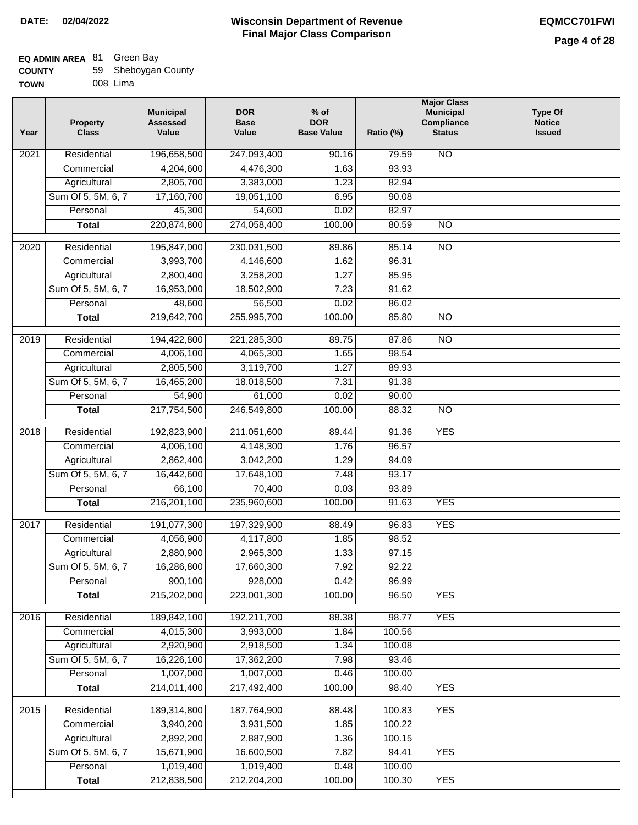| <b>COUNTY</b> | 59 Sheboygan County |
|---------------|---------------------|
| <b>TOWN</b>   | 008 Lima            |

| ۱WN | 008 Lima |  |
|-----|----------|--|
|     |          |  |

| Value<br><b>Base Value</b><br>Year<br><b>Class</b><br>Value<br>Ratio (%)         | <b>Status</b><br><b>Issued</b> |  |
|----------------------------------------------------------------------------------|--------------------------------|--|
| 196,658,500<br>$\overline{202}1$<br>Residential<br>247,093,400<br>90.16<br>79.59 | <b>NO</b>                      |  |
| 4,204,600<br>4,476,300<br>93.93<br>Commercial<br>1.63                            |                                |  |
| 2,805,700<br>Agricultural<br>3,383,000<br>1.23<br>82.94                          |                                |  |
| Sum Of 5, 5M, 6, 7<br>17,160,700<br>19,051,100<br>6.95<br>90.08                  |                                |  |
| 45,300<br>Personal<br>54,600<br>0.02<br>82.97                                    |                                |  |
| 220,874,800<br>274,058,400<br>100.00<br><b>Total</b><br>80.59                    | $\overline{NO}$                |  |
| $\overline{2020}$<br>Residential<br>195,847,000<br>230,031,500<br>89.86<br>85.14 | $\overline{NO}$                |  |
| 96.31<br>3,993,700<br>4,146,600<br>1.62<br>Commercial                            |                                |  |
| 2,800,400<br>3,258,200<br>1.27<br>85.95<br>Agricultural                          |                                |  |
| Sum Of 5, 5M, 6, 7<br>16,953,000<br>18,502,900<br>7.23<br>91.62                  |                                |  |
| 56,500<br>0.02<br>86.02<br>Personal<br>48,600                                    |                                |  |
| 219,642,700<br>255,995,700<br>100.00<br>85.80<br><b>Total</b>                    | $\overline{NO}$                |  |
| 2019<br>Residential<br>194,422,800<br>221,285,300<br>89.75<br>87.86              | $\overline{NO}$                |  |
| 4,006,100<br>1.65<br>98.54<br>Commercial<br>4,065,300                            |                                |  |
| 2,805,500<br>3,119,700<br>1.27<br>89.93<br>Agricultural                          |                                |  |
| Sum Of 5, 5M, 6, 7<br>16,465,200<br>18,018,500<br>7.31<br>91.38                  |                                |  |
| Personal<br>54,900<br>61,000<br>0.02<br>90.00                                    |                                |  |
| 217,754,500<br>246,549,800<br>100.00<br>88.32<br><b>Total</b>                    | $\overline{NO}$                |  |
| Residential<br>192,823,900<br>2018<br>211,051,600<br>89.44<br>91.36              | <b>YES</b>                     |  |
| Commercial<br>4,006,100<br>4,148,300<br>1.76<br>96.57                            |                                |  |
| 2,862,400<br>3,042,200<br>Agricultural<br>1.29<br>94.09                          |                                |  |
| Sum Of 5, 5M, 6, 7<br>16,442,600<br>17,648,100<br>7.48<br>93.17                  |                                |  |
| Personal<br>66,100<br>70,400<br>0.03<br>93.89                                    |                                |  |
| 216,201,100<br>235,960,600<br>100.00<br>91.63<br><b>Total</b>                    | <b>YES</b>                     |  |
| Residential<br>191,077,300<br>2017<br>197,329,900<br>88.49<br>96.83              | <b>YES</b>                     |  |
| Commercial<br>4,056,900<br>4,117,800<br>1.85<br>98.52                            |                                |  |
| 2,880,900<br>2,965,300<br>1.33<br>97.15<br>Agricultural                          |                                |  |
| 16,286,800<br>7.92<br>Sum Of 5, 5M, 6, 7<br>17,660,300<br>92.22                  |                                |  |
| 900,100<br>928,000<br>0.42<br>Personal<br>96.99                                  |                                |  |
| 215,202,000<br>223,001,300<br>100.00<br>96.50<br><b>Total</b>                    | <b>YES</b>                     |  |
| 189,842,100<br>Residential<br>192,211,700<br>88.38<br>98.77<br>2016              | <b>YES</b>                     |  |
| Commercial<br>4,015,300<br>1.84<br>100.56<br>3,993,000                           |                                |  |
| 2,920,900<br>Agricultural<br>2,918,500<br>1.34<br>100.08                         |                                |  |
| Sum Of 5, 5M, 6, 7<br>16,226,100<br>17,362,200<br>7.98<br>93.46                  |                                |  |
| 1,007,000<br>1,007,000<br>100.00<br>Personal<br>0.46                             |                                |  |
| 214,011,400<br>217,492,400<br>100.00<br>98.40<br><b>Total</b>                    | <b>YES</b>                     |  |
| Residential<br>189,314,800<br>187,764,900<br>88.48<br>100.83<br>2015             | <b>YES</b>                     |  |
| 3,940,200<br>3,931,500<br>1.85<br>100.22<br>Commercial                           |                                |  |
| 2,892,200<br>2,887,900<br>Agricultural<br>1.36<br>100.15                         |                                |  |
| Sum Of 5, 5M, 6, 7<br>15,671,900<br>16,600,500<br>7.82<br>94.41                  | <b>YES</b>                     |  |
| 1,019,400<br>1,019,400<br>Personal<br>0.48<br>100.00                             |                                |  |
| 212,838,500<br>212,204,200<br>100.00<br><b>Total</b><br>100.30                   | <b>YES</b>                     |  |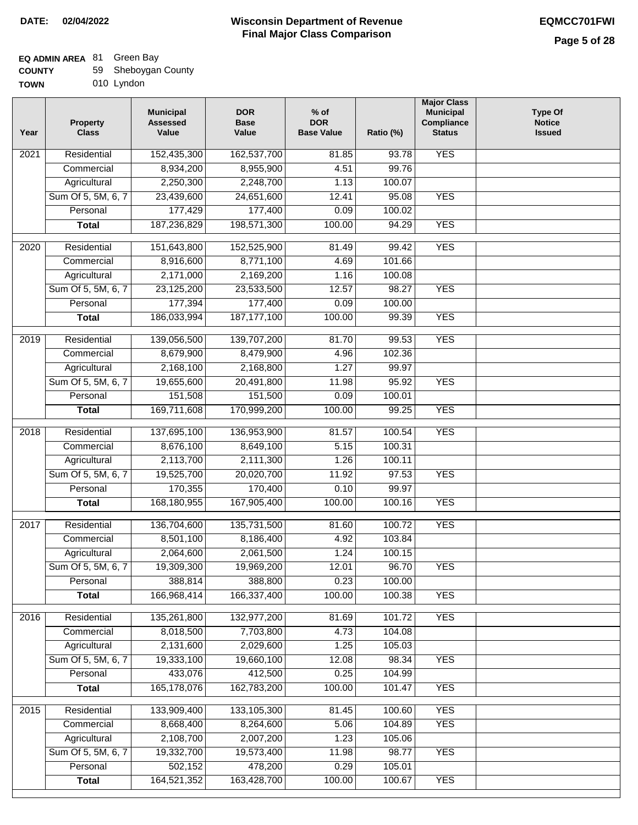### **EQ ADMIN AREA** 81 Green Bay

| <b>COUNTY</b> | 59 Sheboygan County |
|---------------|---------------------|
|---------------|---------------------|

**TOWN** 010 Lyndon

| Year | <b>Property</b><br><b>Class</b> | <b>Municipal</b><br><b>Assessed</b><br>Value | <b>DOR</b><br><b>Base</b><br>Value | $%$ of<br><b>DOR</b><br><b>Base Value</b> | Ratio (%) | <b>Major Class</b><br><b>Municipal</b><br>Compliance<br><b>Status</b> | <b>Type Of</b><br><b>Notice</b><br><b>Issued</b> |
|------|---------------------------------|----------------------------------------------|------------------------------------|-------------------------------------------|-----------|-----------------------------------------------------------------------|--------------------------------------------------|
| 2021 | Residential                     | 152,435,300                                  | 162,537,700                        | 81.85                                     | 93.78     | <b>YES</b>                                                            |                                                  |
|      | Commercial                      | 8,934,200                                    | 8,955,900                          | 4.51                                      | 99.76     |                                                                       |                                                  |
|      | Agricultural                    | 2,250,300                                    | 2,248,700                          | 1.13                                      | 100.07    |                                                                       |                                                  |
|      | Sum Of 5, 5M, 6, 7              | 23,439,600                                   | 24,651,600                         | 12.41                                     | 95.08     | <b>YES</b>                                                            |                                                  |
|      | Personal                        | 177,429                                      | 177,400                            | 0.09                                      | 100.02    |                                                                       |                                                  |
|      | <b>Total</b>                    | 187,236,829                                  | 198,571,300                        | 100.00                                    | 94.29     | <b>YES</b>                                                            |                                                  |
| 2020 | Residential                     | 151,643,800                                  | 152,525,900                        | 81.49                                     | 99.42     | <b>YES</b>                                                            |                                                  |
|      | Commercial                      | 8,916,600                                    | 8,771,100                          | 4.69                                      | 101.66    |                                                                       |                                                  |
|      | Agricultural                    | 2,171,000                                    | 2,169,200                          | 1.16                                      | 100.08    |                                                                       |                                                  |
|      | Sum Of 5, 5M, 6, 7              | 23,125,200                                   | 23,533,500                         | 12.57                                     | 98.27     | <b>YES</b>                                                            |                                                  |
|      | Personal                        | 177,394                                      | 177,400                            | 0.09                                      | 100.00    |                                                                       |                                                  |
|      | <b>Total</b>                    | 186,033,994                                  | 187, 177, 100                      | 100.00                                    | 99.39     | <b>YES</b>                                                            |                                                  |
| 2019 | Residential                     | 139,056,500                                  | 139,707,200                        | 81.70                                     | 99.53     | <b>YES</b>                                                            |                                                  |
|      | Commercial                      | 8,679,900                                    | 8,479,900                          | 4.96                                      | 102.36    |                                                                       |                                                  |
|      | Agricultural                    | 2,168,100                                    | 2,168,800                          | 1.27                                      | 99.97     |                                                                       |                                                  |
|      | Sum Of 5, 5M, 6, 7              | 19,655,600                                   | 20,491,800                         | 11.98                                     | 95.92     | <b>YES</b>                                                            |                                                  |
|      | Personal                        | 151,508                                      | 151,500                            | 0.09                                      | 100.01    |                                                                       |                                                  |
|      | <b>Total</b>                    | 169,711,608                                  | 170,999,200                        | 100.00                                    | 99.25     | <b>YES</b>                                                            |                                                  |
| 2018 | Residential                     | 137,695,100                                  | 136,953,900                        | 81.57                                     | 100.54    | <b>YES</b>                                                            |                                                  |
|      | Commercial                      | 8,676,100                                    | 8,649,100                          | 5.15                                      | 100.31    |                                                                       |                                                  |
|      | Agricultural                    | 2,113,700                                    | 2,111,300                          | 1.26                                      | 100.11    |                                                                       |                                                  |
|      | Sum Of 5, 5M, 6, 7              | 19,525,700                                   | 20,020,700                         | 11.92                                     | 97.53     | <b>YES</b>                                                            |                                                  |
|      | Personal                        | 170,355                                      | 170,400                            | 0.10                                      | 99.97     |                                                                       |                                                  |
|      | <b>Total</b>                    | 168,180,955                                  | 167,905,400                        | 100.00                                    | 100.16    | <b>YES</b>                                                            |                                                  |
| 2017 | Residential                     | 136,704,600                                  | 135,731,500                        | 81.60                                     | 100.72    | <b>YES</b>                                                            |                                                  |
|      | Commercial                      | 8,501,100                                    | 8,186,400                          | 4.92                                      | 103.84    |                                                                       |                                                  |
|      | Agricultural                    | 2,064,600                                    | 2,061,500                          | 1.24                                      | 100.15    |                                                                       |                                                  |
|      | Sum Of 5, 5M, 6, 7              | 19,309,300                                   | 19,969,200                         | 12.01                                     | 96.70     | <b>YES</b>                                                            |                                                  |
|      | Personal                        | 388,814                                      | 388,800                            | 0.23                                      | 100.00    |                                                                       |                                                  |
|      | <b>Total</b>                    | 166,968,414                                  | 166,337,400                        | 100.00                                    | 100.38    | <b>YES</b>                                                            |                                                  |
| 2016 | Residential                     | 135,261,800                                  | 132,977,200                        | 81.69                                     | 101.72    | <b>YES</b>                                                            |                                                  |
|      | Commercial                      | 8,018,500                                    | 7,703,800                          | 4.73                                      | 104.08    |                                                                       |                                                  |
|      | Agricultural                    | 2,131,600                                    | 2,029,600                          | 1.25                                      | 105.03    |                                                                       |                                                  |
|      | Sum Of 5, 5M, 6, 7              | 19,333,100                                   | 19,660,100                         | 12.08                                     | 98.34     | <b>YES</b>                                                            |                                                  |
|      | Personal                        | 433,076                                      | 412,500                            | 0.25                                      | 104.99    |                                                                       |                                                  |
|      | <b>Total</b>                    | 165,178,076                                  | 162,783,200                        | 100.00                                    | 101.47    | <b>YES</b>                                                            |                                                  |
| 2015 | Residential                     | 133,909,400                                  | 133,105,300                        | 81.45                                     | 100.60    | <b>YES</b>                                                            |                                                  |
|      | Commercial                      | 8,668,400                                    | 8,264,600                          | 5.06                                      | 104.89    | <b>YES</b>                                                            |                                                  |
|      | Agricultural                    | 2,108,700                                    | 2,007,200                          | 1.23                                      | 105.06    |                                                                       |                                                  |
|      | Sum Of 5, 5M, 6, 7              | 19,332,700                                   | 19,573,400                         | 11.98                                     | 98.77     | <b>YES</b>                                                            |                                                  |
|      | Personal                        | 502,152                                      | 478,200                            | 0.29                                      | 105.01    |                                                                       |                                                  |
|      | <b>Total</b>                    | 164,521,352                                  | 163,428,700                        | 100.00                                    | 100.67    | <b>YES</b>                                                            |                                                  |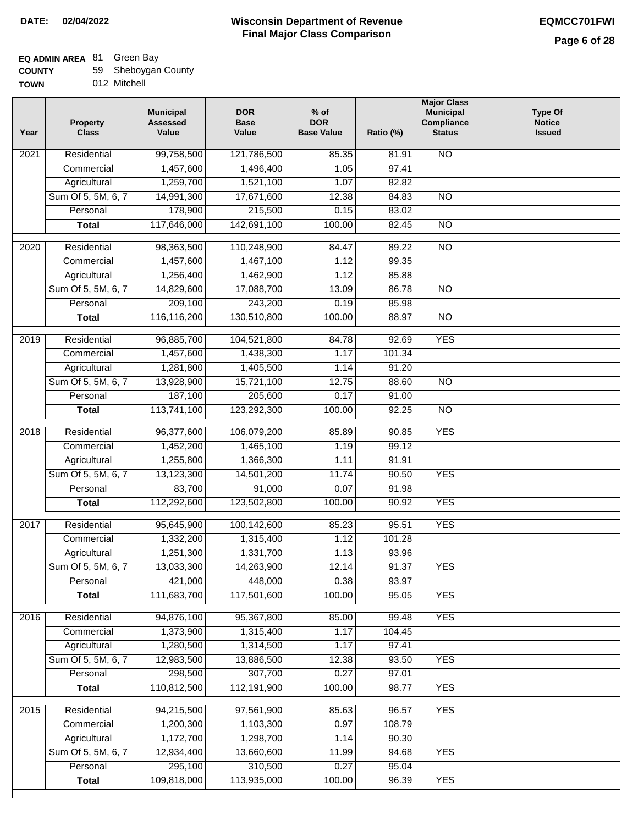### **EQ ADMIN AREA** 81 Green Bay

| <b>COUNTY</b> | 59 Sheboygan County |
|---------------|---------------------|
|---------------|---------------------|

**TOWN** 012 Mitchell

| Year | <b>Property</b><br><b>Class</b> | <b>Municipal</b><br><b>Assessed</b><br>Value | <b>DOR</b><br><b>Base</b><br>Value | $%$ of<br><b>DOR</b><br><b>Base Value</b> | Ratio (%) | <b>Major Class</b><br><b>Municipal</b><br>Compliance<br><b>Status</b> | <b>Type Of</b><br><b>Notice</b><br><b>Issued</b> |
|------|---------------------------------|----------------------------------------------|------------------------------------|-------------------------------------------|-----------|-----------------------------------------------------------------------|--------------------------------------------------|
| 2021 | Residential                     | 99,758,500                                   | 121,786,500                        | 85.35                                     | 81.91     | <b>NO</b>                                                             |                                                  |
|      | Commercial                      | 1,457,600                                    | 1,496,400                          | 1.05                                      | 97.41     |                                                                       |                                                  |
|      | Agricultural                    | 1,259,700                                    | 1,521,100                          | 1.07                                      | 82.82     |                                                                       |                                                  |
|      | Sum Of 5, 5M, 6, 7              | 14,991,300                                   | 17,671,600                         | 12.38                                     | 84.83     | $\overline{NO}$                                                       |                                                  |
|      | Personal                        | 178,900                                      | 215,500                            | 0.15                                      | 83.02     |                                                                       |                                                  |
|      | <b>Total</b>                    | 117,646,000                                  | 142,691,100                        | 100.00                                    | 82.45     | $\overline{NO}$                                                       |                                                  |
| 2020 | Residential                     | 98,363,500                                   | 110,248,900                        | 84.47                                     | 89.22     | $\overline{NO}$                                                       |                                                  |
|      | Commercial                      | 1,457,600                                    | 1,467,100                          | 1.12                                      | 99.35     |                                                                       |                                                  |
|      | Agricultural                    | 1,256,400                                    | 1,462,900                          | 1.12                                      | 85.88     |                                                                       |                                                  |
|      | Sum Of 5, 5M, 6, 7              | 14,829,600                                   | 17,088,700                         | 13.09                                     | 86.78     | <b>NO</b>                                                             |                                                  |
|      | Personal                        | 209,100                                      | 243,200                            | 0.19                                      | 85.98     |                                                                       |                                                  |
|      | <b>Total</b>                    | 116,116,200                                  | 130,510,800                        | 100.00                                    | 88.97     | $\overline{NO}$                                                       |                                                  |
| 2019 | Residential                     | 96,885,700                                   | 104,521,800                        | 84.78                                     | 92.69     | <b>YES</b>                                                            |                                                  |
|      | Commercial                      | 1,457,600                                    | 1,438,300                          | 1.17                                      | 101.34    |                                                                       |                                                  |
|      | Agricultural                    | 1,281,800                                    | 1,405,500                          | 1.14                                      | 91.20     |                                                                       |                                                  |
|      | Sum Of 5, 5M, 6, 7              | 13,928,900                                   | 15,721,100                         | 12.75                                     | 88.60     | $\overline{NO}$                                                       |                                                  |
|      | Personal                        | 187,100                                      | 205,600                            | 0.17                                      | 91.00     |                                                                       |                                                  |
|      | <b>Total</b>                    | 113,741,100                                  | 123,292,300                        | 100.00                                    | 92.25     | $\overline{NO}$                                                       |                                                  |
| 2018 | Residential                     | 96,377,600                                   | 106,079,200                        | 85.89                                     | 90.85     | <b>YES</b>                                                            |                                                  |
|      | Commercial                      | 1,452,200                                    | 1,465,100                          | 1.19                                      | 99.12     |                                                                       |                                                  |
|      | Agricultural                    | 1,255,800                                    | 1,366,300                          | 1.11                                      | 91.91     |                                                                       |                                                  |
|      | Sum Of 5, 5M, 6, 7              | 13,123,300                                   | 14,501,200                         | 11.74                                     | 90.50     | <b>YES</b>                                                            |                                                  |
|      | Personal                        | 83,700                                       | 91,000                             | 0.07                                      | 91.98     |                                                                       |                                                  |
|      | <b>Total</b>                    | 112,292,600                                  | 123,502,800                        | 100.00                                    | 90.92     | <b>YES</b>                                                            |                                                  |
| 2017 | Residential                     | 95,645,900                                   | 100,142,600                        | 85.23                                     | 95.51     | <b>YES</b>                                                            |                                                  |
|      | Commercial                      | 1,332,200                                    | 1,315,400                          | 1.12                                      | 101.28    |                                                                       |                                                  |
|      | Agricultural                    | 1,251,300                                    | 1,331,700                          | 1.13                                      | 93.96     |                                                                       |                                                  |
|      | Sum Of 5, 5M, 6, 7              | 13,033,300                                   | 14,263,900                         | 12.14                                     | 91.37     | <b>YES</b>                                                            |                                                  |
|      | Personal                        | 421,000                                      | 448,000                            | 0.38                                      | 93.97     |                                                                       |                                                  |
|      | <b>Total</b>                    | 111,683,700                                  | 117,501,600                        | 100.00                                    | 95.05     | <b>YES</b>                                                            |                                                  |
|      |                                 |                                              |                                    |                                           |           |                                                                       |                                                  |
| 2016 | Residential                     | 94,876,100                                   | 95,367,800                         | 85.00                                     | 99.48     | <b>YES</b>                                                            |                                                  |
|      | Commercial                      | 1,373,900                                    | 1,315,400                          | 1.17                                      | 104.45    |                                                                       |                                                  |
|      | Agricultural                    | 1,280,500                                    | 1,314,500                          | 1.17                                      | 97.41     |                                                                       |                                                  |
|      | Sum Of 5, 5M, 6, 7              | 12,983,500                                   | 13,886,500                         | 12.38                                     | 93.50     | <b>YES</b>                                                            |                                                  |
|      | Personal                        | 298,500                                      | 307,700                            | 0.27                                      | 97.01     |                                                                       |                                                  |
|      | <b>Total</b>                    | 110,812,500                                  | 112,191,900                        | 100.00                                    | 98.77     | <b>YES</b>                                                            |                                                  |
| 2015 | Residential                     | 94,215,500                                   | 97,561,900                         | 85.63                                     | 96.57     | <b>YES</b>                                                            |                                                  |
|      | Commercial                      | 1,200,300                                    | 1,103,300                          | 0.97                                      | 108.79    |                                                                       |                                                  |
|      | Agricultural                    | 1,172,700                                    | 1,298,700                          | 1.14                                      | 90.30     |                                                                       |                                                  |
|      | Sum Of 5, 5M, 6, 7              | 12,934,400                                   | 13,660,600                         | 11.99                                     | 94.68     | <b>YES</b>                                                            |                                                  |
|      | Personal                        | 295,100                                      | 310,500                            | 0.27                                      | 95.04     |                                                                       |                                                  |
|      | <b>Total</b>                    | 109,818,000                                  | 113,935,000                        | 100.00                                    | 96.39     | <b>YES</b>                                                            |                                                  |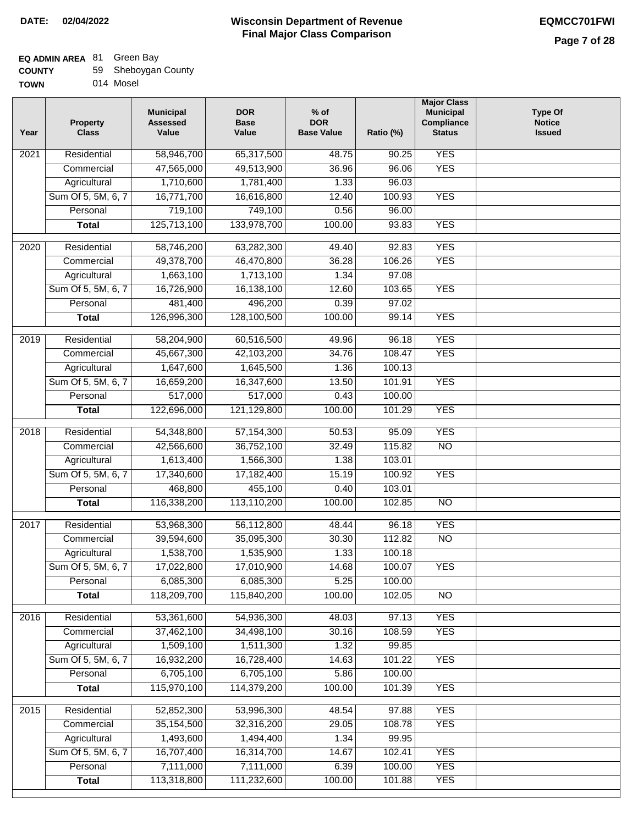### **EQ ADMIN AREA** 81 Green Bay

| <b>COUNTY</b> | 59 Sheboygan County |
|---------------|---------------------|
|---------------|---------------------|

**TOWN** 014 Mosel

| Year              | <b>Property</b><br><b>Class</b> | <b>Municipal</b><br><b>Assessed</b><br>Value | <b>DOR</b><br><b>Base</b><br>Value | $%$ of<br><b>DOR</b><br><b>Base Value</b> | Ratio (%) | <b>Major Class</b><br><b>Municipal</b><br>Compliance<br><b>Status</b> | <b>Type Of</b><br><b>Notice</b><br><b>Issued</b> |
|-------------------|---------------------------------|----------------------------------------------|------------------------------------|-------------------------------------------|-----------|-----------------------------------------------------------------------|--------------------------------------------------|
| $\overline{202}1$ | Residential                     | 58,946,700                                   | 65,317,500                         | 48.75                                     | 90.25     | <b>YES</b>                                                            |                                                  |
|                   | Commercial                      | 47,565,000                                   | 49,513,900                         | 36.96                                     | 96.06     | <b>YES</b>                                                            |                                                  |
|                   | Agricultural                    | 1,710,600                                    | 1,781,400                          | 1.33                                      | 96.03     |                                                                       |                                                  |
|                   | Sum Of 5, 5M, 6, 7              | 16,771,700                                   | 16,616,800                         | 12.40                                     | 100.93    | <b>YES</b>                                                            |                                                  |
|                   | Personal                        | 719,100                                      | 749,100                            | 0.56                                      | 96.00     |                                                                       |                                                  |
|                   | <b>Total</b>                    | 125,713,100                                  | 133,978,700                        | 100.00                                    | 93.83     | <b>YES</b>                                                            |                                                  |
| $\overline{2020}$ | Residential                     | 58,746,200                                   | 63,282,300                         | 49.40                                     | 92.83     | <b>YES</b>                                                            |                                                  |
|                   | Commercial                      | 49,378,700                                   | 46,470,800                         | 36.28                                     | 106.26    | <b>YES</b>                                                            |                                                  |
|                   | Agricultural                    | 1,663,100                                    | 1,713,100                          | 1.34                                      | 97.08     |                                                                       |                                                  |
|                   | Sum Of 5, 5M, 6, 7              | 16,726,900                                   | 16,138,100                         | 12.60                                     | 103.65    | <b>YES</b>                                                            |                                                  |
|                   | Personal                        | 481,400                                      | 496,200                            | 0.39                                      | 97.02     |                                                                       |                                                  |
|                   | <b>Total</b>                    | 126,996,300                                  | 128,100,500                        | 100.00                                    | 99.14     | <b>YES</b>                                                            |                                                  |
| 2019              | Residential                     | 58,204,900                                   | 60,516,500                         | 49.96                                     | 96.18     | <b>YES</b>                                                            |                                                  |
|                   | Commercial                      | 45,667,300                                   | 42,103,200                         | 34.76                                     | 108.47    | <b>YES</b>                                                            |                                                  |
|                   | Agricultural                    | 1,647,600                                    | 1,645,500                          | 1.36                                      | 100.13    |                                                                       |                                                  |
|                   | Sum Of 5, 5M, 6, 7              | 16,659,200                                   | 16,347,600                         | 13.50                                     | 101.91    | <b>YES</b>                                                            |                                                  |
|                   | Personal                        | 517,000                                      | 517,000                            | 0.43                                      | 100.00    |                                                                       |                                                  |
|                   | <b>Total</b>                    | 122,696,000                                  | 121,129,800                        | 100.00                                    | 101.29    | <b>YES</b>                                                            |                                                  |
| 2018              | Residential                     | 54,348,800                                   | 57,154,300                         | 50.53                                     | 95.09     | <b>YES</b>                                                            |                                                  |
|                   | Commercial                      | 42,566,600                                   | 36,752,100                         | 32.49                                     | 115.82    | <b>NO</b>                                                             |                                                  |
|                   | Agricultural                    | 1,613,400                                    | 1,566,300                          | 1.38                                      | 103.01    |                                                                       |                                                  |
|                   | Sum Of 5, 5M, 6, 7              | 17,340,600                                   | 17,182,400                         | 15.19                                     | 100.92    | <b>YES</b>                                                            |                                                  |
|                   | Personal                        | 468,800                                      | 455,100                            | 0.40                                      | 103.01    |                                                                       |                                                  |
|                   | <b>Total</b>                    | 116,338,200                                  | 113,110,200                        | 100.00                                    | 102.85    | $\overline{10}$                                                       |                                                  |
| 2017              | Residential                     | 53,968,300                                   | 56,112,800                         | 48.44                                     | 96.18     | <b>YES</b>                                                            |                                                  |
|                   | Commercial                      | 39,594,600                                   | 35,095,300                         | 30.30                                     | 112.82    | $\overline{N}$                                                        |                                                  |
|                   | Agricultural                    | 1,538,700                                    | 1,535,900                          | 1.33                                      | 100.18    |                                                                       |                                                  |
|                   | Sum Of 5, 5M, 6, 7              | 17,022,800                                   | 17,010,900                         | 14.68                                     | 100.07    | <b>YES</b>                                                            |                                                  |
|                   | Personal                        | 6,085,300                                    | 6,085,300                          | 5.25                                      | 100.00    |                                                                       |                                                  |
|                   | <b>Total</b>                    | 118,209,700                                  | 115,840,200                        | 100.00                                    | 102.05    | <b>NO</b>                                                             |                                                  |
|                   |                                 |                                              |                                    |                                           |           |                                                                       |                                                  |
| 2016              | Residential                     | 53,361,600                                   | 54,936,300                         | 48.03                                     | 97.13     | <b>YES</b>                                                            |                                                  |
|                   | Commercial                      | 37,462,100                                   | 34,498,100                         | 30.16                                     | 108.59    | <b>YES</b>                                                            |                                                  |
|                   | Agricultural                    | 1,509,100                                    | 1,511,300                          | 1.32                                      | 99.85     |                                                                       |                                                  |
|                   | Sum Of 5, 5M, 6, 7              | 16,932,200                                   | 16,728,400                         | 14.63                                     | 101.22    | <b>YES</b>                                                            |                                                  |
|                   | Personal                        | 6,705,100                                    | 6,705,100                          | 5.86                                      | 100.00    |                                                                       |                                                  |
|                   | <b>Total</b>                    | 115,970,100                                  | 114,379,200                        | 100.00                                    | 101.39    | <b>YES</b>                                                            |                                                  |
| 2015              | Residential                     | 52,852,300                                   | 53,996,300                         | 48.54                                     | 97.88     | <b>YES</b>                                                            |                                                  |
|                   | Commercial                      | 35, 154, 500                                 | 32,316,200                         | 29.05                                     | 108.78    | <b>YES</b>                                                            |                                                  |
|                   | Agricultural                    | 1,493,600                                    | 1,494,400                          | 1.34                                      | 99.95     |                                                                       |                                                  |
|                   | Sum Of 5, 5M, 6, 7              | 16,707,400                                   | 16,314,700                         | 14.67                                     | 102.41    | <b>YES</b>                                                            |                                                  |
|                   | Personal                        | 7,111,000                                    | 7,111,000                          | 6.39                                      | 100.00    | <b>YES</b>                                                            |                                                  |
|                   | <b>Total</b>                    | 113,318,800                                  | 111,232,600                        | 100.00                                    | 101.88    | <b>YES</b>                                                            |                                                  |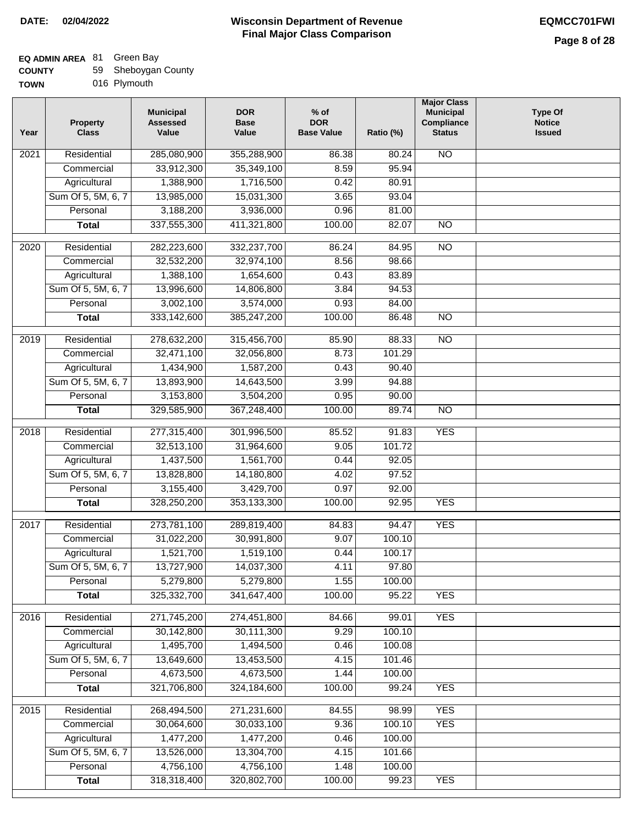| <b>COUNTY</b> | 59 Sheboygan County |
|---------------|---------------------|
|---------------|---------------------|

| <b>TOWN</b> | 016 Plymouth |
|-------------|--------------|
|-------------|--------------|

| Residential<br>285,080,900<br>$\overline{NO}$<br>$\overline{202}1$<br>355,288,900<br>86.38<br>80.24<br>33,912,300<br>35,349,100<br>8.59<br>95.94<br>Commercial<br>Agricultural<br>1,388,900<br>1,716,500<br>80.91<br>0.42<br>Sum Of 5, 5M, 6, 7<br>13,985,000<br>15,031,300<br>3.65<br>93.04<br>3,188,200<br>3,936,000<br>Personal<br>0.96<br>81.00<br>337,555,300<br>411,321,800<br>100.00<br>82.07<br>$\overline{NO}$<br><b>Total</b><br>$\overline{NO}$<br>$\overline{2020}$<br>Residential<br>282,223,600<br>332,237,700<br>86.24<br>84.95<br>Commercial<br>32,532,200<br>32,974,100<br>8.56<br>98.66<br>1,388,100<br>1,654,600<br>0.43<br>83.89<br>Agricultural<br>Sum Of 5, 5M, 6, 7<br>13,996,600<br>14,806,800<br>3.84<br>94.53<br>3,002,100<br>3,574,000<br>0.93<br>84.00<br>Personal<br>333,142,600<br>385,247,200<br>100.00<br>86.48<br>N <sub>O</sub><br><b>Total</b><br>2019<br>Residential<br>278,632,200<br>315,456,700<br>85.90<br>88.33<br><b>NO</b><br>32,471,100<br>8.73<br>101.29<br>Commercial<br>32,056,800<br>1,434,900<br>1,587,200<br>0.43<br>90.40<br>Agricultural<br>Sum Of 5, 5M, 6, 7<br>13,893,900<br>14,643,500<br>3.99<br>94.88<br>3,153,800<br>Personal<br>3,504,200<br>0.95<br>90.00<br>367,248,400<br>100.00<br>89.74<br>$\overline{NO}$<br><b>Total</b><br>329,585,900<br>Residential<br>277,315,400<br><b>YES</b><br>2018<br>301,996,500<br>85.52<br>91.83<br>32,513,100<br>101.72<br>Commercial<br>31,964,600<br>9.05<br>1,437,500<br>1,561,700<br>Agricultural<br>0.44<br>92.05<br>Sum Of 5, 5M, 6, 7<br>13,828,800<br>14,180,800<br>97.52<br>4.02<br>Personal<br>3,155,400<br>3,429,700<br>0.97<br>92.00<br>328,250,200<br>353,133,300<br>100.00<br><b>YES</b><br><b>Total</b><br>92.95<br>2017<br>Residential<br>273,781,100<br>289,819,400<br>94.47<br><b>YES</b><br>84.83<br>Commercial<br>31,022,200<br>30,991,800<br>9.07<br>100.10<br>1,521,700<br>1,519,100<br>0.44<br>100.17<br>Agricultural<br>13,727,900<br>Sum Of 5, 5M, 6, 7<br>14,037,300<br>97.80<br>4.11<br>1.55<br>Personal<br>5,279,800<br>5,279,800<br>100.00<br>325,332,700<br>341,647,400<br>100.00<br>95.22<br><b>YES</b><br><b>Total</b><br>271,745,200<br><b>YES</b><br>Residential<br>274,451,800<br>2016<br>84.66<br>99.01<br>30,142,800<br>30,111,300<br>9.29<br>100.10<br>Commercial<br>1,495,700<br>1,494,500<br>100.08<br>Agricultural<br>0.46<br>Sum Of 5, 5M, 6, 7<br>13,649,600<br>13,453,500<br>4.15<br>101.46<br>4,673,500<br>4,673,500<br>Personal<br>1.44<br>100.00<br><b>YES</b><br>321,706,800<br>324,184,600<br>100.00<br>99.24<br><b>Total</b><br>Residential<br><b>YES</b><br>268,494,500<br>271,231,600<br>84.55<br>98.99<br>2015<br>30,064,600<br>30,033,100<br>9.36<br>100.10<br><b>YES</b><br>Commercial<br>1,477,200<br>1,477,200<br>0.46<br>100.00<br>Agricultural<br>Sum Of 5, 5M, 6, 7<br>13,526,000<br>13,304,700<br>101.66<br>4.15<br>4,756,100<br>4,756,100<br>100.00<br>Personal<br>1.48<br>318,318,400<br>320,802,700<br>100.00<br><b>Total</b><br>99.23<br><b>YES</b> | Year | <b>Property</b><br><b>Class</b> | <b>Municipal</b><br><b>Assessed</b><br>Value | <b>DOR</b><br><b>Base</b><br>Value | % of<br><b>DOR</b><br><b>Base Value</b> | Ratio (%) | <b>Major Class</b><br><b>Municipal</b><br>Compliance<br><b>Status</b> | <b>Type Of</b><br><b>Notice</b><br><b>Issued</b> |
|----------------------------------------------------------------------------------------------------------------------------------------------------------------------------------------------------------------------------------------------------------------------------------------------------------------------------------------------------------------------------------------------------------------------------------------------------------------------------------------------------------------------------------------------------------------------------------------------------------------------------------------------------------------------------------------------------------------------------------------------------------------------------------------------------------------------------------------------------------------------------------------------------------------------------------------------------------------------------------------------------------------------------------------------------------------------------------------------------------------------------------------------------------------------------------------------------------------------------------------------------------------------------------------------------------------------------------------------------------------------------------------------------------------------------------------------------------------------------------------------------------------------------------------------------------------------------------------------------------------------------------------------------------------------------------------------------------------------------------------------------------------------------------------------------------------------------------------------------------------------------------------------------------------------------------------------------------------------------------------------------------------------------------------------------------------------------------------------------------------------------------------------------------------------------------------------------------------------------------------------------------------------------------------------------------------------------------------------------------------------------------------------------------------------------------------------------------------------------------------------------------------------------------------------------------------------------------------------------------------------------------------------------------------------------------------------------------------------------------------------------------------------------------------------------------------------------------------------------------------------------------------------------------------------------------------------------------------------------------------------------------------------|------|---------------------------------|----------------------------------------------|------------------------------------|-----------------------------------------|-----------|-----------------------------------------------------------------------|--------------------------------------------------|
|                                                                                                                                                                                                                                                                                                                                                                                                                                                                                                                                                                                                                                                                                                                                                                                                                                                                                                                                                                                                                                                                                                                                                                                                                                                                                                                                                                                                                                                                                                                                                                                                                                                                                                                                                                                                                                                                                                                                                                                                                                                                                                                                                                                                                                                                                                                                                                                                                                                                                                                                                                                                                                                                                                                                                                                                                                                                                                                                                                                                                      |      |                                 |                                              |                                    |                                         |           |                                                                       |                                                  |
|                                                                                                                                                                                                                                                                                                                                                                                                                                                                                                                                                                                                                                                                                                                                                                                                                                                                                                                                                                                                                                                                                                                                                                                                                                                                                                                                                                                                                                                                                                                                                                                                                                                                                                                                                                                                                                                                                                                                                                                                                                                                                                                                                                                                                                                                                                                                                                                                                                                                                                                                                                                                                                                                                                                                                                                                                                                                                                                                                                                                                      |      |                                 |                                              |                                    |                                         |           |                                                                       |                                                  |
|                                                                                                                                                                                                                                                                                                                                                                                                                                                                                                                                                                                                                                                                                                                                                                                                                                                                                                                                                                                                                                                                                                                                                                                                                                                                                                                                                                                                                                                                                                                                                                                                                                                                                                                                                                                                                                                                                                                                                                                                                                                                                                                                                                                                                                                                                                                                                                                                                                                                                                                                                                                                                                                                                                                                                                                                                                                                                                                                                                                                                      |      |                                 |                                              |                                    |                                         |           |                                                                       |                                                  |
|                                                                                                                                                                                                                                                                                                                                                                                                                                                                                                                                                                                                                                                                                                                                                                                                                                                                                                                                                                                                                                                                                                                                                                                                                                                                                                                                                                                                                                                                                                                                                                                                                                                                                                                                                                                                                                                                                                                                                                                                                                                                                                                                                                                                                                                                                                                                                                                                                                                                                                                                                                                                                                                                                                                                                                                                                                                                                                                                                                                                                      |      |                                 |                                              |                                    |                                         |           |                                                                       |                                                  |
|                                                                                                                                                                                                                                                                                                                                                                                                                                                                                                                                                                                                                                                                                                                                                                                                                                                                                                                                                                                                                                                                                                                                                                                                                                                                                                                                                                                                                                                                                                                                                                                                                                                                                                                                                                                                                                                                                                                                                                                                                                                                                                                                                                                                                                                                                                                                                                                                                                                                                                                                                                                                                                                                                                                                                                                                                                                                                                                                                                                                                      |      |                                 |                                              |                                    |                                         |           |                                                                       |                                                  |
|                                                                                                                                                                                                                                                                                                                                                                                                                                                                                                                                                                                                                                                                                                                                                                                                                                                                                                                                                                                                                                                                                                                                                                                                                                                                                                                                                                                                                                                                                                                                                                                                                                                                                                                                                                                                                                                                                                                                                                                                                                                                                                                                                                                                                                                                                                                                                                                                                                                                                                                                                                                                                                                                                                                                                                                                                                                                                                                                                                                                                      |      |                                 |                                              |                                    |                                         |           |                                                                       |                                                  |
|                                                                                                                                                                                                                                                                                                                                                                                                                                                                                                                                                                                                                                                                                                                                                                                                                                                                                                                                                                                                                                                                                                                                                                                                                                                                                                                                                                                                                                                                                                                                                                                                                                                                                                                                                                                                                                                                                                                                                                                                                                                                                                                                                                                                                                                                                                                                                                                                                                                                                                                                                                                                                                                                                                                                                                                                                                                                                                                                                                                                                      |      |                                 |                                              |                                    |                                         |           |                                                                       |                                                  |
|                                                                                                                                                                                                                                                                                                                                                                                                                                                                                                                                                                                                                                                                                                                                                                                                                                                                                                                                                                                                                                                                                                                                                                                                                                                                                                                                                                                                                                                                                                                                                                                                                                                                                                                                                                                                                                                                                                                                                                                                                                                                                                                                                                                                                                                                                                                                                                                                                                                                                                                                                                                                                                                                                                                                                                                                                                                                                                                                                                                                                      |      |                                 |                                              |                                    |                                         |           |                                                                       |                                                  |
|                                                                                                                                                                                                                                                                                                                                                                                                                                                                                                                                                                                                                                                                                                                                                                                                                                                                                                                                                                                                                                                                                                                                                                                                                                                                                                                                                                                                                                                                                                                                                                                                                                                                                                                                                                                                                                                                                                                                                                                                                                                                                                                                                                                                                                                                                                                                                                                                                                                                                                                                                                                                                                                                                                                                                                                                                                                                                                                                                                                                                      |      |                                 |                                              |                                    |                                         |           |                                                                       |                                                  |
|                                                                                                                                                                                                                                                                                                                                                                                                                                                                                                                                                                                                                                                                                                                                                                                                                                                                                                                                                                                                                                                                                                                                                                                                                                                                                                                                                                                                                                                                                                                                                                                                                                                                                                                                                                                                                                                                                                                                                                                                                                                                                                                                                                                                                                                                                                                                                                                                                                                                                                                                                                                                                                                                                                                                                                                                                                                                                                                                                                                                                      |      |                                 |                                              |                                    |                                         |           |                                                                       |                                                  |
|                                                                                                                                                                                                                                                                                                                                                                                                                                                                                                                                                                                                                                                                                                                                                                                                                                                                                                                                                                                                                                                                                                                                                                                                                                                                                                                                                                                                                                                                                                                                                                                                                                                                                                                                                                                                                                                                                                                                                                                                                                                                                                                                                                                                                                                                                                                                                                                                                                                                                                                                                                                                                                                                                                                                                                                                                                                                                                                                                                                                                      |      |                                 |                                              |                                    |                                         |           |                                                                       |                                                  |
|                                                                                                                                                                                                                                                                                                                                                                                                                                                                                                                                                                                                                                                                                                                                                                                                                                                                                                                                                                                                                                                                                                                                                                                                                                                                                                                                                                                                                                                                                                                                                                                                                                                                                                                                                                                                                                                                                                                                                                                                                                                                                                                                                                                                                                                                                                                                                                                                                                                                                                                                                                                                                                                                                                                                                                                                                                                                                                                                                                                                                      |      |                                 |                                              |                                    |                                         |           |                                                                       |                                                  |
|                                                                                                                                                                                                                                                                                                                                                                                                                                                                                                                                                                                                                                                                                                                                                                                                                                                                                                                                                                                                                                                                                                                                                                                                                                                                                                                                                                                                                                                                                                                                                                                                                                                                                                                                                                                                                                                                                                                                                                                                                                                                                                                                                                                                                                                                                                                                                                                                                                                                                                                                                                                                                                                                                                                                                                                                                                                                                                                                                                                                                      |      |                                 |                                              |                                    |                                         |           |                                                                       |                                                  |
|                                                                                                                                                                                                                                                                                                                                                                                                                                                                                                                                                                                                                                                                                                                                                                                                                                                                                                                                                                                                                                                                                                                                                                                                                                                                                                                                                                                                                                                                                                                                                                                                                                                                                                                                                                                                                                                                                                                                                                                                                                                                                                                                                                                                                                                                                                                                                                                                                                                                                                                                                                                                                                                                                                                                                                                                                                                                                                                                                                                                                      |      |                                 |                                              |                                    |                                         |           |                                                                       |                                                  |
|                                                                                                                                                                                                                                                                                                                                                                                                                                                                                                                                                                                                                                                                                                                                                                                                                                                                                                                                                                                                                                                                                                                                                                                                                                                                                                                                                                                                                                                                                                                                                                                                                                                                                                                                                                                                                                                                                                                                                                                                                                                                                                                                                                                                                                                                                                                                                                                                                                                                                                                                                                                                                                                                                                                                                                                                                                                                                                                                                                                                                      |      |                                 |                                              |                                    |                                         |           |                                                                       |                                                  |
|                                                                                                                                                                                                                                                                                                                                                                                                                                                                                                                                                                                                                                                                                                                                                                                                                                                                                                                                                                                                                                                                                                                                                                                                                                                                                                                                                                                                                                                                                                                                                                                                                                                                                                                                                                                                                                                                                                                                                                                                                                                                                                                                                                                                                                                                                                                                                                                                                                                                                                                                                                                                                                                                                                                                                                                                                                                                                                                                                                                                                      |      |                                 |                                              |                                    |                                         |           |                                                                       |                                                  |
|                                                                                                                                                                                                                                                                                                                                                                                                                                                                                                                                                                                                                                                                                                                                                                                                                                                                                                                                                                                                                                                                                                                                                                                                                                                                                                                                                                                                                                                                                                                                                                                                                                                                                                                                                                                                                                                                                                                                                                                                                                                                                                                                                                                                                                                                                                                                                                                                                                                                                                                                                                                                                                                                                                                                                                                                                                                                                                                                                                                                                      |      |                                 |                                              |                                    |                                         |           |                                                                       |                                                  |
|                                                                                                                                                                                                                                                                                                                                                                                                                                                                                                                                                                                                                                                                                                                                                                                                                                                                                                                                                                                                                                                                                                                                                                                                                                                                                                                                                                                                                                                                                                                                                                                                                                                                                                                                                                                                                                                                                                                                                                                                                                                                                                                                                                                                                                                                                                                                                                                                                                                                                                                                                                                                                                                                                                                                                                                                                                                                                                                                                                                                                      |      |                                 |                                              |                                    |                                         |           |                                                                       |                                                  |
|                                                                                                                                                                                                                                                                                                                                                                                                                                                                                                                                                                                                                                                                                                                                                                                                                                                                                                                                                                                                                                                                                                                                                                                                                                                                                                                                                                                                                                                                                                                                                                                                                                                                                                                                                                                                                                                                                                                                                                                                                                                                                                                                                                                                                                                                                                                                                                                                                                                                                                                                                                                                                                                                                                                                                                                                                                                                                                                                                                                                                      |      |                                 |                                              |                                    |                                         |           |                                                                       |                                                  |
|                                                                                                                                                                                                                                                                                                                                                                                                                                                                                                                                                                                                                                                                                                                                                                                                                                                                                                                                                                                                                                                                                                                                                                                                                                                                                                                                                                                                                                                                                                                                                                                                                                                                                                                                                                                                                                                                                                                                                                                                                                                                                                                                                                                                                                                                                                                                                                                                                                                                                                                                                                                                                                                                                                                                                                                                                                                                                                                                                                                                                      |      |                                 |                                              |                                    |                                         |           |                                                                       |                                                  |
|                                                                                                                                                                                                                                                                                                                                                                                                                                                                                                                                                                                                                                                                                                                                                                                                                                                                                                                                                                                                                                                                                                                                                                                                                                                                                                                                                                                                                                                                                                                                                                                                                                                                                                                                                                                                                                                                                                                                                                                                                                                                                                                                                                                                                                                                                                                                                                                                                                                                                                                                                                                                                                                                                                                                                                                                                                                                                                                                                                                                                      |      |                                 |                                              |                                    |                                         |           |                                                                       |                                                  |
|                                                                                                                                                                                                                                                                                                                                                                                                                                                                                                                                                                                                                                                                                                                                                                                                                                                                                                                                                                                                                                                                                                                                                                                                                                                                                                                                                                                                                                                                                                                                                                                                                                                                                                                                                                                                                                                                                                                                                                                                                                                                                                                                                                                                                                                                                                                                                                                                                                                                                                                                                                                                                                                                                                                                                                                                                                                                                                                                                                                                                      |      |                                 |                                              |                                    |                                         |           |                                                                       |                                                  |
|                                                                                                                                                                                                                                                                                                                                                                                                                                                                                                                                                                                                                                                                                                                                                                                                                                                                                                                                                                                                                                                                                                                                                                                                                                                                                                                                                                                                                                                                                                                                                                                                                                                                                                                                                                                                                                                                                                                                                                                                                                                                                                                                                                                                                                                                                                                                                                                                                                                                                                                                                                                                                                                                                                                                                                                                                                                                                                                                                                                                                      |      |                                 |                                              |                                    |                                         |           |                                                                       |                                                  |
|                                                                                                                                                                                                                                                                                                                                                                                                                                                                                                                                                                                                                                                                                                                                                                                                                                                                                                                                                                                                                                                                                                                                                                                                                                                                                                                                                                                                                                                                                                                                                                                                                                                                                                                                                                                                                                                                                                                                                                                                                                                                                                                                                                                                                                                                                                                                                                                                                                                                                                                                                                                                                                                                                                                                                                                                                                                                                                                                                                                                                      |      |                                 |                                              |                                    |                                         |           |                                                                       |                                                  |
|                                                                                                                                                                                                                                                                                                                                                                                                                                                                                                                                                                                                                                                                                                                                                                                                                                                                                                                                                                                                                                                                                                                                                                                                                                                                                                                                                                                                                                                                                                                                                                                                                                                                                                                                                                                                                                                                                                                                                                                                                                                                                                                                                                                                                                                                                                                                                                                                                                                                                                                                                                                                                                                                                                                                                                                                                                                                                                                                                                                                                      |      |                                 |                                              |                                    |                                         |           |                                                                       |                                                  |
|                                                                                                                                                                                                                                                                                                                                                                                                                                                                                                                                                                                                                                                                                                                                                                                                                                                                                                                                                                                                                                                                                                                                                                                                                                                                                                                                                                                                                                                                                                                                                                                                                                                                                                                                                                                                                                                                                                                                                                                                                                                                                                                                                                                                                                                                                                                                                                                                                                                                                                                                                                                                                                                                                                                                                                                                                                                                                                                                                                                                                      |      |                                 |                                              |                                    |                                         |           |                                                                       |                                                  |
|                                                                                                                                                                                                                                                                                                                                                                                                                                                                                                                                                                                                                                                                                                                                                                                                                                                                                                                                                                                                                                                                                                                                                                                                                                                                                                                                                                                                                                                                                                                                                                                                                                                                                                                                                                                                                                                                                                                                                                                                                                                                                                                                                                                                                                                                                                                                                                                                                                                                                                                                                                                                                                                                                                                                                                                                                                                                                                                                                                                                                      |      |                                 |                                              |                                    |                                         |           |                                                                       |                                                  |
|                                                                                                                                                                                                                                                                                                                                                                                                                                                                                                                                                                                                                                                                                                                                                                                                                                                                                                                                                                                                                                                                                                                                                                                                                                                                                                                                                                                                                                                                                                                                                                                                                                                                                                                                                                                                                                                                                                                                                                                                                                                                                                                                                                                                                                                                                                                                                                                                                                                                                                                                                                                                                                                                                                                                                                                                                                                                                                                                                                                                                      |      |                                 |                                              |                                    |                                         |           |                                                                       |                                                  |
|                                                                                                                                                                                                                                                                                                                                                                                                                                                                                                                                                                                                                                                                                                                                                                                                                                                                                                                                                                                                                                                                                                                                                                                                                                                                                                                                                                                                                                                                                                                                                                                                                                                                                                                                                                                                                                                                                                                                                                                                                                                                                                                                                                                                                                                                                                                                                                                                                                                                                                                                                                                                                                                                                                                                                                                                                                                                                                                                                                                                                      |      |                                 |                                              |                                    |                                         |           |                                                                       |                                                  |
|                                                                                                                                                                                                                                                                                                                                                                                                                                                                                                                                                                                                                                                                                                                                                                                                                                                                                                                                                                                                                                                                                                                                                                                                                                                                                                                                                                                                                                                                                                                                                                                                                                                                                                                                                                                                                                                                                                                                                                                                                                                                                                                                                                                                                                                                                                                                                                                                                                                                                                                                                                                                                                                                                                                                                                                                                                                                                                                                                                                                                      |      |                                 |                                              |                                    |                                         |           |                                                                       |                                                  |
|                                                                                                                                                                                                                                                                                                                                                                                                                                                                                                                                                                                                                                                                                                                                                                                                                                                                                                                                                                                                                                                                                                                                                                                                                                                                                                                                                                                                                                                                                                                                                                                                                                                                                                                                                                                                                                                                                                                                                                                                                                                                                                                                                                                                                                                                                                                                                                                                                                                                                                                                                                                                                                                                                                                                                                                                                                                                                                                                                                                                                      |      |                                 |                                              |                                    |                                         |           |                                                                       |                                                  |
|                                                                                                                                                                                                                                                                                                                                                                                                                                                                                                                                                                                                                                                                                                                                                                                                                                                                                                                                                                                                                                                                                                                                                                                                                                                                                                                                                                                                                                                                                                                                                                                                                                                                                                                                                                                                                                                                                                                                                                                                                                                                                                                                                                                                                                                                                                                                                                                                                                                                                                                                                                                                                                                                                                                                                                                                                                                                                                                                                                                                                      |      |                                 |                                              |                                    |                                         |           |                                                                       |                                                  |
|                                                                                                                                                                                                                                                                                                                                                                                                                                                                                                                                                                                                                                                                                                                                                                                                                                                                                                                                                                                                                                                                                                                                                                                                                                                                                                                                                                                                                                                                                                                                                                                                                                                                                                                                                                                                                                                                                                                                                                                                                                                                                                                                                                                                                                                                                                                                                                                                                                                                                                                                                                                                                                                                                                                                                                                                                                                                                                                                                                                                                      |      |                                 |                                              |                                    |                                         |           |                                                                       |                                                  |
|                                                                                                                                                                                                                                                                                                                                                                                                                                                                                                                                                                                                                                                                                                                                                                                                                                                                                                                                                                                                                                                                                                                                                                                                                                                                                                                                                                                                                                                                                                                                                                                                                                                                                                                                                                                                                                                                                                                                                                                                                                                                                                                                                                                                                                                                                                                                                                                                                                                                                                                                                                                                                                                                                                                                                                                                                                                                                                                                                                                                                      |      |                                 |                                              |                                    |                                         |           |                                                                       |                                                  |
|                                                                                                                                                                                                                                                                                                                                                                                                                                                                                                                                                                                                                                                                                                                                                                                                                                                                                                                                                                                                                                                                                                                                                                                                                                                                                                                                                                                                                                                                                                                                                                                                                                                                                                                                                                                                                                                                                                                                                                                                                                                                                                                                                                                                                                                                                                                                                                                                                                                                                                                                                                                                                                                                                                                                                                                                                                                                                                                                                                                                                      |      |                                 |                                              |                                    |                                         |           |                                                                       |                                                  |
|                                                                                                                                                                                                                                                                                                                                                                                                                                                                                                                                                                                                                                                                                                                                                                                                                                                                                                                                                                                                                                                                                                                                                                                                                                                                                                                                                                                                                                                                                                                                                                                                                                                                                                                                                                                                                                                                                                                                                                                                                                                                                                                                                                                                                                                                                                                                                                                                                                                                                                                                                                                                                                                                                                                                                                                                                                                                                                                                                                                                                      |      |                                 |                                              |                                    |                                         |           |                                                                       |                                                  |
|                                                                                                                                                                                                                                                                                                                                                                                                                                                                                                                                                                                                                                                                                                                                                                                                                                                                                                                                                                                                                                                                                                                                                                                                                                                                                                                                                                                                                                                                                                                                                                                                                                                                                                                                                                                                                                                                                                                                                                                                                                                                                                                                                                                                                                                                                                                                                                                                                                                                                                                                                                                                                                                                                                                                                                                                                                                                                                                                                                                                                      |      |                                 |                                              |                                    |                                         |           |                                                                       |                                                  |
|                                                                                                                                                                                                                                                                                                                                                                                                                                                                                                                                                                                                                                                                                                                                                                                                                                                                                                                                                                                                                                                                                                                                                                                                                                                                                                                                                                                                                                                                                                                                                                                                                                                                                                                                                                                                                                                                                                                                                                                                                                                                                                                                                                                                                                                                                                                                                                                                                                                                                                                                                                                                                                                                                                                                                                                                                                                                                                                                                                                                                      |      |                                 |                                              |                                    |                                         |           |                                                                       |                                                  |
|                                                                                                                                                                                                                                                                                                                                                                                                                                                                                                                                                                                                                                                                                                                                                                                                                                                                                                                                                                                                                                                                                                                                                                                                                                                                                                                                                                                                                                                                                                                                                                                                                                                                                                                                                                                                                                                                                                                                                                                                                                                                                                                                                                                                                                                                                                                                                                                                                                                                                                                                                                                                                                                                                                                                                                                                                                                                                                                                                                                                                      |      |                                 |                                              |                                    |                                         |           |                                                                       |                                                  |
|                                                                                                                                                                                                                                                                                                                                                                                                                                                                                                                                                                                                                                                                                                                                                                                                                                                                                                                                                                                                                                                                                                                                                                                                                                                                                                                                                                                                                                                                                                                                                                                                                                                                                                                                                                                                                                                                                                                                                                                                                                                                                                                                                                                                                                                                                                                                                                                                                                                                                                                                                                                                                                                                                                                                                                                                                                                                                                                                                                                                                      |      |                                 |                                              |                                    |                                         |           |                                                                       |                                                  |
|                                                                                                                                                                                                                                                                                                                                                                                                                                                                                                                                                                                                                                                                                                                                                                                                                                                                                                                                                                                                                                                                                                                                                                                                                                                                                                                                                                                                                                                                                                                                                                                                                                                                                                                                                                                                                                                                                                                                                                                                                                                                                                                                                                                                                                                                                                                                                                                                                                                                                                                                                                                                                                                                                                                                                                                                                                                                                                                                                                                                                      |      |                                 |                                              |                                    |                                         |           |                                                                       |                                                  |
|                                                                                                                                                                                                                                                                                                                                                                                                                                                                                                                                                                                                                                                                                                                                                                                                                                                                                                                                                                                                                                                                                                                                                                                                                                                                                                                                                                                                                                                                                                                                                                                                                                                                                                                                                                                                                                                                                                                                                                                                                                                                                                                                                                                                                                                                                                                                                                                                                                                                                                                                                                                                                                                                                                                                                                                                                                                                                                                                                                                                                      |      |                                 |                                              |                                    |                                         |           |                                                                       |                                                  |
|                                                                                                                                                                                                                                                                                                                                                                                                                                                                                                                                                                                                                                                                                                                                                                                                                                                                                                                                                                                                                                                                                                                                                                                                                                                                                                                                                                                                                                                                                                                                                                                                                                                                                                                                                                                                                                                                                                                                                                                                                                                                                                                                                                                                                                                                                                                                                                                                                                                                                                                                                                                                                                                                                                                                                                                                                                                                                                                                                                                                                      |      |                                 |                                              |                                    |                                         |           |                                                                       |                                                  |
|                                                                                                                                                                                                                                                                                                                                                                                                                                                                                                                                                                                                                                                                                                                                                                                                                                                                                                                                                                                                                                                                                                                                                                                                                                                                                                                                                                                                                                                                                                                                                                                                                                                                                                                                                                                                                                                                                                                                                                                                                                                                                                                                                                                                                                                                                                                                                                                                                                                                                                                                                                                                                                                                                                                                                                                                                                                                                                                                                                                                                      |      |                                 |                                              |                                    |                                         |           |                                                                       |                                                  |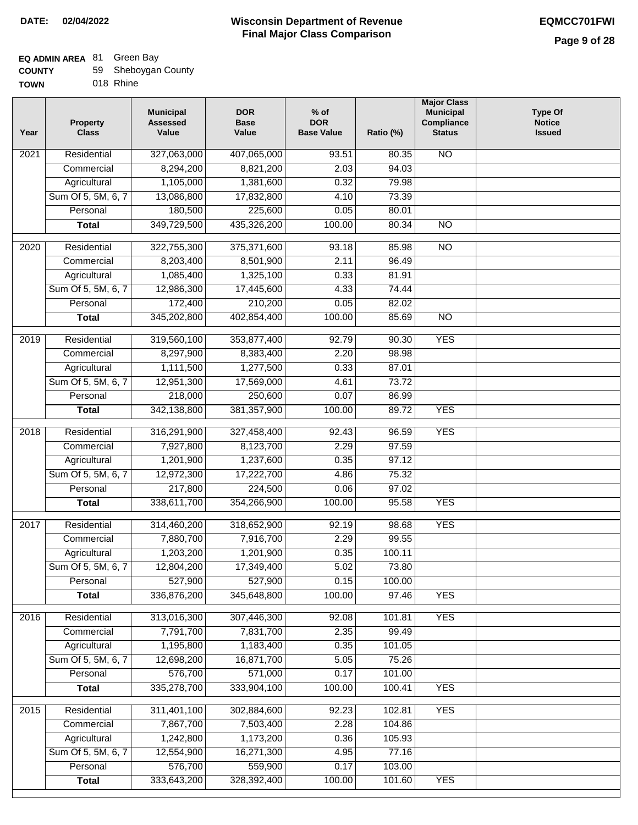## **EQ ADMIN AREA** 81 Green Bay

| <b>COUNTY</b> | 59 Sheboygan County |
|---------------|---------------------|
|---------------|---------------------|

**TOWN** 018 Rhine

| Year              | <b>Property</b><br><b>Class</b> | <b>Municipal</b><br><b>Assessed</b><br>Value | <b>DOR</b><br><b>Base</b><br>Value | $%$ of<br><b>DOR</b><br><b>Base Value</b> | Ratio (%) | <b>Major Class</b><br><b>Municipal</b><br>Compliance<br><b>Status</b> | <b>Type Of</b><br><b>Notice</b><br><b>Issued</b> |
|-------------------|---------------------------------|----------------------------------------------|------------------------------------|-------------------------------------------|-----------|-----------------------------------------------------------------------|--------------------------------------------------|
| $\overline{202}1$ | Residential                     | 327,063,000                                  | 407,065,000                        | 93.51                                     | 80.35     | <b>NO</b>                                                             |                                                  |
|                   | Commercial                      | 8,294,200                                    | 8,821,200                          | 2.03                                      | 94.03     |                                                                       |                                                  |
|                   | Agricultural                    | 1,105,000                                    | 1,381,600                          | 0.32                                      | 79.98     |                                                                       |                                                  |
|                   | Sum Of 5, 5M, 6, 7              | 13,086,800                                   | 17,832,800                         | 4.10                                      | 73.39     |                                                                       |                                                  |
|                   | Personal                        | 180,500                                      | 225,600                            | 0.05                                      | 80.01     |                                                                       |                                                  |
|                   | <b>Total</b>                    | 349,729,500                                  | 435,326,200                        | 100.00                                    | 80.34     | $\overline{NO}$                                                       |                                                  |
| $\overline{2020}$ | Residential                     | 322,755,300                                  | 375,371,600                        | 93.18                                     | 85.98     | $\overline{N}$                                                        |                                                  |
|                   | Commercial                      | 8,203,400                                    | 8,501,900                          | 2.11                                      | 96.49     |                                                                       |                                                  |
|                   | Agricultural                    | 1,085,400                                    | 1,325,100                          | 0.33                                      | 81.91     |                                                                       |                                                  |
|                   | Sum Of 5, 5M, 6, 7              | 12,986,300                                   | 17,445,600                         | 4.33                                      | 74.44     |                                                                       |                                                  |
|                   | Personal                        | 172,400                                      | 210,200                            | 0.05                                      | 82.02     |                                                                       |                                                  |
|                   | <b>Total</b>                    | 345,202,800                                  | 402,854,400                        | 100.00                                    | 85.69     | $\overline{NO}$                                                       |                                                  |
|                   |                                 |                                              |                                    |                                           |           |                                                                       |                                                  |
| 2019              | Residential                     | 319,560,100                                  | 353,877,400                        | 92.79                                     | 90.30     | <b>YES</b>                                                            |                                                  |
|                   | Commercial                      | 8,297,900                                    | 8,383,400                          | 2.20                                      | 98.98     |                                                                       |                                                  |
|                   | Agricultural                    | 1,111,500                                    | 1,277,500                          | 0.33                                      | 87.01     |                                                                       |                                                  |
|                   | Sum Of 5, 5M, 6, 7              | 12,951,300                                   | 17,569,000                         | 4.61                                      | 73.72     |                                                                       |                                                  |
|                   | Personal                        | 218,000                                      | 250,600                            | 0.07                                      | 86.99     |                                                                       |                                                  |
|                   | <b>Total</b>                    | 342,138,800                                  | 381, 357, 900                      | 100.00                                    | 89.72     | <b>YES</b>                                                            |                                                  |
| 2018              | Residential                     | 316,291,900                                  | 327,458,400                        | 92.43                                     | 96.59     | <b>YES</b>                                                            |                                                  |
|                   | Commercial                      | 7,927,800                                    | 8,123,700                          | 2.29                                      | 97.59     |                                                                       |                                                  |
|                   | Agricultural                    | 1,201,900                                    | 1,237,600                          | 0.35                                      | 97.12     |                                                                       |                                                  |
|                   | Sum Of 5, 5M, 6, 7              | 12,972,300                                   | 17,222,700                         | 4.86                                      | 75.32     |                                                                       |                                                  |
|                   | Personal                        | 217,800                                      | 224,500                            | 0.06                                      | 97.02     |                                                                       |                                                  |
|                   | <b>Total</b>                    | 338,611,700                                  | 354,266,900                        | 100.00                                    | 95.58     | <b>YES</b>                                                            |                                                  |
| 2017              | Residential                     | 314,460,200                                  | 318,652,900                        | 92.19                                     | 98.68     | <b>YES</b>                                                            |                                                  |
|                   | Commercial                      | 7,880,700                                    | 7,916,700                          | 2.29                                      | 99.55     |                                                                       |                                                  |
|                   | Agricultural                    | 1,203,200                                    | 1,201,900                          | 0.35                                      | 100.11    |                                                                       |                                                  |
|                   | Sum Of 5, 5M, 6, 7              | 12,804,200                                   | 17,349,400                         | 5.02                                      | 73.80     |                                                                       |                                                  |
|                   | Personal                        | 527,900                                      | 527,900                            | 0.15                                      | 100.00    |                                                                       |                                                  |
|                   | <b>Total</b>                    | 336,876,200                                  | 345,648,800                        | 100.00                                    | 97.46     | <b>YES</b>                                                            |                                                  |
| 2016              | Residential                     | 313,016,300                                  | 307,446,300                        | 92.08                                     | 101.81    | <b>YES</b>                                                            |                                                  |
|                   | Commercial                      | 7,791,700                                    | 7,831,700                          | 2.35                                      | 99.49     |                                                                       |                                                  |
|                   | Agricultural                    | 1,195,800                                    | 1,183,400                          | 0.35                                      | 101.05    |                                                                       |                                                  |
|                   | Sum Of 5, 5M, 6, 7              | 12,698,200                                   | 16,871,700                         | 5.05                                      | 75.26     |                                                                       |                                                  |
|                   | Personal                        | 576,700                                      | 571,000                            | 0.17                                      | 101.00    |                                                                       |                                                  |
|                   | <b>Total</b>                    | 335,278,700                                  | 333,904,100                        | 100.00                                    | 100.41    | <b>YES</b>                                                            |                                                  |
|                   |                                 |                                              |                                    |                                           |           |                                                                       |                                                  |
| 2015              | Residential                     | 311,401,100                                  | 302,884,600                        | 92.23                                     | 102.81    | <b>YES</b>                                                            |                                                  |
|                   | Commercial                      | 7,867,700                                    | 7,503,400                          | 2.28                                      | 104.86    |                                                                       |                                                  |
|                   | Agricultural                    | 1,242,800                                    | 1,173,200                          | 0.36                                      | 105.93    |                                                                       |                                                  |
|                   | Sum Of 5, 5M, 6, 7              | 12,554,900                                   | 16,271,300                         | 4.95                                      | 77.16     |                                                                       |                                                  |
|                   | Personal                        | 576,700<br>333,643,200                       | 559,900                            | 0.17                                      | 103.00    |                                                                       |                                                  |
|                   | <b>Total</b>                    |                                              | 328,392,400                        | 100.00                                    | 101.60    | <b>YES</b>                                                            |                                                  |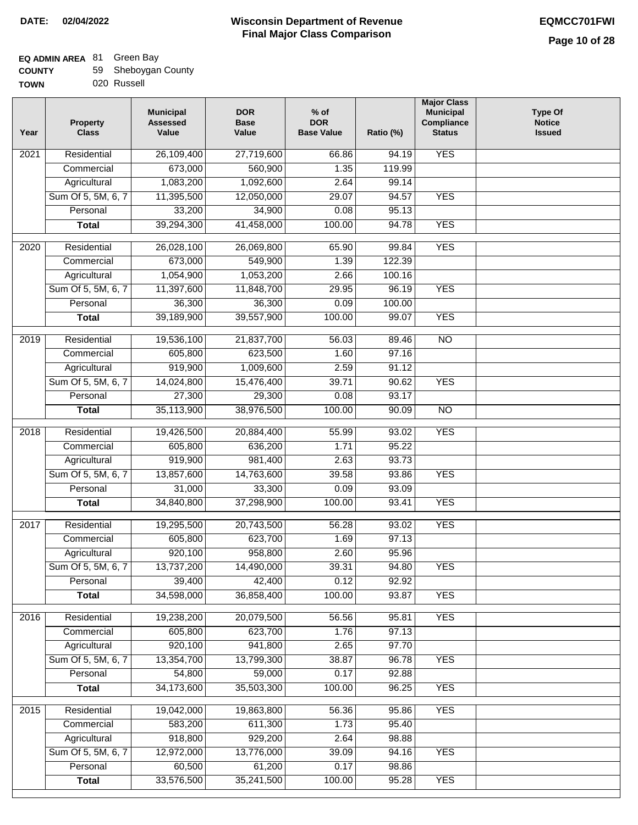## **EQ ADMIN AREA** 81 Green Bay

| <b>COUNTY</b> |  | 59 Sheboygan County |  |
|---------------|--|---------------------|--|
|---------------|--|---------------------|--|

**TOWN** 020 Russell

| Year | <b>Property</b><br><b>Class</b> | <b>Municipal</b><br><b>Assessed</b><br>Value | <b>DOR</b><br><b>Base</b><br>Value | $%$ of<br><b>DOR</b><br><b>Base Value</b> | Ratio (%) | <b>Major Class</b><br><b>Municipal</b><br>Compliance<br><b>Status</b> | <b>Type Of</b><br><b>Notice</b><br><b>Issued</b> |
|------|---------------------------------|----------------------------------------------|------------------------------------|-------------------------------------------|-----------|-----------------------------------------------------------------------|--------------------------------------------------|
| 2021 | Residential                     | 26,109,400                                   | 27,719,600                         | 66.86                                     | 94.19     | <b>YES</b>                                                            |                                                  |
|      | Commercial                      | 673,000                                      | 560,900                            | 1.35                                      | 119.99    |                                                                       |                                                  |
|      | Agricultural                    | 1,083,200                                    | 1,092,600                          | 2.64                                      | 99.14     |                                                                       |                                                  |
|      | Sum Of 5, 5M, 6, 7              | 11,395,500                                   | 12,050,000                         | 29.07                                     | 94.57     | <b>YES</b>                                                            |                                                  |
|      | Personal                        | 33,200                                       | 34,900                             | 0.08                                      | 95.13     |                                                                       |                                                  |
|      | <b>Total</b>                    | 39,294,300                                   | 41,458,000                         | 100.00                                    | 94.78     | <b>YES</b>                                                            |                                                  |
| 2020 | Residential                     | 26,028,100                                   | 26,069,800                         | 65.90                                     | 99.84     | <b>YES</b>                                                            |                                                  |
|      | Commercial                      | 673,000                                      | 549,900                            | 1.39                                      | 122.39    |                                                                       |                                                  |
|      | Agricultural                    | 1,054,900                                    | 1,053,200                          | 2.66                                      | 100.16    |                                                                       |                                                  |
|      | Sum Of 5, 5M, 6, 7              | 11,397,600                                   | 11,848,700                         | 29.95                                     | 96.19     | <b>YES</b>                                                            |                                                  |
|      | Personal                        | 36,300                                       | 36,300                             | 0.09                                      | 100.00    |                                                                       |                                                  |
|      | <b>Total</b>                    | 39,189,900                                   | 39,557,900                         | 100.00                                    | 99.07     | <b>YES</b>                                                            |                                                  |
| 2019 | Residential                     | 19,536,100                                   | 21,837,700                         | 56.03                                     | 89.46     | $\overline{3}$                                                        |                                                  |
|      | Commercial                      | 605,800                                      | 623,500                            | 1.60                                      | 97.16     |                                                                       |                                                  |
|      | Agricultural                    | 919,900                                      | 1,009,600                          | 2.59                                      | 91.12     |                                                                       |                                                  |
|      | Sum Of 5, 5M, 6, 7              | 14,024,800                                   | 15,476,400                         | 39.71                                     | 90.62     | <b>YES</b>                                                            |                                                  |
|      | Personal                        | 27,300                                       | 29,300                             | 0.08                                      | 93.17     |                                                                       |                                                  |
|      | <b>Total</b>                    | 35,113,900                                   | 38,976,500                         | 100.00                                    | 90.09     | $\overline{NO}$                                                       |                                                  |
| 2018 | Residential                     | 19,426,500                                   | 20,884,400                         | 55.99                                     | 93.02     | <b>YES</b>                                                            |                                                  |
|      | Commercial                      | 605,800                                      | 636,200                            | 1.71                                      | 95.22     |                                                                       |                                                  |
|      | Agricultural                    | 919,900                                      | 981,400                            | 2.63                                      | 93.73     |                                                                       |                                                  |
|      | Sum Of 5, 5M, 6, 7              | 13,857,600                                   | 14,763,600                         | 39.58                                     | 93.86     | <b>YES</b>                                                            |                                                  |
|      | Personal                        | 31,000                                       | 33,300                             | 0.09                                      | 93.09     |                                                                       |                                                  |
|      | <b>Total</b>                    | 34,840,800                                   | 37,298,900                         | 100.00                                    | 93.41     | <b>YES</b>                                                            |                                                  |
| 2017 | Residential                     | 19,295,500                                   | 20,743,500                         | 56.28                                     | 93.02     | <b>YES</b>                                                            |                                                  |
|      | Commercial                      | 605,800                                      | 623,700                            | 1.69                                      | 97.13     |                                                                       |                                                  |
|      | Agricultural                    | 920,100                                      | 958,800                            | 2.60                                      | 95.96     |                                                                       |                                                  |
|      | Sum Of 5, 5M, 6, 7              | 13,737,200                                   | 14,490,000                         | 39.31                                     | 94.80     | <b>YES</b>                                                            |                                                  |
|      | Personal                        | 39,400                                       | 42,400                             | 0.12                                      | 92.92     |                                                                       |                                                  |
|      | <b>Total</b>                    | 34,598,000                                   | 36,858,400                         | 100.00                                    | 93.87     | <b>YES</b>                                                            |                                                  |
| 2016 | Residential                     | 19,238,200                                   | 20,079,500                         | 56.56                                     | 95.81     | <b>YES</b>                                                            |                                                  |
|      | Commercial                      | 605,800                                      | 623,700                            | 1.76                                      | 97.13     |                                                                       |                                                  |
|      | Agricultural                    | 920,100                                      | 941,800                            | 2.65                                      | 97.70     |                                                                       |                                                  |
|      | Sum Of 5, 5M, 6, 7              | 13,354,700                                   | 13,799,300                         | 38.87                                     | 96.78     | <b>YES</b>                                                            |                                                  |
|      | Personal                        | 54,800                                       | 59,000                             | 0.17                                      | 92.88     |                                                                       |                                                  |
|      | <b>Total</b>                    | 34,173,600                                   | 35,503,300                         | 100.00                                    | 96.25     | <b>YES</b>                                                            |                                                  |
| 2015 | Residential                     | 19,042,000                                   | 19,863,800                         | 56.36                                     | 95.86     | <b>YES</b>                                                            |                                                  |
|      | Commercial                      | 583,200                                      | 611,300                            | 1.73                                      | 95.40     |                                                                       |                                                  |
|      | Agricultural                    | 918,800                                      | 929,200                            | 2.64                                      | 98.88     |                                                                       |                                                  |
|      | Sum Of 5, 5M, 6, 7              | 12,972,000                                   | 13,776,000                         | 39.09                                     | 94.16     | <b>YES</b>                                                            |                                                  |
|      | Personal                        | 60,500                                       | 61,200                             | 0.17                                      | 98.86     |                                                                       |                                                  |
|      | <b>Total</b>                    | 33,576,500                                   | 35,241,500                         | 100.00                                    | 95.28     | <b>YES</b>                                                            |                                                  |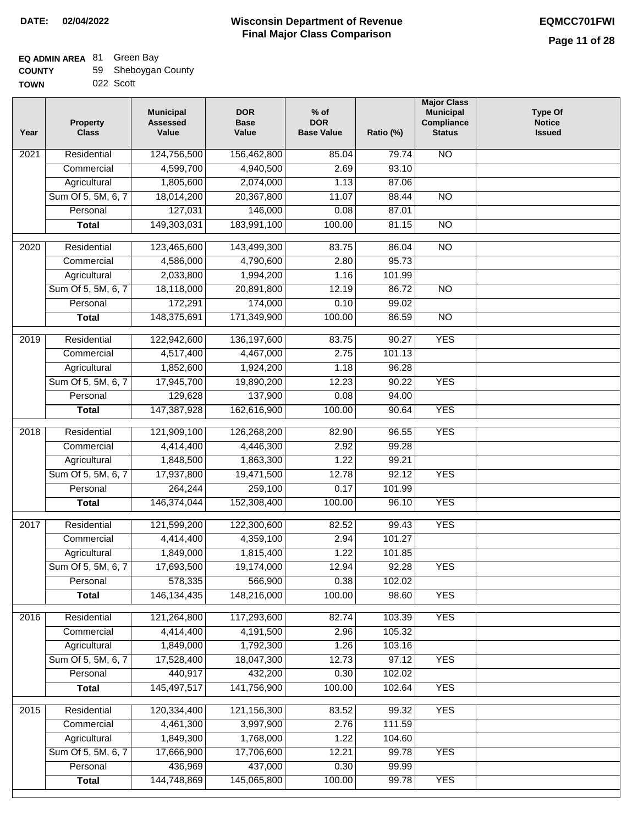| <b>COUNTY</b> | 59 Sheboygan County |
|---------------|---------------------|
| <b>TOWN</b>   | 022 Scott           |

| Year              | <b>Property</b><br><b>Class</b> | <b>Municipal</b><br><b>Assessed</b><br>Value | <b>DOR</b><br><b>Base</b><br>Value | $%$ of<br><b>DOR</b><br><b>Base Value</b> | Ratio (%)      | <b>Major Class</b><br><b>Municipal</b><br>Compliance<br><b>Status</b> | <b>Type Of</b><br><b>Notice</b><br><b>Issued</b> |
|-------------------|---------------------------------|----------------------------------------------|------------------------------------|-------------------------------------------|----------------|-----------------------------------------------------------------------|--------------------------------------------------|
| 2021              | Residential                     | 124,756,500                                  | 156,462,800                        | 85.04                                     | 79.74          | <b>NO</b>                                                             |                                                  |
|                   | Commercial                      | 4,599,700                                    | 4,940,500                          | 2.69                                      | 93.10          |                                                                       |                                                  |
|                   | Agricultural                    | 1,805,600                                    | 2,074,000                          | 1.13                                      | 87.06          |                                                                       |                                                  |
|                   | Sum Of 5, 5M, 6, 7              | 18,014,200                                   | 20,367,800                         | 11.07                                     | 88.44          | $\overline{NO}$                                                       |                                                  |
|                   | Personal                        | 127,031                                      | 146,000                            | 0.08                                      | 87.01          |                                                                       |                                                  |
|                   | <b>Total</b>                    | 149,303,031                                  | 183,991,100                        | 100.00                                    | 81.15          | $\overline{NO}$                                                       |                                                  |
| $\overline{2020}$ | Residential                     | 123,465,600                                  | 143,499,300                        | 83.75                                     | 86.04          | $\overline{NO}$                                                       |                                                  |
|                   | Commercial                      | 4,586,000                                    | 4,790,600                          | 2.80                                      | 95.73          |                                                                       |                                                  |
|                   | Agricultural                    | 2,033,800                                    | 1,994,200                          | 1.16                                      | 101.99         |                                                                       |                                                  |
|                   | Sum Of 5, 5M, 6, 7              | 18,118,000                                   | 20,891,800                         | 12.19                                     | 86.72          | <b>NO</b>                                                             |                                                  |
|                   | Personal                        | 172,291                                      | 174,000                            | 0.10                                      | 99.02          |                                                                       |                                                  |
|                   | <b>Total</b>                    | 148,375,691                                  | 171,349,900                        | 100.00                                    | 86.59          | <b>NO</b>                                                             |                                                  |
|                   |                                 |                                              |                                    |                                           |                |                                                                       |                                                  |
| $\frac{1}{2019}$  | Residential                     | 122,942,600                                  | 136, 197, 600                      | 83.75                                     | 90.27          | <b>YES</b>                                                            |                                                  |
|                   | Commercial                      | 4,517,400                                    | 4,467,000                          | 2.75                                      | 101.13         |                                                                       |                                                  |
|                   | Agricultural                    | 1,852,600                                    | 1,924,200                          | 1.18                                      | 96.28          |                                                                       |                                                  |
|                   | Sum Of 5, 5M, 6, 7              | 17,945,700                                   | 19,890,200                         | 12.23                                     | 90.22          | <b>YES</b>                                                            |                                                  |
|                   | Personal                        | 129,628                                      | 137,900                            | 0.08                                      | 94.00          |                                                                       |                                                  |
|                   | <b>Total</b>                    | 147,387,928                                  | 162,616,900                        | 100.00                                    | 90.64          | <b>YES</b>                                                            |                                                  |
| 2018              | Residential                     | 121,909,100                                  | 126,268,200                        | 82.90                                     | 96.55          | <b>YES</b>                                                            |                                                  |
|                   | Commercial                      | 4,414,400                                    | 4,446,300                          | 2.92                                      | 99.28          |                                                                       |                                                  |
|                   | Agricultural                    | 1,848,500                                    | 1,863,300                          | 1.22                                      | 99.21          |                                                                       |                                                  |
|                   | Sum Of 5, 5M, 6, 7              | 17,937,800                                   | 19,471,500                         | 12.78                                     | 92.12          | <b>YES</b>                                                            |                                                  |
|                   | Personal                        | 264,244                                      | 259,100                            | 0.17                                      | 101.99         |                                                                       |                                                  |
|                   | <b>Total</b>                    | 146,374,044                                  | 152,308,400                        | 100.00                                    | 96.10          | <b>YES</b>                                                            |                                                  |
| 2017              | Residential                     | 121,599,200                                  | 122,300,600                        | 82.52                                     | 99.43          | <b>YES</b>                                                            |                                                  |
|                   | Commercial                      | 4,414,400                                    | 4,359,100                          | 2.94                                      | 101.27         |                                                                       |                                                  |
|                   | Agricultural                    | 1,849,000                                    | 1,815,400                          | 1.22                                      | 101.85         |                                                                       |                                                  |
|                   | Sum Of 5, 5M, 6, 7              | 17,693,500                                   | 19,174,000                         | 12.94                                     | 92.28          | <b>YES</b>                                                            |                                                  |
|                   | Personal                        | 578,335                                      | 566,900                            | 0.38                                      | 102.02         |                                                                       |                                                  |
|                   | <b>Total</b>                    | 146, 134, 435                                | 148,216,000                        | 100.00                                    | 98.60          | <b>YES</b>                                                            |                                                  |
| 2016              | Residential                     | 121,264,800                                  | 117,293,600                        | 82.74                                     | 103.39         | <b>YES</b>                                                            |                                                  |
|                   | Commercial                      | 4,414,400                                    | 4,191,500                          | 2.96                                      | 105.32         |                                                                       |                                                  |
|                   | Agricultural                    | 1,849,000                                    | 1,792,300                          | 1.26                                      | 103.16         |                                                                       |                                                  |
|                   | Sum Of 5, 5M, 6, 7              | 17,528,400                                   | 18,047,300                         | 12.73                                     | 97.12          | <b>YES</b>                                                            |                                                  |
|                   | Personal                        | 440,917                                      | 432,200                            | 0.30                                      | 102.02         |                                                                       |                                                  |
|                   | <b>Total</b>                    | 145,497,517                                  | 141,756,900                        | 100.00                                    | 102.64         | <b>YES</b>                                                            |                                                  |
| 2015              | Residential                     | 120,334,400                                  | 121, 156, 300                      | 83.52                                     | 99.32          | <b>YES</b>                                                            |                                                  |
|                   | Commercial                      | 4,461,300                                    | 3,997,900                          | 2.76                                      | 111.59         |                                                                       |                                                  |
|                   |                                 | 1,849,300                                    |                                    |                                           |                |                                                                       |                                                  |
|                   | Agricultural                    |                                              | 1,768,000                          | 1.22                                      | 104.60         |                                                                       |                                                  |
|                   | Sum Of 5, 5M, 6, 7              | 17,666,900<br>436,969                        | 17,706,600<br>437,000              | 12.21                                     | 99.78          | <b>YES</b>                                                            |                                                  |
|                   | Personal                        | 144,748,869                                  | 145,065,800                        | 0.30<br>100.00                            | 99.99<br>99.78 | <b>YES</b>                                                            |                                                  |
|                   | <b>Total</b>                    |                                              |                                    |                                           |                |                                                                       |                                                  |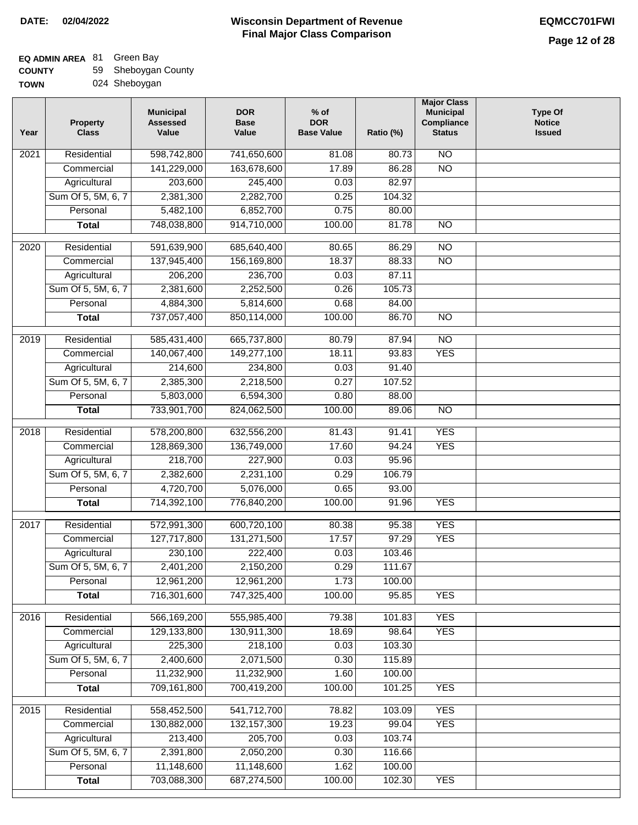| <b>COUNTY</b> | 59 Sheboygan County |
|---------------|---------------------|
| <b>TOWN</b>   | 024 Sheboygan       |

|  | <i>. .</i>    |
|--|---------------|
|  | 024 Sheboygan |

| Year | <b>Property</b><br><b>Class</b> | <b>Municipal</b><br><b>Assessed</b><br>Value | <b>DOR</b><br><b>Base</b><br>Value | $%$ of<br><b>DOR</b><br><b>Base Value</b> | Ratio (%) | <b>Major Class</b><br><b>Municipal</b><br>Compliance<br><b>Status</b> | <b>Type Of</b><br><b>Notice</b><br><b>Issued</b> |
|------|---------------------------------|----------------------------------------------|------------------------------------|-------------------------------------------|-----------|-----------------------------------------------------------------------|--------------------------------------------------|
| 2021 | Residential                     | 598,742,800                                  | 741,650,600                        | 81.08                                     | 80.73     | $\overline{NO}$                                                       |                                                  |
|      | Commercial                      | 141,229,000                                  | 163,678,600                        | 17.89                                     | 86.28     | $\overline{NO}$                                                       |                                                  |
|      | Agricultural                    | 203,600                                      | 245,400                            | 0.03                                      | 82.97     |                                                                       |                                                  |
|      | Sum Of 5, 5M, 6, 7              | 2,381,300                                    | 2,282,700                          | 0.25                                      | 104.32    |                                                                       |                                                  |
|      | Personal                        | 5,482,100                                    | 6,852,700                          | 0.75                                      | 80.00     |                                                                       |                                                  |
|      | <b>Total</b>                    | 748,038,800                                  | 914,710,000                        | 100.00                                    | 81.78     | $\overline{NO}$                                                       |                                                  |
| 2020 | Residential                     | 591,639,900                                  | 685,640,400                        | 80.65                                     | 86.29     | $\overline{NO}$                                                       |                                                  |
|      | Commercial                      | 137,945,400                                  | 156,169,800                        | 18.37                                     | 88.33     | $\overline{NO}$                                                       |                                                  |
|      | Agricultural                    | 206,200                                      | 236,700                            | 0.03                                      | 87.11     |                                                                       |                                                  |
|      | Sum Of 5, 5M, 6, 7              | 2,381,600                                    | 2,252,500                          | 0.26                                      | 105.73    |                                                                       |                                                  |
|      | Personal                        | 4,884,300                                    | 5,814,600                          | 0.68                                      | 84.00     |                                                                       |                                                  |
|      | <b>Total</b>                    | 737,057,400                                  | 850,114,000                        | 100.00                                    | 86.70     | <b>NO</b>                                                             |                                                  |
|      |                                 |                                              |                                    |                                           |           |                                                                       |                                                  |
| 2019 | Residential                     | 585,431,400                                  | 665,737,800                        | 80.79                                     | 87.94     | $\overline{NO}$                                                       |                                                  |
|      | Commercial                      | 140,067,400                                  | 149,277,100                        | 18.11                                     | 93.83     | <b>YES</b>                                                            |                                                  |
|      | Agricultural                    | 214,600                                      | 234,800                            | 0.03                                      | 91.40     |                                                                       |                                                  |
|      | Sum Of 5, 5M, 6, 7              | 2,385,300                                    | 2,218,500                          | 0.27                                      | 107.52    |                                                                       |                                                  |
|      | Personal                        | 5,803,000                                    | 6,594,300                          | 0.80                                      | 88.00     |                                                                       |                                                  |
|      | <b>Total</b>                    | 733,901,700                                  | 824,062,500                        | 100.00                                    | 89.06     | $\overline{NO}$                                                       |                                                  |
| 2018 | Residential                     | 578,200,800                                  | 632,556,200                        | 81.43                                     | 91.41     | <b>YES</b>                                                            |                                                  |
|      | Commercial                      | 128,869,300                                  | 136,749,000                        | 17.60                                     | 94.24     | <b>YES</b>                                                            |                                                  |
|      | Agricultural                    | 218,700                                      | 227,900                            | 0.03                                      | 95.96     |                                                                       |                                                  |
|      | Sum Of 5, 5M, 6, 7              | 2,382,600                                    | 2,231,100                          | 0.29                                      | 106.79    |                                                                       |                                                  |
|      | Personal                        | 4,720,700                                    | 5,076,000                          | 0.65                                      | 93.00     |                                                                       |                                                  |
|      | <b>Total</b>                    | 714,392,100                                  | 776,840,200                        | 100.00                                    | 91.96     | <b>YES</b>                                                            |                                                  |
|      |                                 |                                              |                                    |                                           |           |                                                                       |                                                  |
| 2017 | Residential                     | 572,991,300                                  | 600,720,100                        | 80.38                                     | 95.38     | <b>YES</b>                                                            |                                                  |
|      | Commercial                      | 127,717,800                                  | 131,271,500                        | 17.57                                     | 97.29     | <b>YES</b>                                                            |                                                  |
|      | Agricultural                    | 230,100                                      | 222,400                            | 0.03                                      | 103.46    |                                                                       |                                                  |
|      | Sum Of 5, 5M, 6, 7              | 2,401,200                                    | 2,150,200                          | 0.29                                      | 111.67    |                                                                       |                                                  |
|      | Personal                        | 12,961,200                                   | 12,961,200                         | 1.73                                      | 100.00    |                                                                       |                                                  |
|      | <b>Total</b>                    | 716,301,600                                  | 747,325,400                        | 100.00                                    | 95.85     | <b>YES</b>                                                            |                                                  |
| 2016 | Residential                     | 566,169,200                                  | 555,985,400                        | 79.38                                     | 101.83    | <b>YES</b>                                                            |                                                  |
|      | Commercial                      | 129,133,800                                  | 130,911,300                        | 18.69                                     | 98.64     | <b>YES</b>                                                            |                                                  |
|      | Agricultural                    | 225,300                                      | 218,100                            | 0.03                                      | 103.30    |                                                                       |                                                  |
|      | Sum Of 5, 5M, 6, 7              | 2,400,600                                    | 2,071,500                          | 0.30                                      | 115.89    |                                                                       |                                                  |
|      | Personal                        | 11,232,900                                   | 11,232,900                         | 1.60                                      | 100.00    |                                                                       |                                                  |
|      | <b>Total</b>                    | 709,161,800                                  | 700,419,200                        | 100.00                                    | 101.25    | <b>YES</b>                                                            |                                                  |
| 2015 | Residential                     | 558,452,500                                  | 541,712,700                        | 78.82                                     | 103.09    | <b>YES</b>                                                            |                                                  |
|      | Commercial                      | 130,882,000                                  | 132, 157, 300                      | 19.23                                     | 99.04     | <b>YES</b>                                                            |                                                  |
|      | Agricultural                    | 213,400                                      | 205,700                            | 0.03                                      | 103.74    |                                                                       |                                                  |
|      | Sum Of 5, 5M, 6, 7              | 2,391,800                                    | 2,050,200                          | 0.30                                      | 116.66    |                                                                       |                                                  |
|      | Personal                        | 11,148,600                                   | 11,148,600                         | 1.62                                      | 100.00    |                                                                       |                                                  |
|      | <b>Total</b>                    | 703,088,300                                  | 687,274,500                        | 100.00                                    | 102.30    | <b>YES</b>                                                            |                                                  |
|      |                                 |                                              |                                    |                                           |           |                                                                       |                                                  |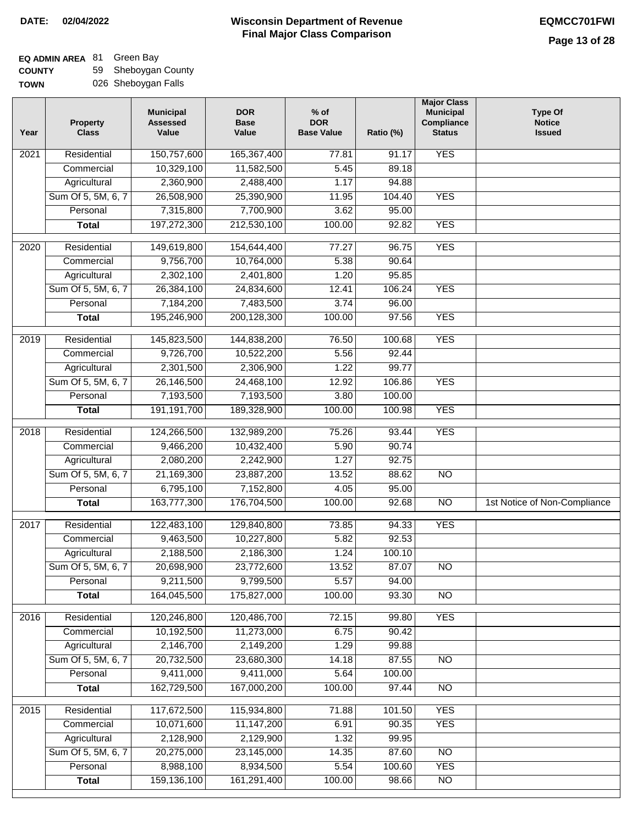#### **Wisconsin Department of Revenue Final Major Class Comparison DATE: 02/04/2022 EQMCC701FWI**

### **EQ ADMIN AREA** 81 Green Bay **COUNTY**

| <b>COUNTY</b> | 59 Sheboygan County |
|---------------|---------------------|
| <b>TOWN</b>   | 026 Sheboygan Falls |

| Year | <b>Property</b><br><b>Class</b> | <b>Municipal</b><br><b>Assessed</b><br>Value | <b>DOR</b><br><b>Base</b><br>Value | $%$ of<br><b>DOR</b><br><b>Base Value</b> | Ratio (%) | <b>Major Class</b><br><b>Municipal</b><br>Compliance<br><b>Status</b> | <b>Type Of</b><br><b>Notice</b><br><b>Issued</b> |
|------|---------------------------------|----------------------------------------------|------------------------------------|-------------------------------------------|-----------|-----------------------------------------------------------------------|--------------------------------------------------|
| 2021 | Residential                     | 150,757,600                                  | 165,367,400                        | 77.81                                     | 91.17     | <b>YES</b>                                                            |                                                  |
|      | Commercial                      | 10,329,100                                   | 11,582,500                         | 5.45                                      | 89.18     |                                                                       |                                                  |
|      | Agricultural                    | 2,360,900                                    | 2,488,400                          | 1.17                                      | 94.88     |                                                                       |                                                  |
|      | Sum Of 5, 5M, 6, 7              | 26,508,900                                   | 25,390,900                         | 11.95                                     | 104.40    | <b>YES</b>                                                            |                                                  |
|      | Personal                        | 7,315,800                                    | 7,700,900                          | 3.62                                      | 95.00     |                                                                       |                                                  |
|      | <b>Total</b>                    | 197,272,300                                  | 212,530,100                        | 100.00                                    | 92.82     | <b>YES</b>                                                            |                                                  |
| 2020 | Residential                     | 149,619,800                                  | 154,644,400                        | 77.27                                     | 96.75     | <b>YES</b>                                                            |                                                  |
|      | Commercial                      | 9,756,700                                    | 10,764,000                         | 5.38                                      | 90.64     |                                                                       |                                                  |
|      | Agricultural                    | 2,302,100                                    | 2,401,800                          | 1.20                                      | 95.85     |                                                                       |                                                  |
|      | Sum Of 5, 5M, 6, 7              | 26,384,100                                   | 24,834,600                         | 12.41                                     | 106.24    | <b>YES</b>                                                            |                                                  |
|      | Personal                        | 7,184,200                                    | 7,483,500                          | 3.74                                      | 96.00     |                                                                       |                                                  |
|      | <b>Total</b>                    | 195,246,900                                  | 200,128,300                        | 100.00                                    | 97.56     | <b>YES</b>                                                            |                                                  |
|      |                                 |                                              |                                    |                                           |           |                                                                       |                                                  |
| 2019 | Residential                     | 145,823,500                                  | 144,838,200                        | 76.50                                     | 100.68    | <b>YES</b>                                                            |                                                  |
|      | Commercial                      | 9,726,700                                    | 10,522,200                         | 5.56                                      | 92.44     |                                                                       |                                                  |
|      | Agricultural                    | 2,301,500                                    | 2,306,900                          | 1.22                                      | 99.77     |                                                                       |                                                  |
|      | Sum Of 5, 5M, 6, 7              | 26,146,500                                   | 24,468,100                         | 12.92                                     | 106.86    | <b>YES</b>                                                            |                                                  |
|      | Personal                        | 7,193,500                                    | 7,193,500                          | 3.80                                      | 100.00    |                                                                       |                                                  |
|      | <b>Total</b>                    | 191, 191, 700                                | 189,328,900                        | 100.00                                    | 100.98    | <b>YES</b>                                                            |                                                  |
| 2018 | Residential                     | 124,266,500                                  | 132,989,200                        | 75.26                                     | 93.44     | <b>YES</b>                                                            |                                                  |
|      | Commercial                      | 9,466,200                                    | 10,432,400                         | 5.90                                      | 90.74     |                                                                       |                                                  |
|      | Agricultural                    | 2,080,200                                    | 2,242,900                          | 1.27                                      | 92.75     |                                                                       |                                                  |
|      | Sum Of 5, 5M, 6, 7              | 21,169,300                                   | 23,887,200                         | 13.52                                     | 88.62     | <b>NO</b>                                                             |                                                  |
|      | Personal                        | 6,795,100                                    | 7,152,800                          | 4.05                                      | 95.00     |                                                                       |                                                  |
|      | <b>Total</b>                    | 163,777,300                                  | 176,704,500                        | 100.00                                    | 92.68     | $\overline{10}$                                                       | 1st Notice of Non-Compliance                     |
| 2017 | Residential                     | 122,483,100                                  | 129,840,800                        | 73.85                                     | 94.33     | <b>YES</b>                                                            |                                                  |
|      | Commercial                      | 9,463,500                                    | 10,227,800                         | 5.82                                      | 92.53     |                                                                       |                                                  |
|      | Agricultural                    | 2,188,500                                    | 2,186,300                          | 1.24                                      | 100.10    |                                                                       |                                                  |
|      | Sum Of 5, 5M, 6, 7              | 20,698,900                                   | 23,772,600                         | 13.52                                     | 87.07     | <b>NO</b>                                                             |                                                  |
|      | Personal                        | 9,211,500                                    | 9,799,500                          | 5.57                                      | 94.00     |                                                                       |                                                  |
|      | <b>Total</b>                    | 164,045,500                                  | 175,827,000                        | 100.00                                    | 93.30     | $\overline{NO}$                                                       |                                                  |
| 2016 | Residential                     | 120,246,800                                  | 120,486,700                        | 72.15                                     | 99.80     | <b>YES</b>                                                            |                                                  |
|      | Commercial                      | 10,192,500                                   | 11,273,000                         | 6.75                                      | 90.42     |                                                                       |                                                  |
|      | Agricultural                    | 2,146,700                                    | 2,149,200                          | 1.29                                      | 99.88     |                                                                       |                                                  |
|      | Sum Of 5, 5M, 6, 7              | 20,732,500                                   | 23,680,300                         | 14.18                                     | 87.55     | <b>NO</b>                                                             |                                                  |
|      | Personal                        | 9,411,000                                    | 9,411,000                          | 5.64                                      | 100.00    |                                                                       |                                                  |
|      | <b>Total</b>                    | 162,729,500                                  | 167,000,200                        | 100.00                                    | 97.44     | <b>NO</b>                                                             |                                                  |
|      |                                 |                                              |                                    |                                           |           |                                                                       |                                                  |
| 2015 | Residential                     | 117,672,500                                  | 115,934,800                        | 71.88                                     | 101.50    | <b>YES</b>                                                            |                                                  |
|      | Commercial                      | 10,071,600                                   | 11, 147, 200                       | 6.91                                      | 90.35     | <b>YES</b>                                                            |                                                  |
|      | Agricultural                    | 2,128,900                                    | 2,129,900                          | 1.32                                      | 99.95     |                                                                       |                                                  |
|      | Sum Of 5, 5M, 6, 7              | 20,275,000                                   | 23,145,000                         | 14.35                                     | 87.60     | <b>NO</b>                                                             |                                                  |
|      | Personal                        | 8,988,100                                    | 8,934,500                          | 5.54                                      | 100.60    | <b>YES</b>                                                            |                                                  |
|      | <b>Total</b>                    | 159,136,100                                  | 161,291,400                        | 100.00                                    | 98.66     | $\overline{NO}$                                                       |                                                  |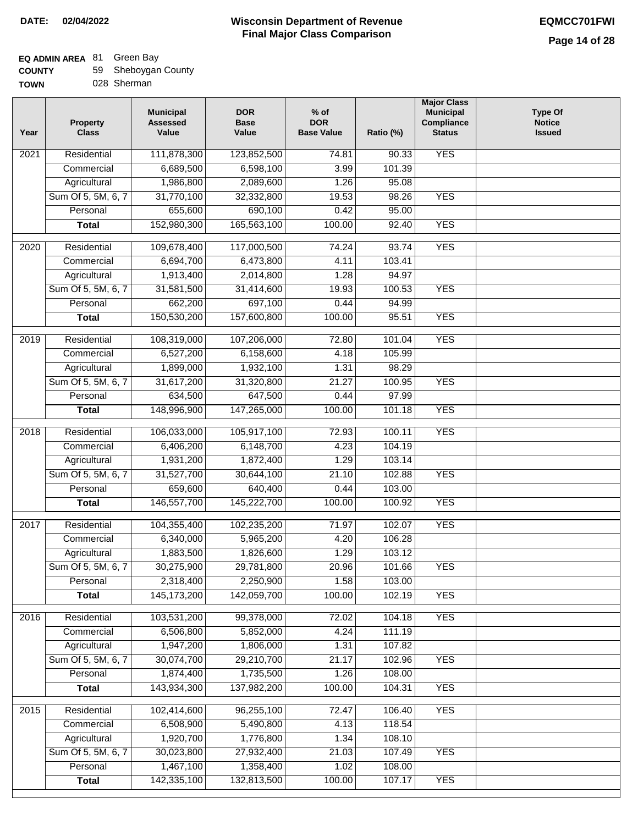| <b>COUNTY</b> | 59 Sheboygan County |
|---------------|---------------------|
| <b>TOWN</b>   | 028 Sherman         |

| Year              | <b>Property</b><br><b>Class</b> | <b>Municipal</b><br><b>Assessed</b><br>Value | <b>DOR</b><br><b>Base</b><br>Value | $%$ of<br><b>DOR</b><br><b>Base Value</b> | Ratio (%) | <b>Major Class</b><br><b>Municipal</b><br>Compliance<br><b>Status</b> | <b>Type Of</b><br><b>Notice</b><br><b>Issued</b> |
|-------------------|---------------------------------|----------------------------------------------|------------------------------------|-------------------------------------------|-----------|-----------------------------------------------------------------------|--------------------------------------------------|
| $\overline{202}1$ | Residential                     | 111,878,300                                  | 123,852,500                        | 74.81                                     | 90.33     | <b>YES</b>                                                            |                                                  |
|                   | Commercial                      | 6,689,500                                    | 6,598,100                          | 3.99                                      | 101.39    |                                                                       |                                                  |
|                   | Agricultural                    | 1,986,800                                    | 2,089,600                          | 1.26                                      | 95.08     |                                                                       |                                                  |
|                   | Sum Of 5, 5M, 6, 7              | 31,770,100                                   | 32,332,800                         | 19.53                                     | 98.26     | <b>YES</b>                                                            |                                                  |
|                   | Personal                        | 655,600                                      | 690,100                            | 0.42                                      | 95.00     |                                                                       |                                                  |
|                   | <b>Total</b>                    | 152,980,300                                  | 165,563,100                        | 100.00                                    | 92.40     | <b>YES</b>                                                            |                                                  |
| 2020              | Residential                     | 109,678,400                                  | 117,000,500                        | 74.24                                     | 93.74     | <b>YES</b>                                                            |                                                  |
|                   | Commercial                      | 6,694,700                                    | 6,473,800                          | 4.11                                      | 103.41    |                                                                       |                                                  |
|                   | Agricultural                    | 1,913,400                                    | 2,014,800                          | 1.28                                      | 94.97     |                                                                       |                                                  |
|                   | Sum Of 5, 5M, 6, 7              | 31,581,500                                   | 31,414,600                         | 19.93                                     | 100.53    | <b>YES</b>                                                            |                                                  |
|                   | Personal                        | 662,200                                      | 697,100                            | 0.44                                      | 94.99     |                                                                       |                                                  |
|                   | <b>Total</b>                    | 150,530,200                                  | 157,600,800                        | 100.00                                    | 95.51     | <b>YES</b>                                                            |                                                  |
|                   |                                 |                                              |                                    |                                           |           |                                                                       |                                                  |
| 2019              | Residential                     | 108,319,000                                  | 107,206,000                        | 72.80                                     | 101.04    | <b>YES</b>                                                            |                                                  |
|                   | Commercial                      | 6,527,200                                    | 6,158,600                          | 4.18                                      | 105.99    |                                                                       |                                                  |
|                   | Agricultural                    | 1,899,000                                    | 1,932,100                          | 1.31                                      | 98.29     |                                                                       |                                                  |
|                   | Sum Of 5, 5M, 6, 7              | 31,617,200                                   | 31,320,800                         | 21.27                                     | 100.95    | <b>YES</b>                                                            |                                                  |
|                   | Personal                        | 634,500                                      | 647,500                            | 0.44                                      | 97.99     |                                                                       |                                                  |
|                   | <b>Total</b>                    | 148,996,900                                  | 147,265,000                        | 100.00                                    | 101.18    | <b>YES</b>                                                            |                                                  |
| 2018              | Residential                     | 106,033,000                                  | 105,917,100                        | 72.93                                     | 100.11    | <b>YES</b>                                                            |                                                  |
|                   | Commercial                      | 6,406,200                                    | 6,148,700                          | 4.23                                      | 104.19    |                                                                       |                                                  |
|                   | Agricultural                    | 1,931,200                                    | 1,872,400                          | 1.29                                      | 103.14    |                                                                       |                                                  |
|                   | Sum Of 5, 5M, 6, 7              | 31,527,700                                   | 30,644,100                         | 21.10                                     | 102.88    | <b>YES</b>                                                            |                                                  |
|                   | Personal                        | 659,600                                      | 640,400                            | 0.44                                      | 103.00    |                                                                       |                                                  |
|                   | <b>Total</b>                    | 146,557,700                                  | 145,222,700                        | 100.00                                    | 100.92    | <b>YES</b>                                                            |                                                  |
| 2017              | Residential                     | 104,355,400                                  | 102,235,200                        | 71.97                                     | 102.07    | <b>YES</b>                                                            |                                                  |
|                   | Commercial                      | 6,340,000                                    | 5,965,200                          | 4.20                                      | 106.28    |                                                                       |                                                  |
|                   | Agricultural                    | 1,883,500                                    | 1,826,600                          | 1.29                                      | 103.12    |                                                                       |                                                  |
|                   | Sum Of 5, 5M, 6, 7              | 30,275,900                                   | 29,781,800                         | 20.96                                     | 101.66    | <b>YES</b>                                                            |                                                  |
|                   | Personal                        | 2,318,400                                    | 2,250,900                          | 1.58                                      | 103.00    |                                                                       |                                                  |
|                   | <b>Total</b>                    | 145, 173, 200                                | 142,059,700                        | 100.00                                    | 102.19    | <b>YES</b>                                                            |                                                  |
| 2016              | Residential                     | 103,531,200                                  | 99,378,000                         | 72.02                                     | 104.18    | <b>YES</b>                                                            |                                                  |
|                   | Commercial                      | 6,506,800                                    | 5,852,000                          | 4.24                                      | 111.19    |                                                                       |                                                  |
|                   | Agricultural                    | 1,947,200                                    | 1,806,000                          | 1.31                                      | 107.82    |                                                                       |                                                  |
|                   | Sum Of 5, 5M, 6, 7              | 30,074,700                                   | 29,210,700                         | 21.17                                     | 102.96    | <b>YES</b>                                                            |                                                  |
|                   | Personal                        | 1,874,400                                    | 1,735,500                          | 1.26                                      | 108.00    |                                                                       |                                                  |
|                   | <b>Total</b>                    | 143,934,300                                  | 137,982,200                        | 100.00                                    | 104.31    | <b>YES</b>                                                            |                                                  |
| 2015              | Residential                     | 102,414,600                                  | 96,255,100                         | 72.47                                     | 106.40    | <b>YES</b>                                                            |                                                  |
|                   | Commercial                      | 6,508,900                                    | 5,490,800                          | 4.13                                      | 118.54    |                                                                       |                                                  |
|                   | Agricultural                    | 1,920,700                                    | 1,776,800                          | 1.34                                      | 108.10    |                                                                       |                                                  |
|                   | Sum Of 5, 5M, 6, 7              | 30,023,800                                   | 27,932,400                         | 21.03                                     | 107.49    | <b>YES</b>                                                            |                                                  |
|                   | Personal                        | 1,467,100                                    | 1,358,400                          | 1.02                                      | 108.00    |                                                                       |                                                  |
|                   | <b>Total</b>                    | 142,335,100                                  | 132,813,500                        | 100.00                                    | 107.17    | <b>YES</b>                                                            |                                                  |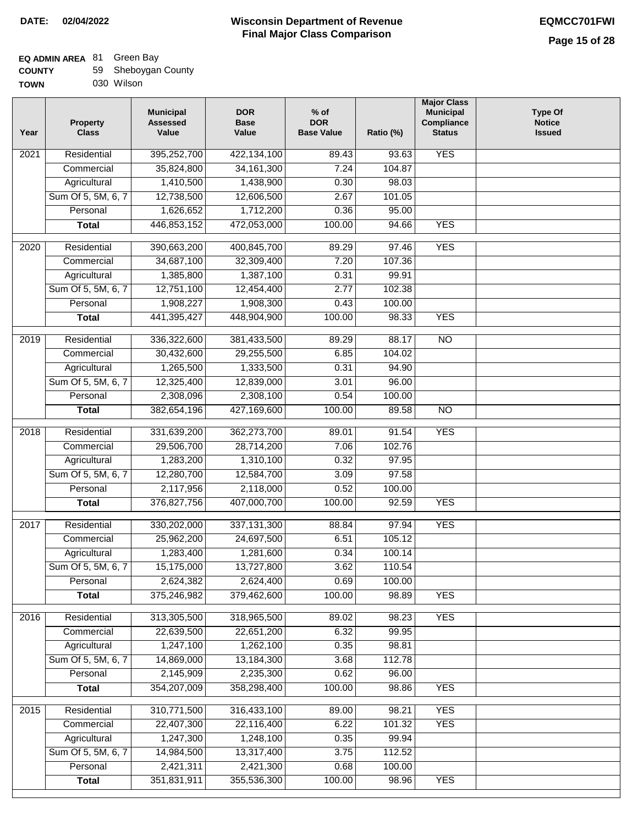| <b>COUNTY</b> | 59 Sheboygan County |
|---------------|---------------------|
| <b>TOWN</b>   | 030 Wilson          |

| Year | <b>Property</b><br><b>Class</b> | <b>Municipal</b><br><b>Assessed</b><br>Value | <b>DOR</b><br><b>Base</b><br>Value | $%$ of<br><b>DOR</b><br><b>Base Value</b> | Ratio (%) | <b>Major Class</b><br><b>Municipal</b><br>Compliance<br><b>Status</b> | <b>Type Of</b><br><b>Notice</b><br><b>Issued</b> |
|------|---------------------------------|----------------------------------------------|------------------------------------|-------------------------------------------|-----------|-----------------------------------------------------------------------|--------------------------------------------------|
| 2021 | Residential                     | 395,252,700                                  | 422,134,100                        | 89.43                                     | 93.63     | <b>YES</b>                                                            |                                                  |
|      | Commercial                      | 35,824,800                                   | 34, 161, 300                       | 7.24                                      | 104.87    |                                                                       |                                                  |
|      | Agricultural                    | 1,410,500                                    | 1,438,900                          | 0.30                                      | 98.03     |                                                                       |                                                  |
|      | Sum Of 5, 5M, 6, 7              | 12,738,500                                   | 12,606,500                         | 2.67                                      | 101.05    |                                                                       |                                                  |
|      | Personal                        | 1,626,652                                    | 1,712,200                          | 0.36                                      | 95.00     |                                                                       |                                                  |
|      | <b>Total</b>                    | 446,853,152                                  | 472,053,000                        | 100.00                                    | 94.66     | <b>YES</b>                                                            |                                                  |
| 2020 | Residential                     | 390,663,200                                  | 400,845,700                        | 89.29                                     | 97.46     | <b>YES</b>                                                            |                                                  |
|      | Commercial                      | 34,687,100                                   | 32,309,400                         | 7.20                                      | 107.36    |                                                                       |                                                  |
|      | Agricultural                    | 1,385,800                                    | 1,387,100                          | 0.31                                      | 99.91     |                                                                       |                                                  |
|      | Sum Of 5, 5M, 6, 7              | 12,751,100                                   | 12,454,400                         | 2.77                                      | 102.38    |                                                                       |                                                  |
|      | Personal                        | 1,908,227                                    | 1,908,300                          | 0.43                                      | 100.00    |                                                                       |                                                  |
|      | <b>Total</b>                    | 441,395,427                                  | 448,904,900                        | 100.00                                    | 98.33     | <b>YES</b>                                                            |                                                  |
|      |                                 |                                              |                                    |                                           |           |                                                                       |                                                  |
| 2019 | Residential                     | 336,322,600                                  | 381,433,500                        | 89.29                                     | 88.17     | $\overline{NO}$                                                       |                                                  |
|      | Commercial                      | 30,432,600                                   | 29,255,500                         | 6.85                                      | 104.02    |                                                                       |                                                  |
|      | Agricultural                    | 1,265,500                                    | 1,333,500                          | 0.31                                      | 94.90     |                                                                       |                                                  |
|      | Sum Of 5, 5M, 6, 7              | 12,325,400                                   | 12,839,000                         | 3.01                                      | 96.00     |                                                                       |                                                  |
|      | Personal                        | 2,308,096                                    | 2,308,100                          | 0.54                                      | 100.00    |                                                                       |                                                  |
|      | <b>Total</b>                    | 382,654,196                                  | 427,169,600                        | 100.00                                    | 89.58     | <b>NO</b>                                                             |                                                  |
| 2018 | Residential                     | 331,639,200                                  | 362,273,700                        | 89.01                                     | 91.54     | <b>YES</b>                                                            |                                                  |
|      | Commercial                      | 29,506,700                                   | 28,714,200                         | 7.06                                      | 102.76    |                                                                       |                                                  |
|      | Agricultural                    | 1,283,200                                    | 1,310,100                          | 0.32                                      | 97.95     |                                                                       |                                                  |
|      | Sum Of 5, 5M, 6, 7              | 12,280,700                                   | 12,584,700                         | 3.09                                      | 97.58     |                                                                       |                                                  |
|      | Personal                        | 2,117,956                                    | 2,118,000                          | 0.52                                      | 100.00    |                                                                       |                                                  |
|      | <b>Total</b>                    | 376,827,756                                  | 407,000,700                        | 100.00                                    | 92.59     | <b>YES</b>                                                            |                                                  |
| 2017 | Residential                     | 330,202,000                                  | 337, 131, 300                      | 88.84                                     | 97.94     | <b>YES</b>                                                            |                                                  |
|      | Commercial                      | 25,962,200                                   | 24,697,500                         | 6.51                                      | 105.12    |                                                                       |                                                  |
|      | Agricultural                    | 1,283,400                                    | 1,281,600                          | 0.34                                      | 100.14    |                                                                       |                                                  |
|      | Sum Of 5, 5M, 6, 7              | 15,175,000                                   | 13,727,800                         | 3.62                                      | 110.54    |                                                                       |                                                  |
|      | Personal                        | 2,624,382                                    | 2,624,400                          | 0.69                                      | 100.00    |                                                                       |                                                  |
|      | <b>Total</b>                    | 375,246,982                                  | 379,462,600                        | 100.00                                    | 98.89     | <b>YES</b>                                                            |                                                  |
| 2016 | Residential                     | 313,305,500                                  | 318,965,500                        | 89.02                                     | 98.23     | <b>YES</b>                                                            |                                                  |
|      | Commercial                      | 22,639,500                                   | 22,651,200                         | 6.32                                      | 99.95     |                                                                       |                                                  |
|      | Agricultural                    | 1,247,100                                    | 1,262,100                          | 0.35                                      | 98.81     |                                                                       |                                                  |
|      | Sum Of 5, 5M, 6, 7              | 14,869,000                                   | 13,184,300                         | 3.68                                      | 112.78    |                                                                       |                                                  |
|      | Personal                        | 2,145,909                                    | 2,235,300                          | 0.62                                      | 96.00     |                                                                       |                                                  |
|      | <b>Total</b>                    | 354,207,009                                  | 358,298,400                        | 100.00                                    | 98.86     | <b>YES</b>                                                            |                                                  |
|      |                                 |                                              |                                    |                                           |           |                                                                       |                                                  |
| 2015 | Residential                     | 310,771,500                                  | 316,433,100                        | 89.00                                     | 98.21     | <b>YES</b>                                                            |                                                  |
|      | Commercial                      | 22,407,300                                   | 22,116,400                         | 6.22                                      | 101.32    | <b>YES</b>                                                            |                                                  |
|      | Agricultural                    | 1,247,300                                    | 1,248,100                          | 0.35                                      | 99.94     |                                                                       |                                                  |
|      | Sum Of 5, 5M, 6, 7              | 14,984,500                                   | 13,317,400                         | 3.75                                      | 112.52    |                                                                       |                                                  |
|      | Personal                        | 2,421,311                                    | 2,421,300                          | 0.68                                      | 100.00    |                                                                       |                                                  |
|      | <b>Total</b>                    | 351,831,911                                  | 355,536,300                        | 100.00                                    | 98.96     | <b>YES</b>                                                            |                                                  |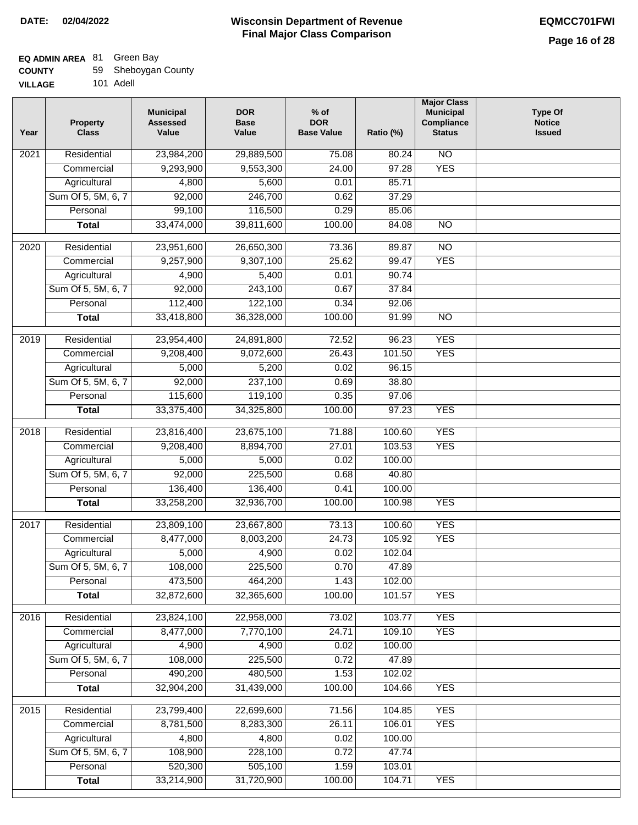| <b>COUNTY</b>  | 59 Sheboygan County |
|----------------|---------------------|
| <b>VILLAGE</b> | 101 Adell           |

| AGE | 101 Adell |
|-----|-----------|
|     |           |

| Year | <b>Property</b><br><b>Class</b> | <b>Municipal</b><br><b>Assessed</b><br>Value | <b>DOR</b><br><b>Base</b><br>Value | $%$ of<br><b>DOR</b><br><b>Base Value</b> | Ratio (%)        | <b>Major Class</b><br><b>Municipal</b><br>Compliance<br><b>Status</b> | <b>Type Of</b><br><b>Notice</b><br><b>Issued</b> |
|------|---------------------------------|----------------------------------------------|------------------------------------|-------------------------------------------|------------------|-----------------------------------------------------------------------|--------------------------------------------------|
| 2021 | Residential                     | 23,984,200                                   | 29,889,500                         | 75.08                                     | 80.24            | N <sub>O</sub>                                                        |                                                  |
|      | Commercial                      | 9,293,900                                    | 9,553,300                          | 24.00                                     | 97.28            | <b>YES</b>                                                            |                                                  |
|      | Agricultural                    | 4,800                                        | 5,600                              | 0.01                                      | 85.71            |                                                                       |                                                  |
|      | Sum Of 5, 5M, 6, 7              | 92,000                                       | 246,700                            | 0.62                                      | 37.29            |                                                                       |                                                  |
|      | Personal                        | 99,100                                       | 116,500                            | 0.29                                      | 85.06            |                                                                       |                                                  |
|      | <b>Total</b>                    | 33,474,000                                   | 39,811,600                         | 100.00                                    | 84.08            | $\overline{NO}$                                                       |                                                  |
| 2020 | Residential                     | 23,951,600                                   | 26,650,300                         | 73.36                                     | 89.87            | $\overline{NO}$                                                       |                                                  |
|      | Commercial                      | 9,257,900                                    | 9,307,100                          | 25.62                                     | 99.47            | <b>YES</b>                                                            |                                                  |
|      | Agricultural                    | 4,900                                        | 5,400                              | 0.01                                      | 90.74            |                                                                       |                                                  |
|      | Sum Of 5, 5M, 6, 7              | 92,000                                       | 243,100                            | 0.67                                      | 37.84            |                                                                       |                                                  |
|      | Personal                        | 112,400                                      | 122,100                            | 0.34                                      | 92.06            |                                                                       |                                                  |
|      | <b>Total</b>                    | 33,418,800                                   | 36,328,000                         | 100.00                                    | 91.99            | $\overline{NO}$                                                       |                                                  |
|      |                                 |                                              |                                    |                                           |                  |                                                                       |                                                  |
| 2019 | Residential                     | 23,954,400                                   | 24,891,800                         | 72.52                                     | 96.23            | <b>YES</b>                                                            |                                                  |
|      | Commercial                      | 9,208,400                                    | 9,072,600                          | 26.43                                     | 101.50           | <b>YES</b>                                                            |                                                  |
|      | Agricultural                    | 5,000                                        | 5,200                              | 0.02                                      | 96.15            |                                                                       |                                                  |
|      | Sum Of 5, 5M, 6, 7              | 92,000                                       | 237,100                            | 0.69                                      | 38.80            |                                                                       |                                                  |
|      | Personal                        | 115,600                                      | 119,100                            | 0.35                                      | 97.06            |                                                                       |                                                  |
|      | <b>Total</b>                    | 33,375,400                                   | 34,325,800                         | 100.00                                    | 97.23            | <b>YES</b>                                                            |                                                  |
| 2018 | Residential                     | 23,816,400                                   | 23,675,100                         | 71.88                                     | 100.60           | <b>YES</b>                                                            |                                                  |
|      | Commercial                      | 9,208,400                                    | 8,894,700                          | 27.01                                     | 103.53           | <b>YES</b>                                                            |                                                  |
|      | Agricultural                    | 5,000                                        | 5,000                              | 0.02                                      | 100.00           |                                                                       |                                                  |
|      | Sum Of 5, 5M, 6, 7              | 92,000                                       | 225,500                            | 0.68                                      | 40.80            |                                                                       |                                                  |
|      | Personal                        | 136,400                                      | 136,400                            | 0.41                                      | 100.00           |                                                                       |                                                  |
|      | <b>Total</b>                    | 33,258,200                                   | 32,936,700                         | 100.00                                    | 100.98           | <b>YES</b>                                                            |                                                  |
| 2017 | Residential                     | 23,809,100                                   | 23,667,800                         | 73.13                                     | 100.60           | <b>YES</b>                                                            |                                                  |
|      | Commercial                      | 8,477,000                                    | 8,003,200                          | 24.73                                     | 105.92           | <b>YES</b>                                                            |                                                  |
|      | Agricultural                    | 5,000                                        | 4,900                              | 0.02                                      | 102.04           |                                                                       |                                                  |
|      | Sum Of 5, 5M, 6, 7              | 108,000                                      | 225,500                            | 0.70                                      | 47.89            |                                                                       |                                                  |
|      | Personal                        | 473,500                                      | 464,200                            | 1.43                                      | 102.00           |                                                                       |                                                  |
|      | <b>Total</b>                    | 32,872,600                                   | 32,365,600                         | 100.00                                    | 101.57           | <b>YES</b>                                                            |                                                  |
| 2016 | Residential                     | 23,824,100                                   | 22,958,000                         | 73.02                                     | 103.77           | <b>YES</b>                                                            |                                                  |
|      | Commercial                      | 8,477,000                                    | 7,770,100                          | 24.71                                     | 109.10           | <b>YES</b>                                                            |                                                  |
|      | Agricultural                    | 4,900                                        | 4,900                              | 0.02                                      | 100.00           |                                                                       |                                                  |
|      | Sum Of 5, 5M, 6, 7              | 108,000                                      | 225,500                            | 0.72                                      | 47.89            |                                                                       |                                                  |
|      | Personal                        | 490,200                                      | 480,500                            | 1.53                                      | 102.02           |                                                                       |                                                  |
|      | <b>Total</b>                    | 32,904,200                                   | 31,439,000                         | 100.00                                    | 104.66           | <b>YES</b>                                                            |                                                  |
|      |                                 |                                              |                                    |                                           |                  | <b>YES</b>                                                            |                                                  |
| 2015 | Residential<br>Commercial       | 23,799,400<br>8,781,500                      | 22,699,600<br>8,283,300            | 71.56<br>26.11                            | 104.85<br>106.01 | <b>YES</b>                                                            |                                                  |
|      | Agricultural                    | 4,800                                        | 4,800                              | 0.02                                      | 100.00           |                                                                       |                                                  |
|      | Sum Of 5, 5M, 6, 7              | 108,900                                      | 228,100                            | 0.72                                      | 47.74            |                                                                       |                                                  |
|      | Personal                        | 520,300                                      | 505,100                            | 1.59                                      | 103.01           |                                                                       |                                                  |
|      | <b>Total</b>                    | 33,214,900                                   | 31,720,900                         | 100.00                                    | 104.71           | <b>YES</b>                                                            |                                                  |
|      |                                 |                                              |                                    |                                           |                  |                                                                       |                                                  |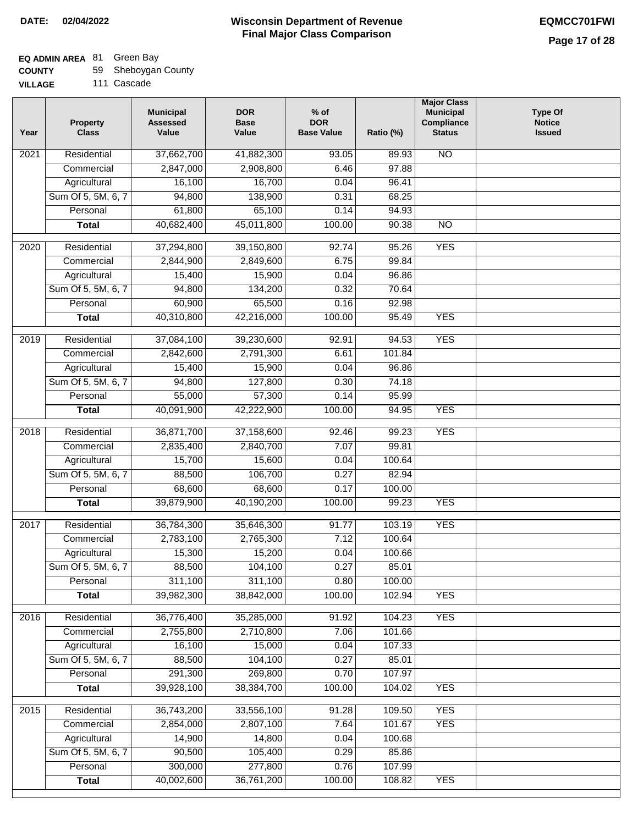## **EQ ADMIN AREA** 81 Green Bay

| <b>COUNTY</b> | 59 Sheboygan County |
|---------------|---------------------|
|---------------|---------------------|

**VILLAGE** 111 Cascade

| Year | <b>Property</b><br><b>Class</b> | <b>Municipal</b><br><b>Assessed</b><br>Value | <b>DOR</b><br><b>Base</b><br>Value | $%$ of<br><b>DOR</b><br><b>Base Value</b> | Ratio (%) | <b>Major Class</b><br><b>Municipal</b><br>Compliance<br><b>Status</b> | <b>Type Of</b><br><b>Notice</b><br><b>Issued</b> |
|------|---------------------------------|----------------------------------------------|------------------------------------|-------------------------------------------|-----------|-----------------------------------------------------------------------|--------------------------------------------------|
| 2021 | Residential                     | 37,662,700                                   | 41,882,300                         | 93.05                                     | 89.93     | $\overline{NO}$                                                       |                                                  |
|      | Commercial                      | 2,847,000                                    | 2,908,800                          | 6.46                                      | 97.88     |                                                                       |                                                  |
|      | Agricultural                    | 16,100                                       | 16,700                             | 0.04                                      | 96.41     |                                                                       |                                                  |
|      | Sum Of 5, 5M, 6, 7              | 94,800                                       | 138,900                            | 0.31                                      | 68.25     |                                                                       |                                                  |
|      | Personal                        | 61,800                                       | 65,100                             | 0.14                                      | 94.93     |                                                                       |                                                  |
|      | <b>Total</b>                    | 40,682,400                                   | 45,011,800                         | 100.00                                    | 90.38     | $\overline{NO}$                                                       |                                                  |
| 2020 | Residential                     | 37,294,800                                   | 39,150,800                         | 92.74                                     | 95.26     | <b>YES</b>                                                            |                                                  |
|      | Commercial                      | 2,844,900                                    | 2,849,600                          | 6.75                                      | 99.84     |                                                                       |                                                  |
|      | Agricultural                    | 15,400                                       | 15,900                             | 0.04                                      | 96.86     |                                                                       |                                                  |
|      | Sum Of 5, 5M, 6, 7              | 94,800                                       | 134,200                            | 0.32                                      | 70.64     |                                                                       |                                                  |
|      | Personal                        | 60,900                                       | 65,500                             | 0.16                                      | 92.98     |                                                                       |                                                  |
|      | <b>Total</b>                    | 40,310,800                                   | 42,216,000                         | 100.00                                    | 95.49     | <b>YES</b>                                                            |                                                  |
| 2019 | Residential                     | 37,084,100                                   | 39,230,600                         | 92.91                                     | 94.53     | <b>YES</b>                                                            |                                                  |
|      | Commercial                      | 2,842,600                                    | 2,791,300                          | 6.61                                      | 101.84    |                                                                       |                                                  |
|      | Agricultural                    | 15,400                                       | 15,900                             | 0.04                                      | 96.86     |                                                                       |                                                  |
|      | Sum Of 5, 5M, 6, 7              | 94,800                                       | 127,800                            | 0.30                                      | 74.18     |                                                                       |                                                  |
|      | Personal                        | 55,000                                       | 57,300                             | 0.14                                      | 95.99     |                                                                       |                                                  |
|      | <b>Total</b>                    | 40,091,900                                   | 42,222,900                         | 100.00                                    | 94.95     | <b>YES</b>                                                            |                                                  |
| 2018 | Residential                     | 36,871,700                                   | 37,158,600                         | 92.46                                     | 99.23     | <b>YES</b>                                                            |                                                  |
|      | Commercial                      | 2,835,400                                    | 2,840,700                          | 7.07                                      | 99.81     |                                                                       |                                                  |
|      | Agricultural                    | 15,700                                       | 15,600                             | 0.04                                      | 100.64    |                                                                       |                                                  |
|      | Sum Of 5, 5M, 6, 7              | 88,500                                       | 106,700                            | 0.27                                      | 82.94     |                                                                       |                                                  |
|      | Personal                        | 68,600                                       | 68,600                             | 0.17                                      | 100.00    |                                                                       |                                                  |
|      | <b>Total</b>                    | 39,879,900                                   | 40,190,200                         | 100.00                                    | 99.23     | <b>YES</b>                                                            |                                                  |
|      |                                 |                                              |                                    |                                           |           |                                                                       |                                                  |
| 2017 | Residential                     | 36,784,300                                   | 35,646,300                         | 91.77                                     | 103.19    | <b>YES</b>                                                            |                                                  |
|      | Commercial                      | 2,783,100                                    | 2,765,300                          | 7.12                                      | 100.64    |                                                                       |                                                  |
|      | Agricultural                    | 15,300                                       | 15,200                             | 0.04                                      | 100.66    |                                                                       |                                                  |
|      | Sum Of 5, 5M, 6, 7              | 88,500                                       | 104,100                            | 0.27                                      | 85.01     |                                                                       |                                                  |
|      | Personal                        | 311,100                                      | 311,100                            | 0.80                                      | 100.00    |                                                                       |                                                  |
|      | <b>Total</b>                    | 39,982,300                                   | 38,842,000                         | 100.00                                    | 102.94    | <b>YES</b>                                                            |                                                  |
| 2016 | Residential                     | 36,776,400                                   | 35,285,000                         | 91.92                                     | 104.23    | <b>YES</b>                                                            |                                                  |
|      | Commercial                      | 2,755,800                                    | 2,710,800                          | 7.06                                      | 101.66    |                                                                       |                                                  |
|      | Agricultural                    | 16,100                                       | 15,000                             | 0.04                                      | 107.33    |                                                                       |                                                  |
|      | Sum Of 5, 5M, 6, 7              | 88,500                                       | 104,100                            | 0.27                                      | 85.01     |                                                                       |                                                  |
|      | Personal                        | 291,300                                      | 269,800                            | 0.70                                      | 107.97    |                                                                       |                                                  |
|      | <b>Total</b>                    | 39,928,100                                   | 38,384,700                         | 100.00                                    | 104.02    | <b>YES</b>                                                            |                                                  |
| 2015 | Residential                     | 36,743,200                                   | 33,556,100                         | 91.28                                     | 109.50    | <b>YES</b>                                                            |                                                  |
|      | Commercial                      | 2,854,000                                    | 2,807,100                          | 7.64                                      | 101.67    | <b>YES</b>                                                            |                                                  |
|      | Agricultural                    | 14,900                                       | 14,800                             | 0.04                                      | 100.68    |                                                                       |                                                  |
|      | Sum Of 5, 5M, 6, 7              | 90,500                                       | 105,400                            | 0.29                                      | 85.86     |                                                                       |                                                  |
|      | Personal                        | 300,000                                      | 277,800                            | 0.76                                      | 107.99    |                                                                       |                                                  |
|      | <b>Total</b>                    | 40,002,600                                   | 36,761,200                         | 100.00                                    | 108.82    | <b>YES</b>                                                            |                                                  |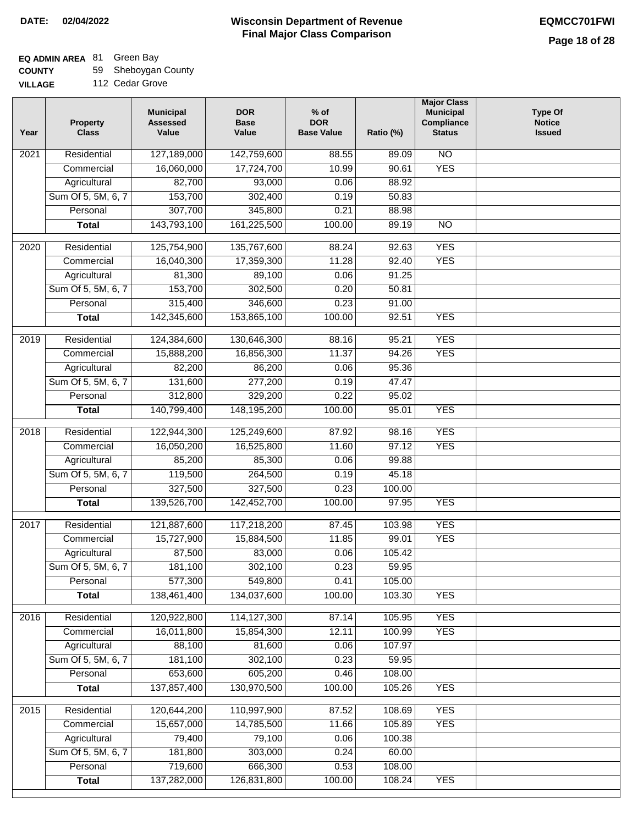| <b>COUNTY</b>  | 59 Sheboygan County |
|----------------|---------------------|
| <b>VILLAGE</b> | 112 Cedar Grove     |

| .  | <u>. .</u>      |
|----|-----------------|
| GЕ | 112 Cedar Grove |

| Year | <b>Property</b><br><b>Class</b> | <b>Municipal</b><br><b>Assessed</b><br>Value | <b>DOR</b><br><b>Base</b><br>Value | $%$ of<br><b>DOR</b><br><b>Base Value</b> | Ratio (%) | <b>Major Class</b><br><b>Municipal</b><br>Compliance<br><b>Status</b> | <b>Type Of</b><br><b>Notice</b><br><b>Issued</b> |
|------|---------------------------------|----------------------------------------------|------------------------------------|-------------------------------------------|-----------|-----------------------------------------------------------------------|--------------------------------------------------|
| 2021 | Residential                     | 127,189,000                                  | 142,759,600                        | 88.55                                     | 89.09     | <b>NO</b>                                                             |                                                  |
|      | Commercial                      | 16,060,000                                   | 17,724,700                         | 10.99                                     | 90.61     | <b>YES</b>                                                            |                                                  |
|      | Agricultural                    | 82,700                                       | 93,000                             | 0.06                                      | 88.92     |                                                                       |                                                  |
|      | Sum Of 5, 5M, 6, 7              | 153,700                                      | 302,400                            | 0.19                                      | 50.83     |                                                                       |                                                  |
|      | Personal                        | 307,700                                      | 345,800                            | 0.21                                      | 88.98     |                                                                       |                                                  |
|      | <b>Total</b>                    | 143,793,100                                  | 161,225,500                        | 100.00                                    | 89.19     | $\overline{NO}$                                                       |                                                  |
| 2020 | Residential                     | 125,754,900                                  | 135,767,600                        | 88.24                                     | 92.63     | <b>YES</b>                                                            |                                                  |
|      | Commercial                      | 16,040,300                                   | 17,359,300                         | 11.28                                     | 92.40     | <b>YES</b>                                                            |                                                  |
|      | Agricultural                    | 81,300                                       | 89,100                             | 0.06                                      | 91.25     |                                                                       |                                                  |
|      | Sum Of 5, 5M, 6, 7              | 153,700                                      | 302,500                            | 0.20                                      | 50.81     |                                                                       |                                                  |
|      | Personal                        | 315,400                                      | 346,600                            | 0.23                                      | 91.00     |                                                                       |                                                  |
|      | <b>Total</b>                    | 142,345,600                                  | 153,865,100                        | 100.00                                    | 92.51     | <b>YES</b>                                                            |                                                  |
|      |                                 |                                              |                                    |                                           |           |                                                                       |                                                  |
| 2019 | Residential                     | 124,384,600                                  | 130,646,300                        | 88.16                                     | 95.21     | <b>YES</b>                                                            |                                                  |
|      | Commercial                      | 15,888,200                                   | 16,856,300                         | 11.37                                     | 94.26     | <b>YES</b>                                                            |                                                  |
|      | Agricultural                    | 82,200                                       | 86,200                             | 0.06                                      | 95.36     |                                                                       |                                                  |
|      | Sum Of 5, 5M, 6, 7              | 131,600                                      | 277,200                            | 0.19                                      | 47.47     |                                                                       |                                                  |
|      | Personal                        | 312,800                                      | 329,200                            | 0.22                                      | 95.02     |                                                                       |                                                  |
|      | <b>Total</b>                    | 140,799,400                                  | 148,195,200                        | 100.00                                    | 95.01     | <b>YES</b>                                                            |                                                  |
| 2018 | Residential                     | 122,944,300                                  | 125,249,600                        | 87.92                                     | 98.16     | <b>YES</b>                                                            |                                                  |
|      | Commercial                      | 16,050,200                                   | 16,525,800                         | 11.60                                     | 97.12     | <b>YES</b>                                                            |                                                  |
|      | Agricultural                    | 85,200                                       | 85,300                             | 0.06                                      | 99.88     |                                                                       |                                                  |
|      | Sum Of 5, 5M, 6, 7              | 119,500                                      | 264,500                            | 0.19                                      | 45.18     |                                                                       |                                                  |
|      | Personal                        | 327,500                                      | 327,500                            | 0.23                                      | 100.00    |                                                                       |                                                  |
|      | <b>Total</b>                    | 139,526,700                                  | 142,452,700                        | 100.00                                    | 97.95     | <b>YES</b>                                                            |                                                  |
|      |                                 |                                              |                                    |                                           |           |                                                                       |                                                  |
| 2017 | Residential                     | 121,887,600                                  | 117,218,200                        | 87.45                                     | 103.98    | <b>YES</b>                                                            |                                                  |
|      | Commercial                      | 15,727,900                                   | 15,884,500                         | 11.85                                     | 99.01     | <b>YES</b>                                                            |                                                  |
|      | Agricultural                    | 87,500                                       | 83,000                             | 0.06                                      | 105.42    |                                                                       |                                                  |
|      | Sum Of 5, 5M, 6, 7              | 181,100                                      | 302,100                            | 0.23                                      | 59.95     |                                                                       |                                                  |
|      | Personal                        | 577,300                                      | 549,800                            | 0.41                                      | 105.00    |                                                                       |                                                  |
|      | <b>Total</b>                    | 138,461,400                                  | 134,037,600                        | 100.00                                    | 103.30    | <b>YES</b>                                                            |                                                  |
| 2016 | Residential                     | 120,922,800                                  | 114, 127, 300                      | 87.14                                     | 105.95    | <b>YES</b>                                                            |                                                  |
|      | Commercial                      | 16,011,800                                   | 15,854,300                         | 12.11                                     | 100.99    | <b>YES</b>                                                            |                                                  |
|      | Agricultural                    | 88,100                                       | 81,600                             | 0.06                                      | 107.97    |                                                                       |                                                  |
|      | Sum Of 5, 5M, 6, 7              | 181,100                                      | 302,100                            | 0.23                                      | 59.95     |                                                                       |                                                  |
|      | Personal                        | 653,600                                      | 605,200                            | 0.46                                      | 108.00    |                                                                       |                                                  |
|      | <b>Total</b>                    | 137,857,400                                  | 130,970,500                        | 100.00                                    | 105.26    | <b>YES</b>                                                            |                                                  |
|      |                                 |                                              |                                    |                                           |           |                                                                       |                                                  |
| 2015 | Residential                     | 120,644,200                                  | 110,997,900                        | 87.52                                     | 108.69    | <b>YES</b>                                                            |                                                  |
|      | Commercial                      | 15,657,000                                   | 14,785,500                         | 11.66                                     | 105.89    | <b>YES</b>                                                            |                                                  |
|      | Agricultural                    | 79,400                                       | 79,100                             | 0.06                                      | 100.38    |                                                                       |                                                  |
|      | Sum Of 5, 5M, 6, 7              | 181,800                                      | 303,000                            | 0.24                                      | 60.00     |                                                                       |                                                  |
|      | Personal                        | 719,600                                      | 666,300                            | 0.53                                      | 108.00    |                                                                       |                                                  |
|      | <b>Total</b>                    | 137,282,000                                  | 126,831,800                        | 100.00                                    | 108.24    | <b>YES</b>                                                            |                                                  |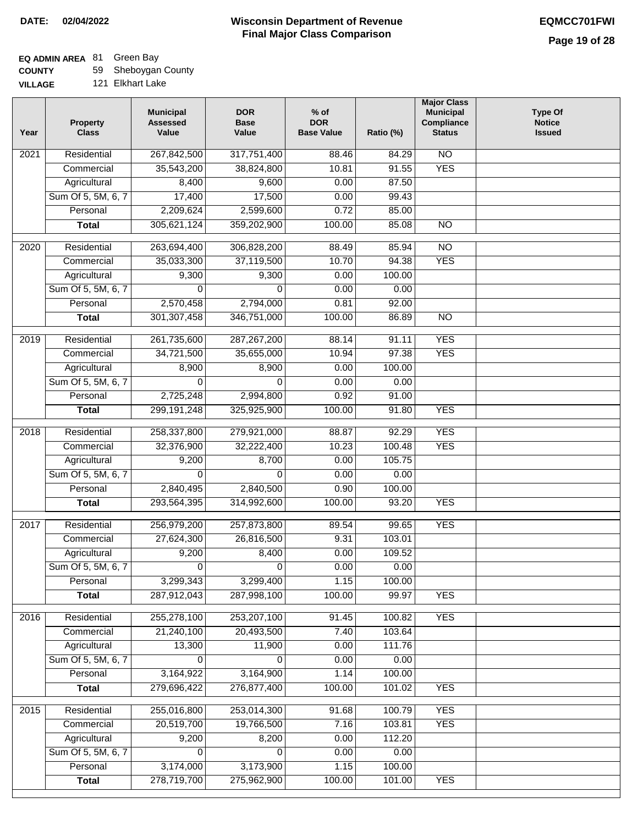#### **Wisconsin Department of Revenue Final Major Class Comparison DATE: 02/04/2022 EQMCC701FWI**

## **EQ ADMIN AREA** 81 Green Bay

**COUNTY** 59 Sheboygan County

| <b>VILLAGE</b> |  | 121 Elkhart Lake |  |
|----------------|--|------------------|--|
|----------------|--|------------------|--|

| Year | <b>Property</b><br><b>Class</b>    | <b>Municipal</b><br><b>Assessed</b><br>Value | <b>DOR</b><br><b>Base</b><br>Value | $%$ of<br><b>DOR</b><br><b>Base Value</b> | Ratio (%)        | <b>Major Class</b><br><b>Municipal</b><br>Compliance<br><b>Status</b> | <b>Type Of</b><br><b>Notice</b><br><b>Issued</b> |
|------|------------------------------------|----------------------------------------------|------------------------------------|-------------------------------------------|------------------|-----------------------------------------------------------------------|--------------------------------------------------|
| 2021 | Residential                        | 267,842,500                                  | 317,751,400                        | 88.46                                     | 84.29            | <b>NO</b>                                                             |                                                  |
|      | Commercial                         | 35,543,200                                   | 38,824,800                         | 10.81                                     | 91.55            | <b>YES</b>                                                            |                                                  |
|      | Agricultural                       | 8,400                                        | 9,600                              | 0.00                                      | 87.50            |                                                                       |                                                  |
|      | Sum Of 5, 5M, 6, 7                 | 17,400                                       | 17,500                             | 0.00                                      | 99.43            |                                                                       |                                                  |
|      | Personal                           | 2,209,624                                    | 2,599,600                          | 0.72                                      | 85.00            |                                                                       |                                                  |
|      | <b>Total</b>                       | 305,621,124                                  | 359,202,900                        | 100.00                                    | 85.08            | $\overline{NO}$                                                       |                                                  |
| 2020 | Residential                        | 263,694,400                                  | 306,828,200                        | 88.49                                     | 85.94            | $\overline{NO}$                                                       |                                                  |
|      | Commercial                         | 35,033,300                                   | 37,119,500                         | 10.70                                     | 94.38            | <b>YES</b>                                                            |                                                  |
|      | Agricultural                       | 9,300                                        | 9,300                              | 0.00                                      | 100.00           |                                                                       |                                                  |
|      | Sum Of 5, 5M, 6, 7                 | 0                                            | 0                                  | 0.00                                      | 0.00             |                                                                       |                                                  |
|      | Personal                           | 2,570,458                                    | 2,794,000                          | 0.81                                      | 92.00            |                                                                       |                                                  |
|      | <b>Total</b>                       | 301, 307, 458                                | 346,751,000                        | 100.00                                    | 86.89            | $\overline{NO}$                                                       |                                                  |
|      |                                    |                                              |                                    |                                           |                  |                                                                       |                                                  |
| 2019 | Residential                        | 261,735,600                                  | 287,267,200                        | 88.14                                     | 91.11            | <b>YES</b>                                                            |                                                  |
|      | Commercial                         | 34,721,500                                   | 35,655,000                         | 10.94                                     | 97.38            | <b>YES</b>                                                            |                                                  |
|      | Agricultural                       | 8,900                                        | 8,900                              | 0.00                                      | 100.00           |                                                                       |                                                  |
|      | Sum Of 5, 5M, 6, 7                 | 0                                            | 0                                  | 0.00                                      | 0.00             |                                                                       |                                                  |
|      | Personal                           | 2,725,248                                    | 2,994,800                          | 0.92                                      | 91.00            |                                                                       |                                                  |
|      | <b>Total</b>                       | 299, 191, 248                                | 325,925,900                        | 100.00                                    | 91.80            | <b>YES</b>                                                            |                                                  |
| 2018 | Residential                        | 258,337,800                                  | 279,921,000                        | 88.87                                     | 92.29            | <b>YES</b>                                                            |                                                  |
|      | Commercial                         | 32,376,900                                   | 32,222,400                         | 10.23                                     | 100.48           | <b>YES</b>                                                            |                                                  |
|      | Agricultural                       | 9,200                                        | 8,700                              | 0.00                                      | 105.75           |                                                                       |                                                  |
|      | Sum Of 5, 5M, 6, 7                 | 0                                            | 0                                  | 0.00                                      | 0.00             |                                                                       |                                                  |
|      | Personal                           | 2,840,495                                    | 2,840,500                          | 0.90                                      | 100.00           |                                                                       |                                                  |
|      | <b>Total</b>                       | 293,564,395                                  | 314,992,600                        | 100.00                                    | 93.20            | <b>YES</b>                                                            |                                                  |
| 2017 | Residential                        | 256,979,200                                  | 257,873,800                        | 89.54                                     | 99.65            | <b>YES</b>                                                            |                                                  |
|      | Commercial                         | 27,624,300                                   | 26,816,500                         | 9.31                                      | 103.01           |                                                                       |                                                  |
|      | Agricultural                       | 9,200                                        | 8,400                              | 0.00                                      | 109.52           |                                                                       |                                                  |
|      | Sum Of 5, 5M, 6, 7                 | 0                                            | 0                                  | 0.00                                      | 0.00             |                                                                       |                                                  |
|      | Personal                           | 3,299,343                                    | 3,299,400                          | 1.15                                      | 100.00           |                                                                       |                                                  |
|      | <b>Total</b>                       | 287,912,043                                  | 287,998,100                        | 100.00                                    | 99.97            | <b>YES</b>                                                            |                                                  |
| 2016 | Residential                        | 255,278,100                                  | 253,207,100                        | 91.45                                     | 100.82           | <b>YES</b>                                                            |                                                  |
|      | Commercial                         | 21,240,100                                   | 20,493,500                         | 7.40                                      | 103.64           |                                                                       |                                                  |
|      | Agricultural                       | 13,300                                       | 11,900                             | 0.00                                      | 111.76           |                                                                       |                                                  |
|      | Sum Of 5, 5M, 6, 7                 | 0                                            | $\Omega$                           | 0.00                                      | 0.00             |                                                                       |                                                  |
|      | Personal                           | 3,164,922                                    | 3,164,900                          | 1.14                                      | 100.00           |                                                                       |                                                  |
|      | <b>Total</b>                       | 279,696,422                                  | 276,877,400                        | 100.00                                    | 101.02           | <b>YES</b>                                                            |                                                  |
|      |                                    |                                              |                                    |                                           |                  |                                                                       |                                                  |
| 2015 | Residential                        | 255,016,800<br>20,519,700                    | 253,014,300<br>19,766,500          | 91.68                                     | 100.79           | <b>YES</b>                                                            |                                                  |
|      | Commercial                         |                                              |                                    | 7.16<br>0.00                              | 103.81<br>112.20 | <b>YES</b>                                                            |                                                  |
|      | Agricultural<br>Sum Of 5, 5M, 6, 7 | 9,200                                        | 8,200                              |                                           |                  |                                                                       |                                                  |
|      | Personal                           | 0                                            | 0                                  | 0.00<br>1.15                              | 0.00<br>100.00   |                                                                       |                                                  |
|      |                                    | 3,174,000<br>278,719,700                     | 3,173,900<br>275,962,900           | 100.00                                    | 101.00           | <b>YES</b>                                                            |                                                  |
|      | <b>Total</b>                       |                                              |                                    |                                           |                  |                                                                       |                                                  |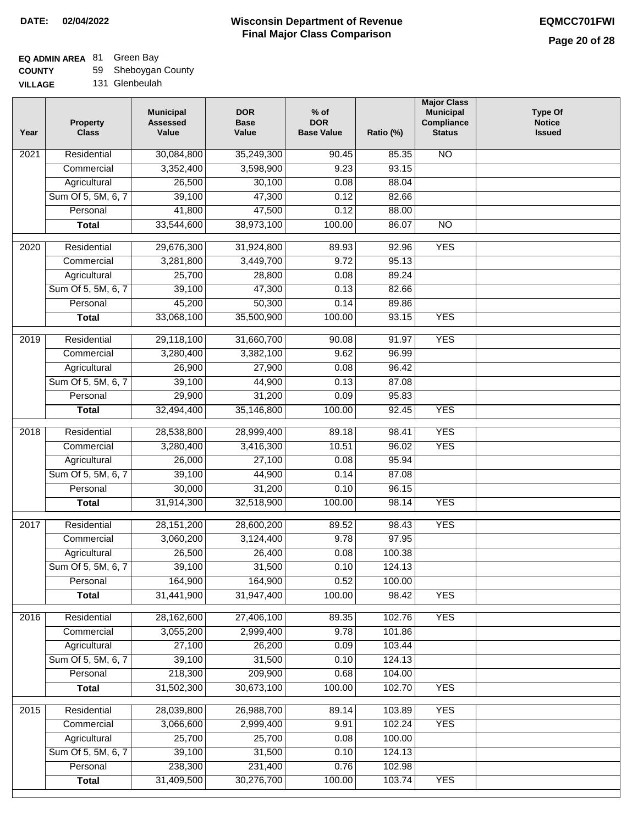**Ratio (%)** 

 85.35 93.15 88.04 82.66 88.00 86.07

92.96

**Major Class Municipal Compliance Status**

NO

NO

YES

**Type Of Notice Issued**

| <b>COUNTY</b> | 59 Sheboygan County |  |
|---------------|---------------------|--|
|---------------|---------------------|--|

| 131 Glenbeulah<br><b>VILLAGE</b> |                                 |                                              |                                    |                                           |  |  |
|----------------------------------|---------------------------------|----------------------------------------------|------------------------------------|-------------------------------------------|--|--|
| Year                             | <b>Property</b><br><b>Class</b> | <b>Municipal</b><br><b>Assessed</b><br>Value | <b>DOR</b><br><b>Base</b><br>Value | $%$ of<br><b>DOR</b><br><b>Base Value</b> |  |  |
| 2021                             | Residential                     | 30,084,800                                   | 35,249,300                         | 90.45                                     |  |  |
|                                  | Commercial                      | 3,352,400                                    | 3,598,900                          | 9.23                                      |  |  |
|                                  | Agricultural                    | 26,500                                       | 30,100                             | 0.08                                      |  |  |
|                                  | Sum Of 5, 5M, 6, 7              | 39,100                                       | 47,300                             | 0.12                                      |  |  |
|                                  | Personal                        | 41,800                                       | 47,500                             | 0.12                                      |  |  |
|                                  | <b>Total</b>                    | 33,544,600                                   | 38,973,100                         | 100.00                                    |  |  |
|                                  |                                 |                                              |                                    |                                           |  |  |
| 2020                             | Residential                     | 29,676,300                                   | 31,924,800                         | 89.93                                     |  |  |
|                                  | Commercial                      | 3,281,800                                    | 3,449,700                          | 9.72                                      |  |  |
|                                  | Agricultural                    | 25,700                                       | 28,800                             | 0.08                                      |  |  |
|                                  | Sum Of 5, 5M, 6, 7              | 39,100                                       | 47,300                             | 0.13                                      |  |  |

|                   | Commercial         | 3,281,800    | 3,449,700  | 9.72   | 95.13  |            |  |
|-------------------|--------------------|--------------|------------|--------|--------|------------|--|
|                   | Agricultural       | 25,700       | 28,800     | 0.08   | 89.24  |            |  |
|                   | Sum Of 5, 5M, 6, 7 | 39,100       | 47,300     | 0.13   | 82.66  |            |  |
|                   | Personal           | 45,200       | 50,300     | 0.14   | 89.86  |            |  |
|                   | <b>Total</b>       | 33,068,100   | 35,500,900 | 100.00 | 93.15  | <b>YES</b> |  |
| $\frac{2019}{ }$  | Residential        | 29,118,100   | 31,660,700 | 90.08  | 91.97  | <b>YES</b> |  |
|                   | Commercial         | 3,280,400    | 3,382,100  | 9.62   | 96.99  |            |  |
|                   | Agricultural       | 26,900       | 27,900     | 0.08   | 96.42  |            |  |
|                   | Sum Of 5, 5M, 6, 7 | 39,100       | 44,900     | 0.13   | 87.08  |            |  |
|                   | Personal           | 29,900       | 31,200     | 0.09   | 95.83  |            |  |
|                   | <b>Total</b>       | 32,494,400   | 35,146,800 | 100.00 | 92.45  | <b>YES</b> |  |
|                   |                    |              |            |        |        |            |  |
| $\overline{2018}$ | Residential        | 28,538,800   | 28,999,400 | 89.18  | 98.41  | <b>YES</b> |  |
|                   | Commercial         | 3,280,400    | 3,416,300  | 10.51  | 96.02  | <b>YES</b> |  |
|                   | Agricultural       | 26,000       | 27,100     | 0.08   | 95.94  |            |  |
|                   | Sum Of 5, 5M, 6, 7 | 39,100       | 44,900     | 0.14   | 87.08  |            |  |
|                   | Personal           | 30,000       | 31,200     | 0.10   | 96.15  |            |  |
|                   | <b>Total</b>       | 31,914,300   | 32,518,900 | 100.00 | 98.14  | <b>YES</b> |  |
| 2017              | Residential        | 28, 151, 200 | 28,600,200 | 89.52  | 98.43  | <b>YES</b> |  |
|                   | Commercial         | 3,060,200    | 3,124,400  | 9.78   | 97.95  |            |  |
|                   | Agricultural       | 26,500       | 26,400     | 0.08   | 100.38 |            |  |
|                   | Sum Of 5, 5M, 6, 7 | 39,100       | 31,500     | 0.10   | 124.13 |            |  |
|                   | Personal           | 164,900      | 164,900    | 0.52   | 100.00 |            |  |
|                   | <b>Total</b>       | 31,441,900   | 31,947,400 | 100.00 | 98.42  | <b>YES</b> |  |
| 2016              | Residential        | 28,162,600   | 27,406,100 | 89.35  | 102.76 | <b>YES</b> |  |
|                   | Commercial         | 3,055,200    | 2,999,400  | 9.78   | 101.86 |            |  |
|                   | Agricultural       | 27,100       | 26,200     | 0.09   | 103.44 |            |  |
|                   | Sum Of 5, 5M, 6, 7 | 39,100       | 31,500     | 0.10   | 124.13 |            |  |
|                   | Personal           | 218,300      | 209,900    | 0.68   | 104.00 |            |  |
|                   | <b>Total</b>       | 31,502,300   | 30,673,100 | 100.00 | 102.70 | <b>YES</b> |  |
| $\frac{1}{2015}$  | Residential        | 28,039,800   | 26,988,700 | 89.14  | 103.89 | <b>YES</b> |  |
|                   | Commercial         | 3,066,600    | 2,999,400  | 9.91   | 102.24 | <b>YES</b> |  |
|                   | Agricultural       | 25,700       | 25,700     | 0.08   | 100.00 |            |  |
|                   | Sum Of 5, 5M, 6, 7 | 39,100       | 31,500     | 0.10   | 124.13 |            |  |
|                   | Personal           | 238,300      | 231,400    | 0.76   | 102.98 |            |  |
|                   | <b>Total</b>       | 31,409,500   | 30,276,700 | 100.00 | 103.74 | <b>YES</b> |  |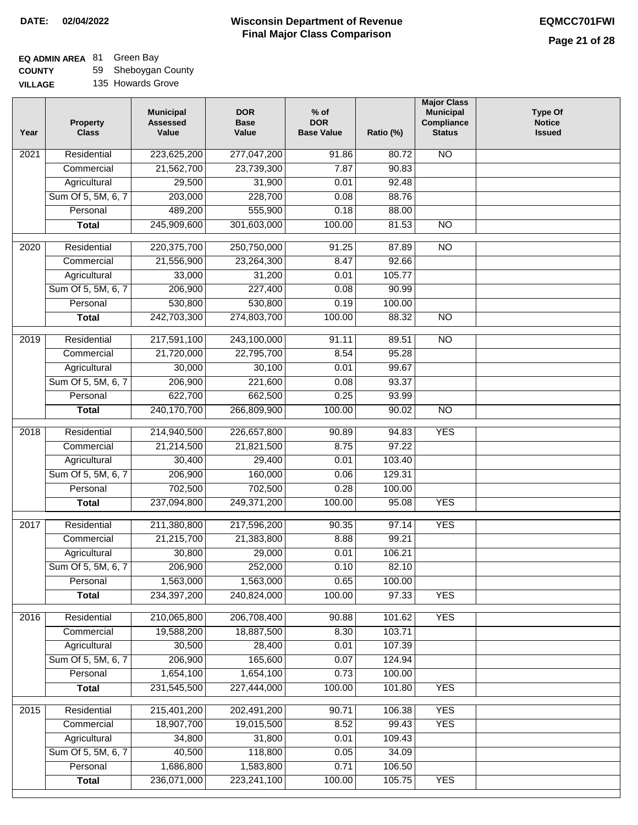#### **Wisconsin Department of Revenue Final Major Class Comparison DATE: 02/04/2022 EQMCC701FWI**

٦

# **EQ ADMIN AREA** 81 Green Bay

**COUNTY VILLAGE** 59 Sheboygan County

| LLAGE |  | 135 Howards Grove |  |  |
|-------|--|-------------------|--|--|
|-------|--|-------------------|--|--|

| Year             | <b>Property</b><br><b>Class</b> | <b>Municipal</b><br><b>Assessed</b><br>Value | <b>DOR</b><br><b>Base</b><br>Value | $%$ of<br><b>DOR</b><br><b>Base Value</b> | Ratio (%) | <b>Major Class</b><br><b>Municipal</b><br>Compliance<br><b>Status</b> | <b>Type Of</b><br><b>Notice</b><br><b>Issued</b> |
|------------------|---------------------------------|----------------------------------------------|------------------------------------|-------------------------------------------|-----------|-----------------------------------------------------------------------|--------------------------------------------------|
| 2021             | Residential                     | 223,625,200                                  | 277,047,200                        | 91.86                                     | 80.72     | <b>NO</b>                                                             |                                                  |
|                  | Commercial                      | 21,562,700                                   | 23,739,300                         | 7.87                                      | 90.83     |                                                                       |                                                  |
|                  | Agricultural                    | 29,500                                       | 31,900                             | 0.01                                      | 92.48     |                                                                       |                                                  |
|                  | Sum Of 5, 5M, 6, 7              | 203,000                                      | 228,700                            | 0.08                                      | 88.76     |                                                                       |                                                  |
|                  | Personal                        | 489,200                                      | 555,900                            | 0.18                                      | 88.00     |                                                                       |                                                  |
|                  | <b>Total</b>                    | 245,909,600                                  | 301,603,000                        | 100.00                                    | 81.53     | $\overline{NO}$                                                       |                                                  |
| 2020             | Residential                     | 220, 375, 700                                | 250,750,000                        | 91.25                                     | 87.89     | $\overline{10}$                                                       |                                                  |
|                  | Commercial                      | 21,556,900                                   | 23,264,300                         | 8.47                                      | 92.66     |                                                                       |                                                  |
|                  | Agricultural                    | 33,000                                       | 31,200                             | 0.01                                      | 105.77    |                                                                       |                                                  |
|                  | Sum Of 5, 5M, 6, 7              | 206,900                                      | 227,400                            | 0.08                                      | 90.99     |                                                                       |                                                  |
|                  | Personal                        | 530,800                                      | 530,800                            | 0.19                                      | 100.00    |                                                                       |                                                  |
|                  | <b>Total</b>                    | 242,703,300                                  | 274,803,700                        | 100.00                                    | 88.32     | <b>NO</b>                                                             |                                                  |
|                  |                                 |                                              |                                    |                                           |           |                                                                       |                                                  |
| $\frac{1}{2019}$ | Residential                     | 217,591,100                                  | 243,100,000                        | 91.11                                     | 89.51     | <b>NO</b>                                                             |                                                  |
|                  | Commercial                      | 21,720,000                                   | 22,795,700                         | 8.54                                      | 95.28     |                                                                       |                                                  |
|                  | Agricultural                    | 30,000                                       | 30,100                             | 0.01                                      | 99.67     |                                                                       |                                                  |
|                  | Sum Of 5, 5M, 6, 7              | 206,900                                      | 221,600                            | 0.08                                      | 93.37     |                                                                       |                                                  |
|                  | Personal                        | 622,700                                      | 662,500                            | 0.25                                      | 93.99     |                                                                       |                                                  |
|                  | <b>Total</b>                    | 240,170,700                                  | 266,809,900                        | 100.00                                    | 90.02     | $\overline{NO}$                                                       |                                                  |
| 2018             | Residential                     | 214,940,500                                  | 226,657,800                        | 90.89                                     | 94.83     | <b>YES</b>                                                            |                                                  |
|                  | Commercial                      | 21,214,500                                   | 21,821,500                         | 8.75                                      | 97.22     |                                                                       |                                                  |
|                  | Agricultural                    | 30,400                                       | 29,400                             | 0.01                                      | 103.40    |                                                                       |                                                  |
|                  | Sum Of 5, 5M, 6, 7              | 206,900                                      | 160,000                            | 0.06                                      | 129.31    |                                                                       |                                                  |
|                  | Personal                        | 702,500                                      | 702,500                            | 0.28                                      | 100.00    |                                                                       |                                                  |
|                  | <b>Total</b>                    | 237,094,800                                  | 249,371,200                        | 100.00                                    | 95.08     | <b>YES</b>                                                            |                                                  |
| 2017             | Residential                     | 211,380,800                                  | 217,596,200                        | 90.35                                     | 97.14     | <b>YES</b>                                                            |                                                  |
|                  | Commercial                      | 21,215,700                                   | 21,383,800                         | 8.88                                      | 99.21     |                                                                       |                                                  |
|                  | Agricultural                    | 30,800                                       | 29,000                             | 0.01                                      | 106.21    |                                                                       |                                                  |
|                  | Sum Of 5, 5M, 6, 7              | 206,900                                      | 252,000                            | 0.10                                      | 82.10     |                                                                       |                                                  |
|                  | Personal                        | 1,563,000                                    | 1,563,000                          | 0.65                                      | 100.00    |                                                                       |                                                  |
|                  | <b>Total</b>                    | 234,397,200                                  | 240,824,000                        | 100.00                                    | 97.33     | <b>YES</b>                                                            |                                                  |
| 2016             | Residential                     | 210,065,800                                  | 206,708,400                        | 90.88                                     | 101.62    | <b>YES</b>                                                            |                                                  |
|                  | Commercial                      | 19,588,200                                   | 18,887,500                         | 8.30                                      | 103.71    |                                                                       |                                                  |
|                  | Agricultural                    | 30,500                                       | 28,400                             | 0.01                                      | 107.39    |                                                                       |                                                  |
|                  | Sum Of 5, 5M, 6, 7              | 206,900                                      | 165,600                            | 0.07                                      | 124.94    |                                                                       |                                                  |
|                  | Personal                        | 1,654,100                                    | 1,654,100                          | 0.73                                      | 100.00    |                                                                       |                                                  |
|                  | <b>Total</b>                    | 231,545,500                                  | 227,444,000                        | 100.00                                    | 101.80    | <b>YES</b>                                                            |                                                  |
| 2015             | Residential                     | 215,401,200                                  | 202,491,200                        | 90.71                                     | 106.38    | <b>YES</b>                                                            |                                                  |
|                  | Commercial                      | 18,907,700                                   | 19,015,500                         | 8.52                                      | 99.43     | <b>YES</b>                                                            |                                                  |
|                  | Agricultural                    | 34,800                                       | 31,800                             | 0.01                                      | 109.43    |                                                                       |                                                  |
|                  | Sum Of 5, 5M, 6, 7              | 40,500                                       | 118,800                            | 0.05                                      | 34.09     |                                                                       |                                                  |
|                  | Personal                        | 1,686,800                                    | 1,583,800                          | 0.71                                      | 106.50    |                                                                       |                                                  |
|                  | <b>Total</b>                    | 236,071,000                                  | 223,241,100                        | 100.00                                    | 105.75    | <b>YES</b>                                                            |                                                  |
|                  |                                 |                                              |                                    |                                           |           |                                                                       |                                                  |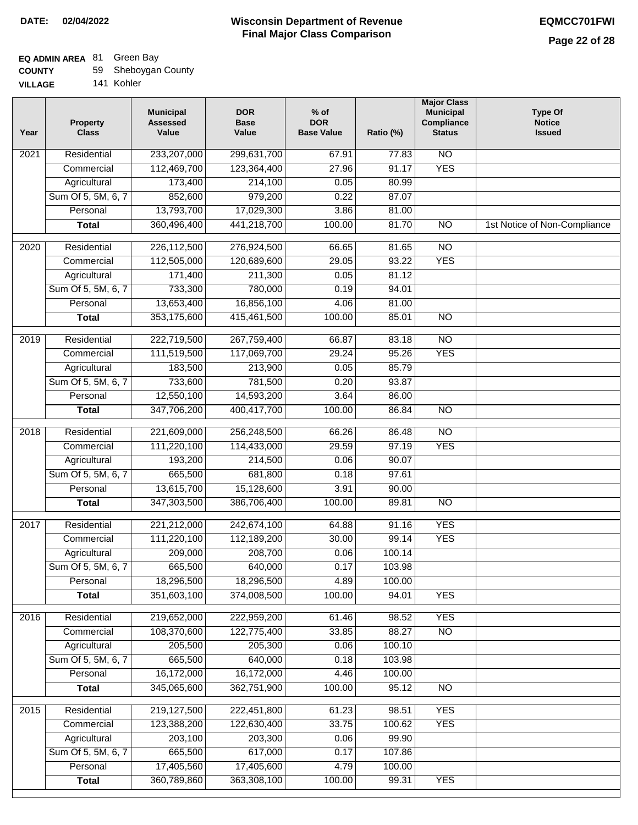# **EQ ADMIN AREA** 81 Green Bay

| <b>COUNTY</b> | 59 Sheboygan County |
|---------------|---------------------|
|               |                     |

**VILLAGE** 141 Kohler

| Year | <b>Property</b><br><b>Class</b> | <b>Municipal</b><br><b>Assessed</b><br>Value | <b>DOR</b><br><b>Base</b><br>Value | $%$ of<br><b>DOR</b><br><b>Base Value</b> | Ratio (%) | <b>Major Class</b><br><b>Municipal</b><br>Compliance<br><b>Status</b> | <b>Type Of</b><br><b>Notice</b><br><b>Issued</b> |
|------|---------------------------------|----------------------------------------------|------------------------------------|-------------------------------------------|-----------|-----------------------------------------------------------------------|--------------------------------------------------|
| 2021 | Residential                     | 233,207,000                                  | 299,631,700                        | 67.91                                     | 77.83     | N <sub>O</sub>                                                        |                                                  |
|      | Commercial                      | 112,469,700                                  | 123,364,400                        | 27.96                                     | 91.17     | <b>YES</b>                                                            |                                                  |
|      | Agricultural                    | 173,400                                      | 214,100                            | 0.05                                      | 80.99     |                                                                       |                                                  |
|      | Sum Of 5, 5M, 6, 7              | 852,600                                      | 979,200                            | 0.22                                      | 87.07     |                                                                       |                                                  |
|      | Personal                        | 13,793,700                                   | 17,029,300                         | 3.86                                      | 81.00     |                                                                       |                                                  |
|      | <b>Total</b>                    | 360,496,400                                  | 441,218,700                        | 100.00                                    | 81.70     | $\overline{NO}$                                                       | 1st Notice of Non-Compliance                     |
| 2020 | Residential                     | 226,112,500                                  | 276,924,500                        | 66.65                                     | 81.65     | $\overline{NO}$                                                       |                                                  |
|      | Commercial                      | 112,505,000                                  | 120,689,600                        | 29.05                                     | 93.22     | <b>YES</b>                                                            |                                                  |
|      | Agricultural                    | 171,400                                      | 211,300                            | 0.05                                      | 81.12     |                                                                       |                                                  |
|      | Sum Of 5, 5M, 6, 7              | 733,300                                      | 780,000                            | 0.19                                      | 94.01     |                                                                       |                                                  |
|      | Personal                        | 13,653,400                                   | 16,856,100                         | 4.06                                      | 81.00     |                                                                       |                                                  |
|      | <b>Total</b>                    | 353,175,600                                  | 415,461,500                        | 100.00                                    | 85.01     | $\overline{NO}$                                                       |                                                  |
| 2019 | Residential                     | 222,719,500                                  | 267,759,400                        | 66.87                                     | 83.18     | $\overline{10}$                                                       |                                                  |
|      | Commercial                      | 111,519,500                                  | 117,069,700                        | 29.24                                     | 95.26     | <b>YES</b>                                                            |                                                  |
|      | Agricultural                    | 183,500                                      | 213,900                            | 0.05                                      | 85.79     |                                                                       |                                                  |
|      | Sum Of 5, 5M, 6, 7              | 733,600                                      | 781,500                            | 0.20                                      | 93.87     |                                                                       |                                                  |
|      | Personal                        | 12,550,100                                   | 14,593,200                         | 3.64                                      | 86.00     |                                                                       |                                                  |
|      | <b>Total</b>                    | 347,706,200                                  | 400,417,700                        | 100.00                                    | 86.84     | $\overline{NO}$                                                       |                                                  |
| 2018 | Residential                     | 221,609,000                                  | 256,248,500                        | 66.26                                     | 86.48     | $\overline{10}$                                                       |                                                  |
|      | Commercial                      | 111,220,100                                  | 114,433,000                        | 29.59                                     | 97.19     | <b>YES</b>                                                            |                                                  |
|      | Agricultural                    | 193,200                                      | 214,500                            | 0.06                                      | 90.07     |                                                                       |                                                  |
|      | Sum Of 5, 5M, 6, 7              | 665,500                                      | 681,800                            | 0.18                                      | 97.61     |                                                                       |                                                  |
|      | Personal                        | 13,615,700                                   | 15,128,600                         | 3.91                                      | 90.00     |                                                                       |                                                  |
|      | <b>Total</b>                    | 347,303,500                                  | 386,706,400                        | 100.00                                    | 89.81     | <b>NO</b>                                                             |                                                  |
| 2017 | Residential                     | 221,212,000                                  | 242,674,100                        | 64.88                                     | 91.16     | <b>YES</b>                                                            |                                                  |
|      | Commercial                      | 111,220,100                                  | 112,189,200                        | 30.00                                     | 99.14     | <b>YES</b>                                                            |                                                  |
|      | Agricultural                    | 209,000                                      | 208,700                            | 0.06                                      | 100.14    |                                                                       |                                                  |
|      | Sum Of 5, 5M, 6, 7              | 665,500                                      | 640,000                            | 0.17                                      | 103.98    |                                                                       |                                                  |
|      | Personal                        | 18,296,500                                   | 18,296,500                         | 4.89                                      | 100.00    |                                                                       |                                                  |
|      | <b>Total</b>                    | 351,603,100                                  | 374,008,500                        | 100.00                                    | 94.01     | <b>YES</b>                                                            |                                                  |
| 2016 | Residential                     | 219,652,000                                  | 222,959,200                        | 61.46                                     | 98.52     | <b>YES</b>                                                            |                                                  |
|      | Commercial                      | 108,370,600                                  | 122,775,400                        | 33.85                                     | 88.27     | $\overline{NO}$                                                       |                                                  |
|      | Agricultural                    | 205,500                                      | 205,300                            | 0.06                                      | 100.10    |                                                                       |                                                  |
|      | Sum Of 5, 5M, 6, 7              | 665,500                                      | 640,000                            | 0.18                                      | 103.98    |                                                                       |                                                  |
|      | Personal                        | 16,172,000                                   | 16,172,000                         | 4.46                                      | 100.00    |                                                                       |                                                  |
|      | <b>Total</b>                    | 345,065,600                                  | 362,751,900                        | 100.00                                    | 95.12     | $\overline{NO}$                                                       |                                                  |
| 2015 | Residential                     | 219,127,500                                  | 222,451,800                        | 61.23                                     | 98.51     | <b>YES</b>                                                            |                                                  |
|      | Commercial                      | 123,388,200                                  | 122,630,400                        | 33.75                                     | 100.62    | <b>YES</b>                                                            |                                                  |
|      | Agricultural                    | 203,100                                      | 203,300                            | 0.06                                      | 99.90     |                                                                       |                                                  |
|      | Sum Of 5, 5M, 6, 7              | 665,500                                      | 617,000                            | 0.17                                      | 107.86    |                                                                       |                                                  |
|      | Personal                        | 17,405,560                                   | 17,405,600                         | 4.79                                      | 100.00    |                                                                       |                                                  |
|      | <b>Total</b>                    | 360,789,860                                  | 363,308,100                        | 100.00                                    | 99.31     | <b>YES</b>                                                            |                                                  |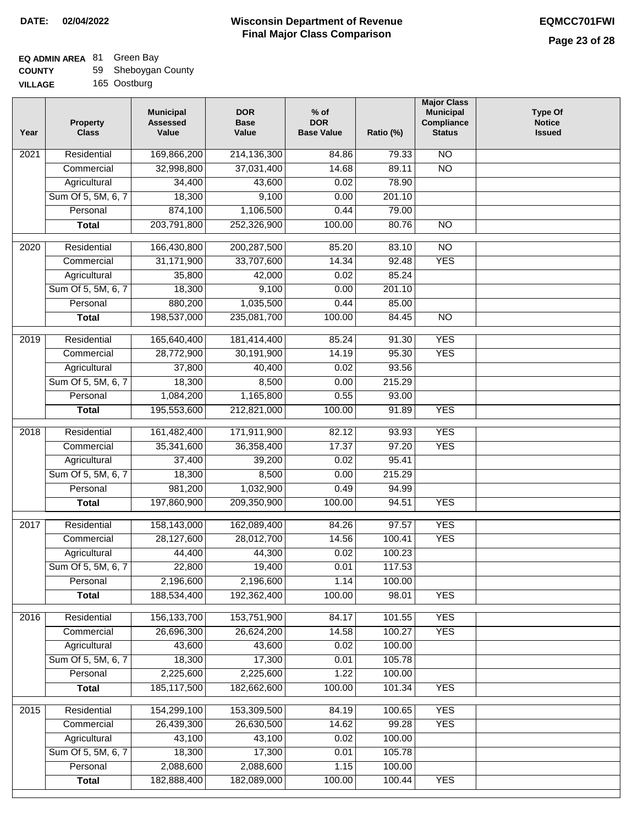# **EQ ADMIN AREA** 81 Green Bay

| <b>COUNTY</b> |  | 59 Sheboygan County |
|---------------|--|---------------------|
|---------------|--|---------------------|

**VILLAGE** 165 Oostburg

| Residential<br>169,866,200<br>$\overline{NO}$<br>2021<br>214,136,300<br>84.86<br>79.33<br>$\overline{NO}$<br>32,998,800<br>37,031,400<br>14.68<br>89.11<br>Commercial<br>Agricultural<br>34,400<br>43,600<br>0.02<br>78.90<br>Sum Of 5, 5M, 6, 7<br>18,300<br>9,100<br>0.00<br>201.10<br>874,100<br>1,106,500<br>Personal<br>0.44<br>79.00<br>203,791,800<br>252,326,900<br>100.00<br>80.76<br>$\overline{NO}$<br><b>Total</b><br>$\overline{NO}$<br>2020<br>Residential<br>166,430,800<br>200, 287, 500<br>85.20<br>83.10<br>31,171,900<br><b>YES</b><br>33,707,600<br>14.34<br>92.48<br>Commercial<br>35,800<br>42,000<br>0.02<br>85.24<br>Agricultural<br>Sum Of 5, 5M, 6, 7<br>9,100<br>18,300<br>201.10<br>0.00<br>880,200<br>1,035,500<br>85.00<br>Personal<br>0.44<br>198,537,000<br>235,081,700<br>100.00<br>84.45<br>$\overline{NO}$<br><b>Total</b><br>165,640,400<br><b>YES</b><br>2019<br>Residential<br>181,414,400<br>85.24<br>91.30<br><b>YES</b><br>28,772,900<br>14.19<br>95.30<br>Commercial<br>30,191,900<br>93.56<br>37,800<br>40,400<br>0.02<br>Agricultural<br>8,500<br>Sum Of 5, 5M, 6, 7<br>18,300<br>0.00<br>215.29<br>1,084,200<br>1,165,800<br>Personal<br>0.55<br>93.00<br>195,553,600<br>100.00<br><b>YES</b><br>212,821,000<br>91.89<br><b>Total</b><br>Residential<br>161,482,400<br>171,911,900<br>82.12<br><b>YES</b><br>2018<br>93.93<br>36,358,400<br>17.37<br><b>YES</b><br>Commercial<br>35,341,600<br>97.20<br>95.41<br>Agricultural<br>37,400<br>39,200<br>0.02<br>Sum Of 5, 5M, 6, 7<br>18,300<br>8,500<br>0.00<br>215.29<br>Personal<br>981,200<br>1,032,900<br>0.49<br>94.99<br>197,860,900<br>209,350,900<br>100.00<br>94.51<br><b>YES</b><br><b>Total</b><br>2017<br>Residential<br>158,143,000<br>162,089,400<br>97.57<br><b>YES</b><br>84.26<br><b>YES</b><br>Commercial<br>28,127,600<br>28,012,700<br>14.56<br>100.41<br>44,400<br>44,300<br>0.02<br>100.23<br>Agricultural<br>22,800<br>117.53<br>Sum Of 5, 5M, 6, 7<br>19,400<br>0.01<br>1.14<br>Personal<br>2,196,600<br>2,196,600<br>100.00<br>188,534,400<br>192,362,400<br>100.00<br>98.01<br><b>YES</b><br><b>Total</b><br>156,133,700<br><b>YES</b><br>Residential<br>153,751,900<br>101.55<br>2016<br>84.17<br>Commercial<br>26,696,300<br>26,624,200<br>14.58<br>100.27<br><b>YES</b><br>Agricultural<br>43,600<br>43,600<br>0.02<br>100.00<br>Sum Of 5, 5M, 6, 7<br>18,300<br>17,300<br>0.01<br>105.78<br>2,225,600<br>2,225,600<br>1.22<br>100.00<br>Personal<br>185,117,500<br>182,662,600<br>100.00<br>101.34<br><b>YES</b><br><b>Total</b><br><b>YES</b><br>Residential<br>154,299,100<br>153,309,500<br>84.19<br>100.65<br>2015<br>26,439,300<br>26,630,500<br>14.62<br>99.28<br><b>YES</b><br>Commercial<br>43,100<br>43,100<br>0.02<br>100.00<br>Agricultural<br>Sum Of 5, 5M, 6, 7<br>105.78<br>18,300<br>17,300<br>0.01<br>2,088,600<br>2,088,600<br>Personal<br>1.15<br>100.00<br>182,888,400<br>182,089,000<br>100.00<br><b>Total</b><br>100.44<br><b>YES</b> | Year | <b>Property</b><br><b>Class</b> | <b>Municipal</b><br><b>Assessed</b><br>Value | <b>DOR</b><br><b>Base</b><br>Value | $%$ of<br><b>DOR</b><br><b>Base Value</b> | Ratio (%) | <b>Major Class</b><br><b>Municipal</b><br>Compliance<br><b>Status</b> | <b>Type Of</b><br><b>Notice</b><br><b>Issued</b> |
|-------------------------------------------------------------------------------------------------------------------------------------------------------------------------------------------------------------------------------------------------------------------------------------------------------------------------------------------------------------------------------------------------------------------------------------------------------------------------------------------------------------------------------------------------------------------------------------------------------------------------------------------------------------------------------------------------------------------------------------------------------------------------------------------------------------------------------------------------------------------------------------------------------------------------------------------------------------------------------------------------------------------------------------------------------------------------------------------------------------------------------------------------------------------------------------------------------------------------------------------------------------------------------------------------------------------------------------------------------------------------------------------------------------------------------------------------------------------------------------------------------------------------------------------------------------------------------------------------------------------------------------------------------------------------------------------------------------------------------------------------------------------------------------------------------------------------------------------------------------------------------------------------------------------------------------------------------------------------------------------------------------------------------------------------------------------------------------------------------------------------------------------------------------------------------------------------------------------------------------------------------------------------------------------------------------------------------------------------------------------------------------------------------------------------------------------------------------------------------------------------------------------------------------------------------------------------------------------------------------------------------------------------------------------------------------------------------------------------------------------------------------------------------------------------------------------------------------------------------------------------------------------------------------------------------------------------------------------------------------|------|---------------------------------|----------------------------------------------|------------------------------------|-------------------------------------------|-----------|-----------------------------------------------------------------------|--------------------------------------------------|
|                                                                                                                                                                                                                                                                                                                                                                                                                                                                                                                                                                                                                                                                                                                                                                                                                                                                                                                                                                                                                                                                                                                                                                                                                                                                                                                                                                                                                                                                                                                                                                                                                                                                                                                                                                                                                                                                                                                                                                                                                                                                                                                                                                                                                                                                                                                                                                                                                                                                                                                                                                                                                                                                                                                                                                                                                                                                                                                                                                                     |      |                                 |                                              |                                    |                                           |           |                                                                       |                                                  |
|                                                                                                                                                                                                                                                                                                                                                                                                                                                                                                                                                                                                                                                                                                                                                                                                                                                                                                                                                                                                                                                                                                                                                                                                                                                                                                                                                                                                                                                                                                                                                                                                                                                                                                                                                                                                                                                                                                                                                                                                                                                                                                                                                                                                                                                                                                                                                                                                                                                                                                                                                                                                                                                                                                                                                                                                                                                                                                                                                                                     |      |                                 |                                              |                                    |                                           |           |                                                                       |                                                  |
|                                                                                                                                                                                                                                                                                                                                                                                                                                                                                                                                                                                                                                                                                                                                                                                                                                                                                                                                                                                                                                                                                                                                                                                                                                                                                                                                                                                                                                                                                                                                                                                                                                                                                                                                                                                                                                                                                                                                                                                                                                                                                                                                                                                                                                                                                                                                                                                                                                                                                                                                                                                                                                                                                                                                                                                                                                                                                                                                                                                     |      |                                 |                                              |                                    |                                           |           |                                                                       |                                                  |
|                                                                                                                                                                                                                                                                                                                                                                                                                                                                                                                                                                                                                                                                                                                                                                                                                                                                                                                                                                                                                                                                                                                                                                                                                                                                                                                                                                                                                                                                                                                                                                                                                                                                                                                                                                                                                                                                                                                                                                                                                                                                                                                                                                                                                                                                                                                                                                                                                                                                                                                                                                                                                                                                                                                                                                                                                                                                                                                                                                                     |      |                                 |                                              |                                    |                                           |           |                                                                       |                                                  |
|                                                                                                                                                                                                                                                                                                                                                                                                                                                                                                                                                                                                                                                                                                                                                                                                                                                                                                                                                                                                                                                                                                                                                                                                                                                                                                                                                                                                                                                                                                                                                                                                                                                                                                                                                                                                                                                                                                                                                                                                                                                                                                                                                                                                                                                                                                                                                                                                                                                                                                                                                                                                                                                                                                                                                                                                                                                                                                                                                                                     |      |                                 |                                              |                                    |                                           |           |                                                                       |                                                  |
|                                                                                                                                                                                                                                                                                                                                                                                                                                                                                                                                                                                                                                                                                                                                                                                                                                                                                                                                                                                                                                                                                                                                                                                                                                                                                                                                                                                                                                                                                                                                                                                                                                                                                                                                                                                                                                                                                                                                                                                                                                                                                                                                                                                                                                                                                                                                                                                                                                                                                                                                                                                                                                                                                                                                                                                                                                                                                                                                                                                     |      |                                 |                                              |                                    |                                           |           |                                                                       |                                                  |
|                                                                                                                                                                                                                                                                                                                                                                                                                                                                                                                                                                                                                                                                                                                                                                                                                                                                                                                                                                                                                                                                                                                                                                                                                                                                                                                                                                                                                                                                                                                                                                                                                                                                                                                                                                                                                                                                                                                                                                                                                                                                                                                                                                                                                                                                                                                                                                                                                                                                                                                                                                                                                                                                                                                                                                                                                                                                                                                                                                                     |      |                                 |                                              |                                    |                                           |           |                                                                       |                                                  |
|                                                                                                                                                                                                                                                                                                                                                                                                                                                                                                                                                                                                                                                                                                                                                                                                                                                                                                                                                                                                                                                                                                                                                                                                                                                                                                                                                                                                                                                                                                                                                                                                                                                                                                                                                                                                                                                                                                                                                                                                                                                                                                                                                                                                                                                                                                                                                                                                                                                                                                                                                                                                                                                                                                                                                                                                                                                                                                                                                                                     |      |                                 |                                              |                                    |                                           |           |                                                                       |                                                  |
|                                                                                                                                                                                                                                                                                                                                                                                                                                                                                                                                                                                                                                                                                                                                                                                                                                                                                                                                                                                                                                                                                                                                                                                                                                                                                                                                                                                                                                                                                                                                                                                                                                                                                                                                                                                                                                                                                                                                                                                                                                                                                                                                                                                                                                                                                                                                                                                                                                                                                                                                                                                                                                                                                                                                                                                                                                                                                                                                                                                     |      |                                 |                                              |                                    |                                           |           |                                                                       |                                                  |
|                                                                                                                                                                                                                                                                                                                                                                                                                                                                                                                                                                                                                                                                                                                                                                                                                                                                                                                                                                                                                                                                                                                                                                                                                                                                                                                                                                                                                                                                                                                                                                                                                                                                                                                                                                                                                                                                                                                                                                                                                                                                                                                                                                                                                                                                                                                                                                                                                                                                                                                                                                                                                                                                                                                                                                                                                                                                                                                                                                                     |      |                                 |                                              |                                    |                                           |           |                                                                       |                                                  |
|                                                                                                                                                                                                                                                                                                                                                                                                                                                                                                                                                                                                                                                                                                                                                                                                                                                                                                                                                                                                                                                                                                                                                                                                                                                                                                                                                                                                                                                                                                                                                                                                                                                                                                                                                                                                                                                                                                                                                                                                                                                                                                                                                                                                                                                                                                                                                                                                                                                                                                                                                                                                                                                                                                                                                                                                                                                                                                                                                                                     |      |                                 |                                              |                                    |                                           |           |                                                                       |                                                  |
|                                                                                                                                                                                                                                                                                                                                                                                                                                                                                                                                                                                                                                                                                                                                                                                                                                                                                                                                                                                                                                                                                                                                                                                                                                                                                                                                                                                                                                                                                                                                                                                                                                                                                                                                                                                                                                                                                                                                                                                                                                                                                                                                                                                                                                                                                                                                                                                                                                                                                                                                                                                                                                                                                                                                                                                                                                                                                                                                                                                     |      |                                 |                                              |                                    |                                           |           |                                                                       |                                                  |
|                                                                                                                                                                                                                                                                                                                                                                                                                                                                                                                                                                                                                                                                                                                                                                                                                                                                                                                                                                                                                                                                                                                                                                                                                                                                                                                                                                                                                                                                                                                                                                                                                                                                                                                                                                                                                                                                                                                                                                                                                                                                                                                                                                                                                                                                                                                                                                                                                                                                                                                                                                                                                                                                                                                                                                                                                                                                                                                                                                                     |      |                                 |                                              |                                    |                                           |           |                                                                       |                                                  |
|                                                                                                                                                                                                                                                                                                                                                                                                                                                                                                                                                                                                                                                                                                                                                                                                                                                                                                                                                                                                                                                                                                                                                                                                                                                                                                                                                                                                                                                                                                                                                                                                                                                                                                                                                                                                                                                                                                                                                                                                                                                                                                                                                                                                                                                                                                                                                                                                                                                                                                                                                                                                                                                                                                                                                                                                                                                                                                                                                                                     |      |                                 |                                              |                                    |                                           |           |                                                                       |                                                  |
|                                                                                                                                                                                                                                                                                                                                                                                                                                                                                                                                                                                                                                                                                                                                                                                                                                                                                                                                                                                                                                                                                                                                                                                                                                                                                                                                                                                                                                                                                                                                                                                                                                                                                                                                                                                                                                                                                                                                                                                                                                                                                                                                                                                                                                                                                                                                                                                                                                                                                                                                                                                                                                                                                                                                                                                                                                                                                                                                                                                     |      |                                 |                                              |                                    |                                           |           |                                                                       |                                                  |
|                                                                                                                                                                                                                                                                                                                                                                                                                                                                                                                                                                                                                                                                                                                                                                                                                                                                                                                                                                                                                                                                                                                                                                                                                                                                                                                                                                                                                                                                                                                                                                                                                                                                                                                                                                                                                                                                                                                                                                                                                                                                                                                                                                                                                                                                                                                                                                                                                                                                                                                                                                                                                                                                                                                                                                                                                                                                                                                                                                                     |      |                                 |                                              |                                    |                                           |           |                                                                       |                                                  |
|                                                                                                                                                                                                                                                                                                                                                                                                                                                                                                                                                                                                                                                                                                                                                                                                                                                                                                                                                                                                                                                                                                                                                                                                                                                                                                                                                                                                                                                                                                                                                                                                                                                                                                                                                                                                                                                                                                                                                                                                                                                                                                                                                                                                                                                                                                                                                                                                                                                                                                                                                                                                                                                                                                                                                                                                                                                                                                                                                                                     |      |                                 |                                              |                                    |                                           |           |                                                                       |                                                  |
|                                                                                                                                                                                                                                                                                                                                                                                                                                                                                                                                                                                                                                                                                                                                                                                                                                                                                                                                                                                                                                                                                                                                                                                                                                                                                                                                                                                                                                                                                                                                                                                                                                                                                                                                                                                                                                                                                                                                                                                                                                                                                                                                                                                                                                                                                                                                                                                                                                                                                                                                                                                                                                                                                                                                                                                                                                                                                                                                                                                     |      |                                 |                                              |                                    |                                           |           |                                                                       |                                                  |
|                                                                                                                                                                                                                                                                                                                                                                                                                                                                                                                                                                                                                                                                                                                                                                                                                                                                                                                                                                                                                                                                                                                                                                                                                                                                                                                                                                                                                                                                                                                                                                                                                                                                                                                                                                                                                                                                                                                                                                                                                                                                                                                                                                                                                                                                                                                                                                                                                                                                                                                                                                                                                                                                                                                                                                                                                                                                                                                                                                                     |      |                                 |                                              |                                    |                                           |           |                                                                       |                                                  |
|                                                                                                                                                                                                                                                                                                                                                                                                                                                                                                                                                                                                                                                                                                                                                                                                                                                                                                                                                                                                                                                                                                                                                                                                                                                                                                                                                                                                                                                                                                                                                                                                                                                                                                                                                                                                                                                                                                                                                                                                                                                                                                                                                                                                                                                                                                                                                                                                                                                                                                                                                                                                                                                                                                                                                                                                                                                                                                                                                                                     |      |                                 |                                              |                                    |                                           |           |                                                                       |                                                  |
|                                                                                                                                                                                                                                                                                                                                                                                                                                                                                                                                                                                                                                                                                                                                                                                                                                                                                                                                                                                                                                                                                                                                                                                                                                                                                                                                                                                                                                                                                                                                                                                                                                                                                                                                                                                                                                                                                                                                                                                                                                                                                                                                                                                                                                                                                                                                                                                                                                                                                                                                                                                                                                                                                                                                                                                                                                                                                                                                                                                     |      |                                 |                                              |                                    |                                           |           |                                                                       |                                                  |
|                                                                                                                                                                                                                                                                                                                                                                                                                                                                                                                                                                                                                                                                                                                                                                                                                                                                                                                                                                                                                                                                                                                                                                                                                                                                                                                                                                                                                                                                                                                                                                                                                                                                                                                                                                                                                                                                                                                                                                                                                                                                                                                                                                                                                                                                                                                                                                                                                                                                                                                                                                                                                                                                                                                                                                                                                                                                                                                                                                                     |      |                                 |                                              |                                    |                                           |           |                                                                       |                                                  |
|                                                                                                                                                                                                                                                                                                                                                                                                                                                                                                                                                                                                                                                                                                                                                                                                                                                                                                                                                                                                                                                                                                                                                                                                                                                                                                                                                                                                                                                                                                                                                                                                                                                                                                                                                                                                                                                                                                                                                                                                                                                                                                                                                                                                                                                                                                                                                                                                                                                                                                                                                                                                                                                                                                                                                                                                                                                                                                                                                                                     |      |                                 |                                              |                                    |                                           |           |                                                                       |                                                  |
|                                                                                                                                                                                                                                                                                                                                                                                                                                                                                                                                                                                                                                                                                                                                                                                                                                                                                                                                                                                                                                                                                                                                                                                                                                                                                                                                                                                                                                                                                                                                                                                                                                                                                                                                                                                                                                                                                                                                                                                                                                                                                                                                                                                                                                                                                                                                                                                                                                                                                                                                                                                                                                                                                                                                                                                                                                                                                                                                                                                     |      |                                 |                                              |                                    |                                           |           |                                                                       |                                                  |
|                                                                                                                                                                                                                                                                                                                                                                                                                                                                                                                                                                                                                                                                                                                                                                                                                                                                                                                                                                                                                                                                                                                                                                                                                                                                                                                                                                                                                                                                                                                                                                                                                                                                                                                                                                                                                                                                                                                                                                                                                                                                                                                                                                                                                                                                                                                                                                                                                                                                                                                                                                                                                                                                                                                                                                                                                                                                                                                                                                                     |      |                                 |                                              |                                    |                                           |           |                                                                       |                                                  |
|                                                                                                                                                                                                                                                                                                                                                                                                                                                                                                                                                                                                                                                                                                                                                                                                                                                                                                                                                                                                                                                                                                                                                                                                                                                                                                                                                                                                                                                                                                                                                                                                                                                                                                                                                                                                                                                                                                                                                                                                                                                                                                                                                                                                                                                                                                                                                                                                                                                                                                                                                                                                                                                                                                                                                                                                                                                                                                                                                                                     |      |                                 |                                              |                                    |                                           |           |                                                                       |                                                  |
|                                                                                                                                                                                                                                                                                                                                                                                                                                                                                                                                                                                                                                                                                                                                                                                                                                                                                                                                                                                                                                                                                                                                                                                                                                                                                                                                                                                                                                                                                                                                                                                                                                                                                                                                                                                                                                                                                                                                                                                                                                                                                                                                                                                                                                                                                                                                                                                                                                                                                                                                                                                                                                                                                                                                                                                                                                                                                                                                                                                     |      |                                 |                                              |                                    |                                           |           |                                                                       |                                                  |
|                                                                                                                                                                                                                                                                                                                                                                                                                                                                                                                                                                                                                                                                                                                                                                                                                                                                                                                                                                                                                                                                                                                                                                                                                                                                                                                                                                                                                                                                                                                                                                                                                                                                                                                                                                                                                                                                                                                                                                                                                                                                                                                                                                                                                                                                                                                                                                                                                                                                                                                                                                                                                                                                                                                                                                                                                                                                                                                                                                                     |      |                                 |                                              |                                    |                                           |           |                                                                       |                                                  |
|                                                                                                                                                                                                                                                                                                                                                                                                                                                                                                                                                                                                                                                                                                                                                                                                                                                                                                                                                                                                                                                                                                                                                                                                                                                                                                                                                                                                                                                                                                                                                                                                                                                                                                                                                                                                                                                                                                                                                                                                                                                                                                                                                                                                                                                                                                                                                                                                                                                                                                                                                                                                                                                                                                                                                                                                                                                                                                                                                                                     |      |                                 |                                              |                                    |                                           |           |                                                                       |                                                  |
|                                                                                                                                                                                                                                                                                                                                                                                                                                                                                                                                                                                                                                                                                                                                                                                                                                                                                                                                                                                                                                                                                                                                                                                                                                                                                                                                                                                                                                                                                                                                                                                                                                                                                                                                                                                                                                                                                                                                                                                                                                                                                                                                                                                                                                                                                                                                                                                                                                                                                                                                                                                                                                                                                                                                                                                                                                                                                                                                                                                     |      |                                 |                                              |                                    |                                           |           |                                                                       |                                                  |
|                                                                                                                                                                                                                                                                                                                                                                                                                                                                                                                                                                                                                                                                                                                                                                                                                                                                                                                                                                                                                                                                                                                                                                                                                                                                                                                                                                                                                                                                                                                                                                                                                                                                                                                                                                                                                                                                                                                                                                                                                                                                                                                                                                                                                                                                                                                                                                                                                                                                                                                                                                                                                                                                                                                                                                                                                                                                                                                                                                                     |      |                                 |                                              |                                    |                                           |           |                                                                       |                                                  |
|                                                                                                                                                                                                                                                                                                                                                                                                                                                                                                                                                                                                                                                                                                                                                                                                                                                                                                                                                                                                                                                                                                                                                                                                                                                                                                                                                                                                                                                                                                                                                                                                                                                                                                                                                                                                                                                                                                                                                                                                                                                                                                                                                                                                                                                                                                                                                                                                                                                                                                                                                                                                                                                                                                                                                                                                                                                                                                                                                                                     |      |                                 |                                              |                                    |                                           |           |                                                                       |                                                  |
|                                                                                                                                                                                                                                                                                                                                                                                                                                                                                                                                                                                                                                                                                                                                                                                                                                                                                                                                                                                                                                                                                                                                                                                                                                                                                                                                                                                                                                                                                                                                                                                                                                                                                                                                                                                                                                                                                                                                                                                                                                                                                                                                                                                                                                                                                                                                                                                                                                                                                                                                                                                                                                                                                                                                                                                                                                                                                                                                                                                     |      |                                 |                                              |                                    |                                           |           |                                                                       |                                                  |
|                                                                                                                                                                                                                                                                                                                                                                                                                                                                                                                                                                                                                                                                                                                                                                                                                                                                                                                                                                                                                                                                                                                                                                                                                                                                                                                                                                                                                                                                                                                                                                                                                                                                                                                                                                                                                                                                                                                                                                                                                                                                                                                                                                                                                                                                                                                                                                                                                                                                                                                                                                                                                                                                                                                                                                                                                                                                                                                                                                                     |      |                                 |                                              |                                    |                                           |           |                                                                       |                                                  |
|                                                                                                                                                                                                                                                                                                                                                                                                                                                                                                                                                                                                                                                                                                                                                                                                                                                                                                                                                                                                                                                                                                                                                                                                                                                                                                                                                                                                                                                                                                                                                                                                                                                                                                                                                                                                                                                                                                                                                                                                                                                                                                                                                                                                                                                                                                                                                                                                                                                                                                                                                                                                                                                                                                                                                                                                                                                                                                                                                                                     |      |                                 |                                              |                                    |                                           |           |                                                                       |                                                  |
|                                                                                                                                                                                                                                                                                                                                                                                                                                                                                                                                                                                                                                                                                                                                                                                                                                                                                                                                                                                                                                                                                                                                                                                                                                                                                                                                                                                                                                                                                                                                                                                                                                                                                                                                                                                                                                                                                                                                                                                                                                                                                                                                                                                                                                                                                                                                                                                                                                                                                                                                                                                                                                                                                                                                                                                                                                                                                                                                                                                     |      |                                 |                                              |                                    |                                           |           |                                                                       |                                                  |
|                                                                                                                                                                                                                                                                                                                                                                                                                                                                                                                                                                                                                                                                                                                                                                                                                                                                                                                                                                                                                                                                                                                                                                                                                                                                                                                                                                                                                                                                                                                                                                                                                                                                                                                                                                                                                                                                                                                                                                                                                                                                                                                                                                                                                                                                                                                                                                                                                                                                                                                                                                                                                                                                                                                                                                                                                                                                                                                                                                                     |      |                                 |                                              |                                    |                                           |           |                                                                       |                                                  |
|                                                                                                                                                                                                                                                                                                                                                                                                                                                                                                                                                                                                                                                                                                                                                                                                                                                                                                                                                                                                                                                                                                                                                                                                                                                                                                                                                                                                                                                                                                                                                                                                                                                                                                                                                                                                                                                                                                                                                                                                                                                                                                                                                                                                                                                                                                                                                                                                                                                                                                                                                                                                                                                                                                                                                                                                                                                                                                                                                                                     |      |                                 |                                              |                                    |                                           |           |                                                                       |                                                  |
|                                                                                                                                                                                                                                                                                                                                                                                                                                                                                                                                                                                                                                                                                                                                                                                                                                                                                                                                                                                                                                                                                                                                                                                                                                                                                                                                                                                                                                                                                                                                                                                                                                                                                                                                                                                                                                                                                                                                                                                                                                                                                                                                                                                                                                                                                                                                                                                                                                                                                                                                                                                                                                                                                                                                                                                                                                                                                                                                                                                     |      |                                 |                                              |                                    |                                           |           |                                                                       |                                                  |
|                                                                                                                                                                                                                                                                                                                                                                                                                                                                                                                                                                                                                                                                                                                                                                                                                                                                                                                                                                                                                                                                                                                                                                                                                                                                                                                                                                                                                                                                                                                                                                                                                                                                                                                                                                                                                                                                                                                                                                                                                                                                                                                                                                                                                                                                                                                                                                                                                                                                                                                                                                                                                                                                                                                                                                                                                                                                                                                                                                                     |      |                                 |                                              |                                    |                                           |           |                                                                       |                                                  |
|                                                                                                                                                                                                                                                                                                                                                                                                                                                                                                                                                                                                                                                                                                                                                                                                                                                                                                                                                                                                                                                                                                                                                                                                                                                                                                                                                                                                                                                                                                                                                                                                                                                                                                                                                                                                                                                                                                                                                                                                                                                                                                                                                                                                                                                                                                                                                                                                                                                                                                                                                                                                                                                                                                                                                                                                                                                                                                                                                                                     |      |                                 |                                              |                                    |                                           |           |                                                                       |                                                  |
|                                                                                                                                                                                                                                                                                                                                                                                                                                                                                                                                                                                                                                                                                                                                                                                                                                                                                                                                                                                                                                                                                                                                                                                                                                                                                                                                                                                                                                                                                                                                                                                                                                                                                                                                                                                                                                                                                                                                                                                                                                                                                                                                                                                                                                                                                                                                                                                                                                                                                                                                                                                                                                                                                                                                                                                                                                                                                                                                                                                     |      |                                 |                                              |                                    |                                           |           |                                                                       |                                                  |
|                                                                                                                                                                                                                                                                                                                                                                                                                                                                                                                                                                                                                                                                                                                                                                                                                                                                                                                                                                                                                                                                                                                                                                                                                                                                                                                                                                                                                                                                                                                                                                                                                                                                                                                                                                                                                                                                                                                                                                                                                                                                                                                                                                                                                                                                                                                                                                                                                                                                                                                                                                                                                                                                                                                                                                                                                                                                                                                                                                                     |      |                                 |                                              |                                    |                                           |           |                                                                       |                                                  |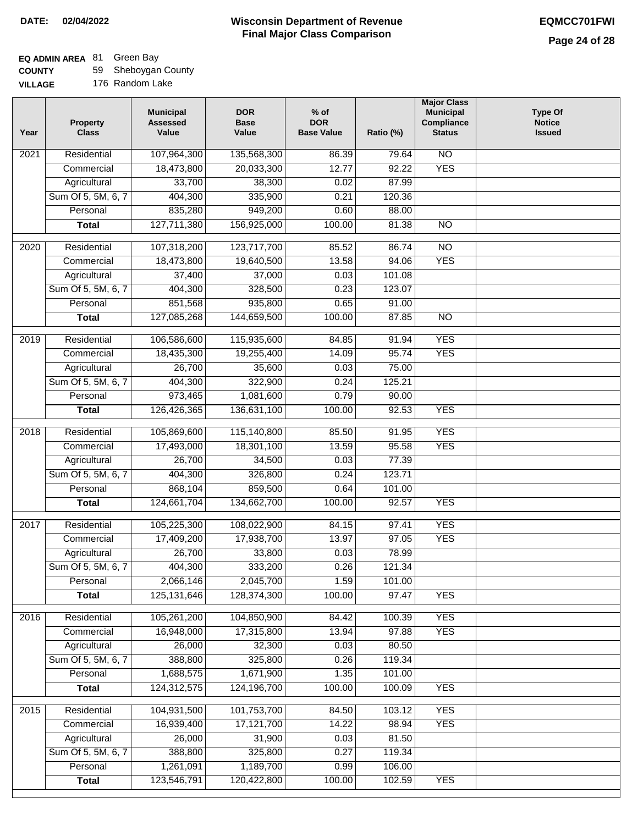# **EQ ADMIN AREA** 81 Green Bay

**COUNTY VILLAGE** 59 Sheboygan County

| <b>AGE</b> | 176 Random Lake |  |
|------------|-----------------|--|
|            |                 |  |

| Year | <b>Property</b><br><b>Class</b> | <b>Municipal</b><br><b>Assessed</b><br>Value | <b>DOR</b><br><b>Base</b><br>Value | $%$ of<br><b>DOR</b><br><b>Base Value</b> | Ratio (%)       | <b>Major Class</b><br><b>Municipal</b><br>Compliance<br><b>Status</b> | <b>Type Of</b><br><b>Notice</b><br><b>Issued</b> |
|------|---------------------------------|----------------------------------------------|------------------------------------|-------------------------------------------|-----------------|-----------------------------------------------------------------------|--------------------------------------------------|
| 2021 | Residential                     | 107,964,300                                  | 135,568,300                        | 86.39                                     | 79.64           | $\overline{NO}$                                                       |                                                  |
|      | Commercial                      | 18,473,800                                   | 20,033,300                         | 12.77                                     | 92.22           | <b>YES</b>                                                            |                                                  |
|      | Agricultural                    | 33,700                                       | 38,300                             | 0.02                                      | 87.99           |                                                                       |                                                  |
|      | Sum Of 5, 5M, 6, 7              | 404,300                                      | 335,900                            | 0.21                                      | 120.36          |                                                                       |                                                  |
|      | Personal                        | 835,280                                      | 949,200                            | 0.60                                      | 88.00           |                                                                       |                                                  |
|      | <b>Total</b>                    | 127,711,380                                  | 156,925,000                        | 100.00                                    | 81.38           | $\overline{NO}$                                                       |                                                  |
| 2020 | Residential                     | 107,318,200                                  | 123,717,700                        | 85.52                                     | 86.74           | $\overline{10}$                                                       |                                                  |
|      | Commercial                      | 18,473,800                                   | 19,640,500                         | 13.58                                     | 94.06           | <b>YES</b>                                                            |                                                  |
|      | Agricultural                    | 37,400                                       | 37,000                             | 0.03                                      | 101.08          |                                                                       |                                                  |
|      | Sum Of 5, 5M, 6, 7              | 404,300                                      | 328,500                            | 0.23                                      | 123.07          |                                                                       |                                                  |
|      | Personal                        | 851,568                                      | 935,800                            | 0.65                                      | 91.00           |                                                                       |                                                  |
|      | <b>Total</b>                    | 127,085,268                                  | 144,659,500                        | 100.00                                    | 87.85           | $\overline{NO}$                                                       |                                                  |
| 2019 | Residential                     | 106,586,600                                  | 115,935,600                        | 84.85                                     | 91.94           | <b>YES</b>                                                            |                                                  |
|      | Commercial                      | 18,435,300                                   | 19,255,400                         | 14.09                                     | 95.74           | <b>YES</b>                                                            |                                                  |
|      | Agricultural                    | 26,700                                       | 35,600                             | 0.03                                      | 75.00           |                                                                       |                                                  |
|      | Sum Of 5, 5M, 6, 7              | 404,300                                      | 322,900                            | 0.24                                      | 125.21          |                                                                       |                                                  |
|      | Personal                        | 973,465                                      | 1,081,600                          | 0.79                                      | 90.00           |                                                                       |                                                  |
|      | <b>Total</b>                    | 126,426,365                                  | 136,631,100                        | 100.00                                    | 92.53           | <b>YES</b>                                                            |                                                  |
|      |                                 |                                              |                                    |                                           |                 |                                                                       |                                                  |
| 2018 | Residential                     | 105,869,600                                  | 115,140,800                        | 85.50                                     | 91.95           | <b>YES</b>                                                            |                                                  |
|      | Commercial                      | 17,493,000                                   | 18,301,100                         | 13.59                                     | 95.58           | <b>YES</b>                                                            |                                                  |
|      | Agricultural                    | 26,700                                       | 34,500                             | 0.03                                      | 77.39<br>123.71 |                                                                       |                                                  |
|      | Sum Of 5, 5M, 6, 7<br>Personal  | 404,300                                      | 326,800                            | 0.24<br>0.64                              | 101.00          |                                                                       |                                                  |
|      | <b>Total</b>                    | 868,104<br>124,661,704                       | 859,500<br>134,662,700             | 100.00                                    | 92.57           | <b>YES</b>                                                            |                                                  |
|      |                                 |                                              |                                    |                                           |                 |                                                                       |                                                  |
| 2017 | Residential                     | 105,225,300                                  | 108,022,900                        | 84.15                                     | 97.41           | <b>YES</b>                                                            |                                                  |
|      | Commercial                      | 17,409,200                                   | 17,938,700                         | 13.97                                     | 97.05           | <b>YES</b>                                                            |                                                  |
|      | Agricultural                    | 26,700                                       | 33,800                             | 0.03                                      | 78.99           |                                                                       |                                                  |
|      | Sum Of 5, 5M, 6, 7              | 404,300                                      | 333,200                            | 0.26                                      | 121.34          |                                                                       |                                                  |
|      | Personal                        | 2,066,146                                    | 2,045,700                          | 1.59                                      | 101.00          |                                                                       |                                                  |
|      | <b>Total</b>                    | 125, 131, 646                                | 128,374,300                        | 100.00                                    | 97.47           | <b>YES</b>                                                            |                                                  |
| 2016 | Residential                     | 105,261,200                                  | 104,850,900                        | 84.42                                     | 100.39          | <b>YES</b>                                                            |                                                  |
|      | Commercial                      | 16,948,000                                   | 17,315,800                         | 13.94                                     | 97.88           | <b>YES</b>                                                            |                                                  |
|      | Agricultural                    | 26,000                                       | 32,300                             | 0.03                                      | 80.50           |                                                                       |                                                  |
|      | Sum Of 5, 5M, 6, 7              | 388,800                                      | 325,800                            | 0.26                                      | 119.34          |                                                                       |                                                  |
|      | Personal                        | 1,688,575                                    | 1,671,900                          | 1.35                                      | 101.00          |                                                                       |                                                  |
|      | <b>Total</b>                    | 124,312,575                                  | 124,196,700                        | 100.00                                    | 100.09          | <b>YES</b>                                                            |                                                  |
| 2015 | Residential                     | 104,931,500                                  | 101,753,700                        | 84.50                                     | 103.12          | <b>YES</b>                                                            |                                                  |
|      | Commercial                      | 16,939,400                                   | 17,121,700                         | 14.22                                     | 98.94           | <b>YES</b>                                                            |                                                  |
|      | Agricultural                    | 26,000                                       | 31,900                             | 0.03                                      | 81.50           |                                                                       |                                                  |
|      | Sum Of 5, 5M, 6, 7              | 388,800                                      | 325,800                            | 0.27                                      | 119.34          |                                                                       |                                                  |
|      | Personal                        | 1,261,091                                    | 1,189,700                          | 0.99                                      | 106.00          |                                                                       |                                                  |
|      | <b>Total</b>                    | 123,546,791                                  | 120,422,800                        | 100.00                                    | 102.59          | <b>YES</b>                                                            |                                                  |
|      |                                 |                                              |                                    |                                           |                 |                                                                       |                                                  |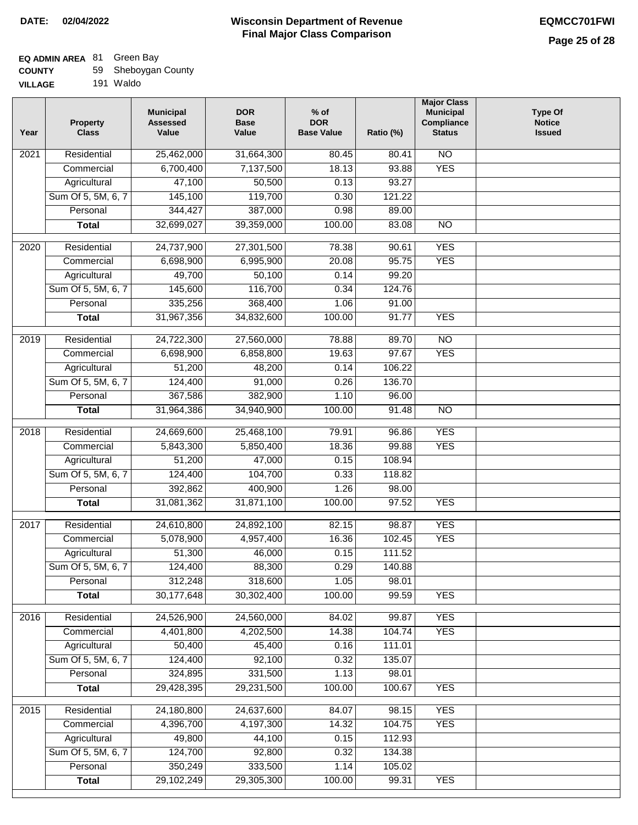## **EQ ADMIN AREA** 81 Green Bay

| <b>COUNTY</b> |  | 59 Sheboygan County |  |
|---------------|--|---------------------|--|
|---------------|--|---------------------|--|

**VILLAGE** 191 Waldo

| Year              | <b>Property</b><br><b>Class</b>    | <b>Municipal</b><br><b>Assessed</b><br>Value | <b>DOR</b><br><b>Base</b><br>Value | $%$ of<br><b>DOR</b><br><b>Base Value</b> | Ratio (%)        | <b>Major Class</b><br><b>Municipal</b><br>Compliance<br><b>Status</b> | Type Of<br><b>Notice</b><br><b>Issued</b> |
|-------------------|------------------------------------|----------------------------------------------|------------------------------------|-------------------------------------------|------------------|-----------------------------------------------------------------------|-------------------------------------------|
| $\overline{202}1$ | Residential                        | 25,462,000                                   | 31,664,300                         | 80.45                                     | 80.41            | $\overline{NO}$                                                       |                                           |
|                   | Commercial                         | 6,700,400                                    | 7,137,500                          | 18.13                                     | 93.88            | <b>YES</b>                                                            |                                           |
|                   | Agricultural                       | 47,100                                       | 50,500                             | 0.13                                      | 93.27            |                                                                       |                                           |
|                   | Sum Of 5, 5M, 6, 7                 | 145,100                                      | 119,700                            | 0.30                                      | 121.22           |                                                                       |                                           |
|                   | Personal                           | 344,427                                      | 387,000                            | 0.98                                      | 89.00            |                                                                       |                                           |
|                   | <b>Total</b>                       | 32,699,027                                   | 39,359,000                         | 100.00                                    | 83.08            | $\overline{NO}$                                                       |                                           |
|                   |                                    |                                              |                                    |                                           |                  |                                                                       |                                           |
| $\overline{2020}$ | Residential                        | 24,737,900                                   | 27,301,500                         | 78.38                                     | 90.61            | <b>YES</b>                                                            |                                           |
|                   | Commercial                         | 6,698,900                                    | 6,995,900                          | 20.08                                     | 95.75            | <b>YES</b>                                                            |                                           |
|                   | Agricultural                       | 49,700                                       | 50,100                             | 0.14                                      | 99.20            |                                                                       |                                           |
|                   | Sum Of 5, 5M, 6, 7                 | 145,600                                      | 116,700                            | 0.34                                      | 124.76           |                                                                       |                                           |
|                   | Personal                           | 335,256                                      | 368,400                            | 1.06                                      | 91.00            |                                                                       |                                           |
|                   | <b>Total</b>                       | 31,967,356                                   | 34,832,600                         | 100.00                                    | 91.77            | <b>YES</b>                                                            |                                           |
| 2019              | Residential                        | 24,722,300                                   | 27,560,000                         | 78.88                                     | 89.70            | $\overline{NO}$                                                       |                                           |
|                   | Commercial                         | 6,698,900                                    | 6,858,800                          | 19.63                                     | 97.67            | <b>YES</b>                                                            |                                           |
|                   | Agricultural                       | 51,200                                       | 48,200                             | 0.14                                      | 106.22           |                                                                       |                                           |
|                   | Sum Of 5, 5M, 6, 7                 | 124,400                                      | 91,000                             | 0.26                                      | 136.70           |                                                                       |                                           |
|                   | Personal                           | 367,586                                      | 382,900                            | 1.10                                      | 96.00            |                                                                       |                                           |
|                   | <b>Total</b>                       | 31,964,386                                   | 34,940,900                         | 100.00                                    | 91.48            | $\overline{NO}$                                                       |                                           |
| 2018              | Residential                        | 24,669,600                                   | 25,468,100                         | 79.91                                     | 96.86            | <b>YES</b>                                                            |                                           |
|                   | Commercial                         | 5,843,300                                    | 5,850,400                          | 18.36                                     | 99.88            | <b>YES</b>                                                            |                                           |
|                   | Agricultural                       | 51,200                                       | 47,000                             | 0.15                                      | 108.94           |                                                                       |                                           |
|                   | Sum Of 5, 5M, 6, 7                 | 124,400                                      | 104,700                            | 0.33                                      | 118.82           |                                                                       |                                           |
|                   | Personal                           | 392,862                                      | 400,900                            | 1.26                                      | 98.00            |                                                                       |                                           |
|                   | <b>Total</b>                       | 31,081,362                                   | 31,871,100                         | 100.00                                    | 97.52            | <b>YES</b>                                                            |                                           |
|                   |                                    |                                              |                                    |                                           |                  |                                                                       |                                           |
| 2017              | Residential                        | 24,610,800                                   | 24,892,100                         | 82.15                                     | 98.87            | <b>YES</b>                                                            |                                           |
|                   | Commercial                         | 5,078,900                                    | 4,957,400                          | 16.36                                     | 102.45           | <b>YES</b>                                                            |                                           |
|                   | Agricultural                       | 51,300                                       | 46,000                             | 0.15                                      | 111.52           |                                                                       |                                           |
|                   | Sum Of 5, 5M, 6, 7                 | 124,400                                      | 88,300                             | 0.29                                      | 140.88           |                                                                       |                                           |
|                   | Personal                           | 312,248                                      | 318,600                            | 1.05                                      | 98.01            |                                                                       |                                           |
|                   | <b>Total</b>                       | 30,177,648                                   | 30,302,400                         | 100.00                                    | 99.59            | <b>YES</b>                                                            |                                           |
| 2016              | Residential                        | 24,526,900                                   | 24,560,000                         | 84.02                                     | 99.87            | <b>YES</b>                                                            |                                           |
|                   | Commercial                         | 4,401,800                                    | 4,202,500                          | 14.38                                     | 104.74           | <b>YES</b>                                                            |                                           |
|                   | Agricultural                       | 50,400                                       | 45,400                             | 0.16                                      | 111.01           |                                                                       |                                           |
|                   | Sum Of 5, 5M, 6, 7                 | 124,400                                      | 92,100                             | 0.32                                      | 135.07           |                                                                       |                                           |
|                   | Personal                           | 324,895                                      | 331,500                            | 1.13                                      | 98.01            |                                                                       |                                           |
|                   | <b>Total</b>                       | 29,428,395                                   | 29,231,500                         | 100.00                                    | 100.67           | <b>YES</b>                                                            |                                           |
|                   |                                    |                                              |                                    |                                           |                  |                                                                       |                                           |
| 2015              | Residential                        | 24,180,800<br>4,396,700                      | 24,637,600<br>4,197,300            | 84.07                                     | 98.15            | <b>YES</b>                                                            |                                           |
|                   | Commercial                         | 49,800                                       | 44,100                             | 14.32<br>0.15                             | 104.75<br>112.93 | <b>YES</b>                                                            |                                           |
|                   | Agricultural<br>Sum Of 5, 5M, 6, 7 | 124,700                                      | 92,800                             | 0.32                                      |                  |                                                                       |                                           |
|                   | Personal                           | 350,249                                      | 333,500                            | 1.14                                      | 134.38<br>105.02 |                                                                       |                                           |
|                   | <b>Total</b>                       | 29,102,249                                   | 29,305,300                         | 100.00                                    | 99.31            | <b>YES</b>                                                            |                                           |
|                   |                                    |                                              |                                    |                                           |                  |                                                                       |                                           |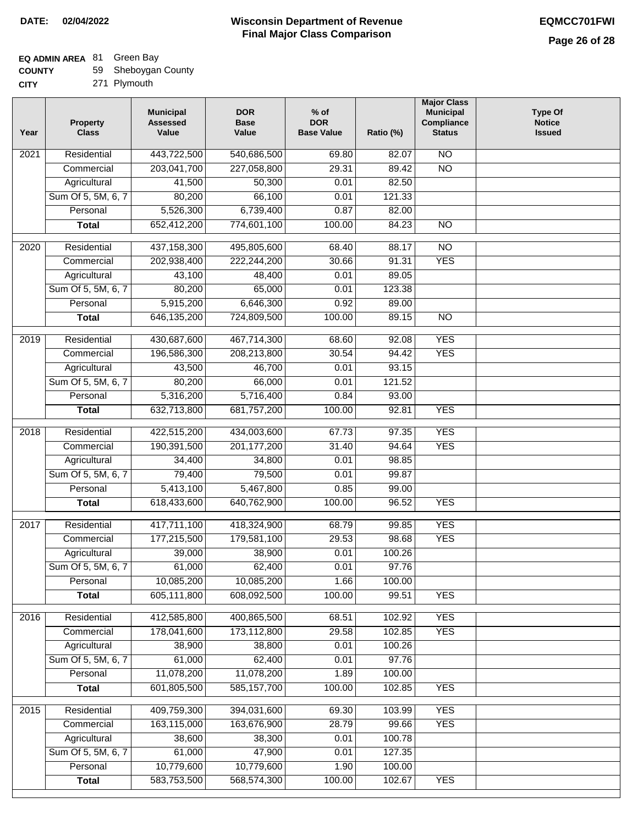## **EQ ADMIN AREA** 81 Green Bay

| <b>COUNTY</b> | 59 Sheboygan County |
|---------------|---------------------|
|---------------|---------------------|

**CITY** 271 Plymouth

| Year             | <b>Property</b><br><b>Class</b> | <b>Municipal</b><br><b>Assessed</b><br>Value | <b>DOR</b><br><b>Base</b><br>Value | $%$ of<br><b>DOR</b><br><b>Base Value</b> | Ratio (%) | <b>Major Class</b><br><b>Municipal</b><br>Compliance<br><b>Status</b> | <b>Type Of</b><br><b>Notice</b><br><b>Issued</b> |
|------------------|---------------------------------|----------------------------------------------|------------------------------------|-------------------------------------------|-----------|-----------------------------------------------------------------------|--------------------------------------------------|
| 2021             | Residential                     | 443,722,500                                  | 540,686,500                        | 69.80                                     | 82.07     | N <sub>O</sub>                                                        |                                                  |
|                  | Commercial                      | 203,041,700                                  | 227,058,800                        | 29.31                                     | 89.42     | $\overline{NO}$                                                       |                                                  |
|                  | Agricultural                    | 41,500                                       | 50,300                             | 0.01                                      | 82.50     |                                                                       |                                                  |
|                  | Sum Of 5, 5M, 6, 7              | 80,200                                       | 66,100                             | 0.01                                      | 121.33    |                                                                       |                                                  |
|                  | Personal                        | 5,526,300                                    | 6,739,400                          | 0.87                                      | 82.00     |                                                                       |                                                  |
|                  | <b>Total</b>                    | 652,412,200                                  | 774,601,100                        | 100.00                                    | 84.23     | <b>NO</b>                                                             |                                                  |
| 2020             | Residential                     | 437, 158, 300                                | 495,805,600                        | 68.40                                     | 88.17     | $\overline{NO}$                                                       |                                                  |
|                  | Commercial                      | 202,938,400                                  | 222,244,200                        | 30.66                                     | 91.31     | <b>YES</b>                                                            |                                                  |
|                  | Agricultural                    | 43,100                                       | 48,400                             | 0.01                                      | 89.05     |                                                                       |                                                  |
|                  | Sum Of 5, 5M, 6, 7              | 80,200                                       | 65,000                             | 0.01                                      | 123.38    |                                                                       |                                                  |
|                  | Personal                        | 5,915,200                                    | 6,646,300                          | 0.92                                      | 89.00     |                                                                       |                                                  |
|                  | <b>Total</b>                    | 646, 135, 200                                | 724,809,500                        | 100.00                                    | 89.15     | $\overline{NO}$                                                       |                                                  |
| $\frac{1}{2019}$ | Residential                     | 430,687,600                                  | 467,714,300                        | 68.60                                     | 92.08     | <b>YES</b>                                                            |                                                  |
|                  | Commercial                      | 196,586,300                                  | 208,213,800                        | 30.54                                     | 94.42     | <b>YES</b>                                                            |                                                  |
|                  | Agricultural                    | 43,500                                       | 46,700                             | 0.01                                      | 93.15     |                                                                       |                                                  |
|                  | Sum Of 5, 5M, 6, 7              | 80,200                                       | 66,000                             | 0.01                                      | 121.52    |                                                                       |                                                  |
|                  | Personal                        | 5,316,200                                    | 5,716,400                          | 0.84                                      | 93.00     |                                                                       |                                                  |
|                  | <b>Total</b>                    | 632,713,800                                  | 681,757,200                        | 100.00                                    | 92.81     | <b>YES</b>                                                            |                                                  |
| 2018             | Residential                     | 422,515,200                                  | 434,003,600                        | 67.73                                     | 97.35     | <b>YES</b>                                                            |                                                  |
|                  | Commercial                      | 190,391,500                                  | 201, 177, 200                      | 31.40                                     | 94.64     | <b>YES</b>                                                            |                                                  |
|                  | Agricultural                    | 34,400                                       | 34,800                             | 0.01                                      | 98.85     |                                                                       |                                                  |
|                  | Sum Of 5, 5M, 6, 7              | 79,400                                       | 79,500                             | 0.01                                      | 99.87     |                                                                       |                                                  |
|                  | Personal                        | 5,413,100                                    | 5,467,800                          | 0.85                                      | 99.00     |                                                                       |                                                  |
|                  | <b>Total</b>                    | 618,433,600                                  | 640,762,900                        | 100.00                                    | 96.52     | <b>YES</b>                                                            |                                                  |
| 2017             | Residential                     | 417,711,100                                  | 418,324,900                        | 68.79                                     | 99.85     | <b>YES</b>                                                            |                                                  |
|                  | Commercial                      | 177,215,500                                  | 179,581,100                        | 29.53                                     | 98.68     | <b>YES</b>                                                            |                                                  |
|                  | Agricultural                    | 39,000                                       | 38,900                             | 0.01                                      | 100.26    |                                                                       |                                                  |
|                  | Sum Of 5, 5M, 6, 7              | 61,000                                       | 62,400                             | 0.01                                      | 97.76     |                                                                       |                                                  |
|                  | Personal                        | 10,085,200                                   | 10,085,200                         | 1.66                                      | 100.00    |                                                                       |                                                  |
|                  | <b>Total</b>                    | 605,111,800                                  | 608,092,500                        | 100.00                                    | 99.51     | <b>YES</b>                                                            |                                                  |
|                  |                                 |                                              |                                    |                                           |           |                                                                       |                                                  |
| 2016             | Residential                     | 412,585,800                                  | 400,865,500                        | 68.51                                     | 102.92    | <b>YES</b>                                                            |                                                  |
|                  | Commercial                      | 178,041,600                                  | 173,112,800                        | 29.58                                     | 102.85    | <b>YES</b>                                                            |                                                  |
|                  | Agricultural                    | 38,900                                       | 38,800                             | 0.01                                      | 100.26    |                                                                       |                                                  |
|                  | Sum Of 5, 5M, 6, 7              | 61,000                                       | 62,400                             | 0.01                                      | 97.76     |                                                                       |                                                  |
|                  | Personal                        | 11,078,200                                   | 11,078,200                         | 1.89                                      | 100.00    |                                                                       |                                                  |
|                  | <b>Total</b>                    | 601,805,500                                  | 585, 157, 700                      | 100.00                                    | 102.85    | <b>YES</b>                                                            |                                                  |
| 2015             | Residential                     | 409,759,300                                  | 394,031,600                        | 69.30                                     | 103.99    | <b>YES</b>                                                            |                                                  |
|                  | Commercial                      | 163,115,000                                  | 163,676,900                        | 28.79                                     | 99.66     | <b>YES</b>                                                            |                                                  |
|                  | Agricultural                    | 38,600                                       | 38,300                             | 0.01                                      | 100.78    |                                                                       |                                                  |
|                  | Sum Of 5, 5M, 6, 7              | 61,000                                       | 47,900                             | 0.01                                      | 127.35    |                                                                       |                                                  |
|                  | Personal                        | 10,779,600                                   | 10,779,600                         | 1.90                                      | 100.00    |                                                                       |                                                  |
|                  | <b>Total</b>                    | 583,753,500                                  | 568,574,300                        | 100.00                                    | 102.67    | <b>YES</b>                                                            |                                                  |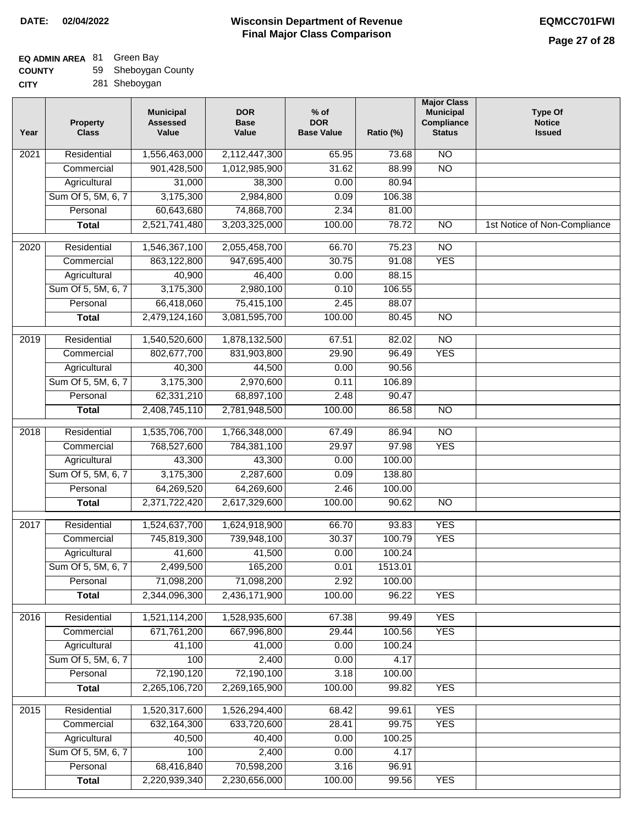**CITY**

#### **Wisconsin Department of Revenue Final Major Class Comparison DATE: 02/04/2022 EQMCC701FWI**

| <b>COUNTY</b> | 59 Sheboygan County |
|---------------|---------------------|
|---------------|---------------------|

| . . | -- | $     -$      |  |
|-----|----|---------------|--|
|     |    | 281 Sheboygan |  |

| Year              | <b>Property</b><br><b>Class</b> | <b>Municipal</b><br><b>Assessed</b><br>Value | <b>DOR</b><br><b>Base</b><br>Value | $%$ of<br><b>DOR</b><br><b>Base Value</b> | Ratio (%) | <b>Major Class</b><br><b>Municipal</b><br>Compliance<br><b>Status</b> | <b>Type Of</b><br><b>Notice</b><br><b>Issued</b> |
|-------------------|---------------------------------|----------------------------------------------|------------------------------------|-------------------------------------------|-----------|-----------------------------------------------------------------------|--------------------------------------------------|
| 2021              | Residential                     | 1,556,463,000                                | 2,112,447,300                      | 65.95                                     | 73.68     | <b>NO</b>                                                             |                                                  |
|                   | Commercial                      | 901,428,500                                  | 1,012,985,900                      | 31.62                                     | 88.99     | $\overline{NO}$                                                       |                                                  |
|                   | Agricultural                    | 31,000                                       | 38,300                             | 0.00                                      | 80.94     |                                                                       |                                                  |
|                   | Sum Of 5, 5M, 6, 7              | 3,175,300                                    | 2,984,800                          | 0.09                                      | 106.38    |                                                                       |                                                  |
|                   | Personal                        | 60,643,680                                   | 74,868,700                         | 2.34                                      | 81.00     |                                                                       |                                                  |
|                   | <b>Total</b>                    | 2,521,741,480                                | 3,203,325,000                      | 100.00                                    | 78.72     | $\overline{NO}$                                                       | 1st Notice of Non-Compliance                     |
| $\overline{2020}$ | Residential                     | 1,546,367,100                                | 2,055,458,700                      | 66.70                                     | 75.23     | $\overline{NO}$                                                       |                                                  |
|                   | Commercial                      | 863,122,800                                  | 947,695,400                        | 30.75                                     | 91.08     | <b>YES</b>                                                            |                                                  |
|                   | Agricultural                    | 40,900                                       | 46,400                             | 0.00                                      | 88.15     |                                                                       |                                                  |
|                   | Sum Of 5, 5M, 6, 7              | 3,175,300                                    | 2,980,100                          | 0.10                                      | 106.55    |                                                                       |                                                  |
|                   | Personal                        | 66,418,060                                   | 75,415,100                         | 2.45                                      | 88.07     |                                                                       |                                                  |
|                   | <b>Total</b>                    | 2,479,124,160                                | 3,081,595,700                      | 100.00                                    | 80.45     | <b>NO</b>                                                             |                                                  |
|                   |                                 |                                              |                                    |                                           |           |                                                                       |                                                  |
| 2019              | Residential                     | 1,540,520,600                                | 1,878,132,500                      | 67.51                                     | 82.02     | $\overline{NO}$                                                       |                                                  |
|                   | Commercial                      | 802,677,700                                  | 831,903,800                        | 29.90                                     | 96.49     | <b>YES</b>                                                            |                                                  |
|                   | Agricultural                    | 40,300                                       | 44,500                             | 0.00                                      | 90.56     |                                                                       |                                                  |
|                   | Sum Of 5, 5M, 6, 7              | 3,175,300                                    | 2,970,600                          | 0.11                                      | 106.89    |                                                                       |                                                  |
|                   | Personal                        | 62,331,210                                   | 68,897,100                         | 2.48                                      | 90.47     |                                                                       |                                                  |
|                   | <b>Total</b>                    | 2,408,745,110                                | 2,781,948,500                      | 100.00                                    | 86.58     | $\overline{NO}$                                                       |                                                  |
| 2018              | Residential                     | 1,535,706,700                                | 1,766,348,000                      | 67.49                                     | 86.94     | $\overline{NO}$                                                       |                                                  |
|                   | Commercial                      | 768,527,600                                  | 784,381,100                        | 29.97                                     | 97.98     | <b>YES</b>                                                            |                                                  |
|                   | Agricultural                    | 43,300                                       | 43,300                             | 0.00                                      | 100.00    |                                                                       |                                                  |
|                   | Sum Of 5, 5M, 6, 7              | 3,175,300                                    | 2,287,600                          | 0.09                                      | 138.80    |                                                                       |                                                  |
|                   | Personal                        | 64,269,520                                   | 64,269,600                         | 2.46                                      | 100.00    |                                                                       |                                                  |
|                   | <b>Total</b>                    | 2,371,722,420                                | 2,617,329,600                      | 100.00                                    | 90.62     | $\overline{NO}$                                                       |                                                  |
| 2017              | Residential                     | 1,524,637,700                                | 1,624,918,900                      | 66.70                                     | 93.83     | <b>YES</b>                                                            |                                                  |
|                   | Commercial                      | 745,819,300                                  | 739,948,100                        | 30.37                                     | 100.79    | <b>YES</b>                                                            |                                                  |
|                   | Agricultural                    | 41,600                                       | 41,500                             | 0.00                                      | 100.24    |                                                                       |                                                  |
|                   | Sum Of 5, 5M, 6, 7              | 2,499,500                                    | 165,200                            | 0.01                                      | 1513.01   |                                                                       |                                                  |
|                   | Personal                        | 71,098,200                                   | 71,098,200                         | 2.92                                      | 100.00    |                                                                       |                                                  |
|                   | <b>Total</b>                    | 2,344,096,300                                | 2,436,171,900                      | 100.00                                    | 96.22     | <b>YES</b>                                                            |                                                  |
| 2016              | Residential                     | 1,521,114,200                                | 1,528,935,600                      | 67.38                                     | 99.49     | <b>YES</b>                                                            |                                                  |
|                   | Commercial                      | 671,761,200                                  | 667,996,800                        | 29.44                                     | 100.56    | <b>YES</b>                                                            |                                                  |
|                   | Agricultural                    | 41,100                                       | 41,000                             | 0.00                                      | 100.24    |                                                                       |                                                  |
|                   | Sum Of 5, 5M, 6, 7              | 100                                          | 2,400                              | 0.00                                      | 4.17      |                                                                       |                                                  |
|                   | Personal                        | 72,190,120                                   | 72,190,100                         | 3.18                                      | 100.00    |                                                                       |                                                  |
|                   | <b>Total</b>                    | 2,265,106,720                                | 2,269,165,900                      | 100.00                                    | 99.82     | <b>YES</b>                                                            |                                                  |
| 2015              | Residential                     | 1,520,317,600                                | 1,526,294,400                      | 68.42                                     | 99.61     | <b>YES</b>                                                            |                                                  |
|                   | Commercial                      | 632, 164, 300                                | 633,720,600                        | 28.41                                     | 99.75     | <b>YES</b>                                                            |                                                  |
|                   | Agricultural                    | 40,500                                       | 40,400                             | 0.00                                      | 100.25    |                                                                       |                                                  |
|                   | Sum Of 5, 5M, 6, 7              | 100                                          | 2,400                              | 0.00                                      | 4.17      |                                                                       |                                                  |
|                   | Personal                        | 68,416,840                                   | 70,598,200                         | 3.16                                      | 96.91     |                                                                       |                                                  |
|                   | <b>Total</b>                    | 2,220,939,340                                | 2,230,656,000                      | 100.00                                    | 99.56     | <b>YES</b>                                                            |                                                  |
|                   |                                 |                                              |                                    |                                           |           |                                                                       |                                                  |